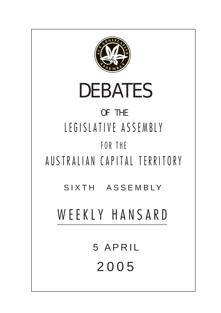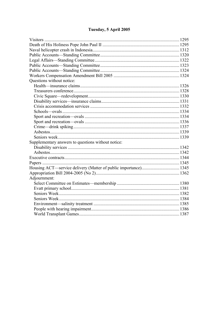# Tuesday, 5 April 2005

| Questions without notice:                          |  |
|----------------------------------------------------|--|
|                                                    |  |
|                                                    |  |
|                                                    |  |
|                                                    |  |
|                                                    |  |
|                                                    |  |
|                                                    |  |
|                                                    |  |
|                                                    |  |
|                                                    |  |
|                                                    |  |
| Supplementary answers to questions without notice: |  |
|                                                    |  |
|                                                    |  |
|                                                    |  |
|                                                    |  |
|                                                    |  |
|                                                    |  |
| Adjournment:                                       |  |
|                                                    |  |
|                                                    |  |
|                                                    |  |
|                                                    |  |
|                                                    |  |
|                                                    |  |
|                                                    |  |
|                                                    |  |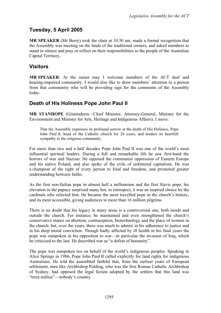# **Tuesday, 5 April 2005**

**MR SPEAKER** (Mr Berry) took the chair at 10.30 am, made a formal recognition that the Assembly was meeting on the lands of the traditional owners, and asked members to stand in silence and pray or reflect on their responsibilities to the people of the Australian Capital Territory.

# <span id="page-2-0"></span>**Visitors**

**MR SPEAKER**: At the outset may I welcome members of the ACT deaf and hearing-impaired community. I would also like to draw members' attention to a person from that community who will be providing sign for the comments of the Assembly today.

# <span id="page-2-1"></span>**Death of His Holiness Pope John Paul II**

**MR STANHOPE** (Ginninderra—Chief Minister, Attorney-General, Minister for the Environment and Minister for Arts, Heritage and Indigenous Affairs): I move:

That the Assembly expresses its profound sorrow at the death of His Holiness, Pope John Paul II, head of the Catholic church for 26 years, and tenders its heartfelt sympathy to the religious community.

For more than two and a half decades Pope John Paul II was one of the world's most influential spiritual leaders. During a full and remarkable life he saw first-hand the horrors of war and Nazism. He opposed the communist oppression of Eastern Europe and his native Poland, and also spoke of the evils of unfettered capitalism. He was a champion of the right of every person to food and freedom, and promoted greater understanding between faiths.

As the first non-Italian pope in almost half a millennium and the first Slavic pope, his elevation to the papacy surprised many but, in retrospect, it was an inspired choice by the cardinals who selected him. He became the most travelled pope in the church's history, and its most accessible, giving audiences to more than 16 million pilgrims.

There is no doubt that his legacy in many areas is a controversial one, both inside and outside the church. For instance, he maintained and even strengthened the church's conservative stance on abortion, contraception, biotechnology and the place of women in the church; but, over the years, there was much to admire in his adherence to justice and in his deep moral conviction. Though badly affected by ill health in his final years the pope was outspoken in his opposition to war—in particular the invasion of Iraq, which he criticised to the last. He described war as "a defeat of humanity".

The pope was outspoken too on behalf of the world's indigenous peoples. Speaking in Alice Springs in 1986, Pope John Paul II called explicitly for land rights for indigenous Australians. He told the assembled faithful that, from the earliest years of European settlement, men like Archbishop Polding, who was the first Roman Catholic Archbishop of Sydney, had opposed the legal fiction adopted by the settlers that this land was "terra nullius"—nobody's country.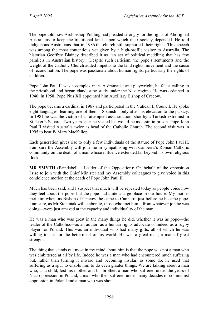The pope told how Archbishop Polding had pleaded strongly for the rights of Aboriginal Australians to keep the traditional lands upon which their society depended. He told indigenous Australians that in 1986 the church still supported their rights. This speech was among the most contentious yet given by a high-profile visitor to Australia. The historian Geoffrey Blainey described it as "an act of political meddling that has few parallels in Australian history". Despite such criticism, the pope's sentiments and the weight of the Catholic Church added impetus to the land rights movement and the cause of reconciliation. The pope was passionate about human rights, particularly the rights of children.

Pope John Paul II was a complex man. A dramatist and playwright, he felt a calling to the priesthood and began clandestine study under the Nazi regime. He was ordained in 1946. In 1958, Pope Pius XII appointed him Auxiliary Bishop of Cracow.

The pope became a cardinal in 1967 and participated in the Vatican II Council. He spoke eight languages, learning one of them—Spanish—only after his elevation to the papacy. In 1981 he was the victim of an attempted assassination, shot by a Turkish extremist in St Peter's Square. Two years later he visited his would-be assassin in prison. Pope John Paul II visited Australia twice as head of the Catholic Church. The second visit was in 1995 to beatify Mary MacKillop.

Each generation gives rise to only a few individuals of the stature of Pope John Paul II. I am sure the Assembly will join me in sympathising with Canberra's Roman Catholic community on the death of a man whose influence extended far beyond his own religious flock.

**MR SMYTH** (Brindabella—Leader of the Opposition): On behalf of the opposition I rise to join with the Chief Minister and my Assembly colleagues to give voice in this condolence motion at the death of Pope John Paul II.

Much has been said, and I suspect that much will be repeated today as people voice how they feel about the pope, but the pope had quite a large place in our house. My mother met him when, as Bishop of Cracow, he came to Canberra just before he became pope. I am sure, as Mr Stefaniak will elaborate, those who met him—from whatever job he was doing—were just amazed at the capacity and individuality of the man.

He was a man who was great in the many things he did, whether it was as pope—the leader of the Catholics—as an author, as a human rights advocate or indeed as a rugby player for Poland. This was an individual who had many gifts, all of which he was willing to use for the betterment of his world. He was a great man; a man of great strength.

The thing that stands out most in my mind about him is that the pope was not a man who was embittered at all by life. Indeed he was a man who had encountered much suffering but, rather than turning it inward and becoming insular, as some do, he used that suffering as a spur to enable him to do even greater things. We are talking about a man who, as a child, lost his mother and his brother, a man who suffered under the years of Nazi oppression in Poland, a man who then suffered under many decades of communist oppression in Poland and a man who was shot.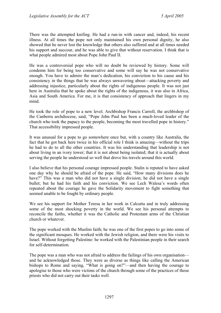There was the attempted knifing. He had a run-in with cancer and, indeed, his recent illness. At all times the pope not only maintained his own personal dignity, he also showed that he never lost the knowledge that others also suffered and at all times needed his support and succour, and he was able to give that without reservation. I think that is what people admired most about Pope John Paul II.

He was a controversial pope who will no doubt be reviewed by history. Some will condemn him for being too conservative and some will say he was not conservative enough. You have to admire the man's dedication, his conviction to his cause and his consistency in the things that he was always unwavering about—attacking poverty and addressing injustice, particularly about the rights of indigenous people. It was not just here in Australia that he spoke about the rights of the indigenous, it was also in Africa, Asia and South America. For me, it is that consistency of approach that lingers in my mind.

He took the role of pope to a new level. Archbishop Francis Carroll, the archbishop of the Canberra archdiocese, said, "Pope John Paul has been a much-loved leader of the church who took the papacy to the people, becoming the most travelled pope in history." That accessibility impressed people.

It was unusual for a pope to go somewhere once but, with a country like Australia, the fact that he got back here twice in his official role I think is amazing—without the trips he had to do to all the other countries. It was his understanding that leadership is not about living in an ivory tower; that it is not about being isolated; that it is actually about serving the people he understood so well that drove his travels around this world.

I also believe that his personal courage impressed people. Stalin is reputed to have asked one day why he should be afraid of the pope. He said, "How many divisions does he have?" This was a man who did not have a single division; he did not have a single bullet; but he had his faith and his conviction. We see Lech Walesa's words often repeated about the courage he gave the Solidarity movement to fight something that seemed unable to be fought by ordinary people.

We see his support for Mother Teresa in her work in Calcutta and in truly addressing some of the most shocking poverty in the world. We see his personal attempts to reconcile the faiths, whether it was the Catholic and Protestant arms of the Christian church or whatever.

The pope worked with the Muslim faith; he was one of the first popes to go into some of the significant mosques. He worked with the Jewish religion, and there were his visits to Israel. Without forgetting Palestine: he worked with the Palestinian people in their search for self-determination.

The pope was a man who was not afraid to address the failings of his own organisation and he acknowledged those. They were as diverse as things like calling the American bishops to Rome and saying, "What is going on?"—and then having the courage to apologise to those who were victims of the church through some of the practices of those priests who did not carry out their tasks well.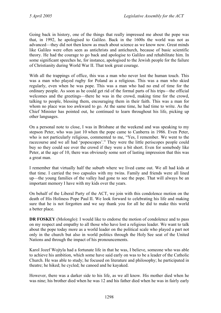Going back in history, one of the things that really impressed me about the pope was that, in 1992, he apologised to Galileo. Back in the 1600s the world was not as advanced—they did not then know as much about science as we know now. Great minds like Galileo were often seen as antichrists and antichurch, because of basic scientific theory. He had the courage to go back and apologise to Galileo and rehabilitate him. In some significant speeches he, for instance, apologised to the Jewish people for the failure of Christianity during World War II. That took great courage.

With all the trappings of office, this was a man who never lost the human touch. This was a man who played rugby for Poland as a religious. This was a man who skied regularly, even when he was pope. This was a man who had no end of time for the ordinary people. As soon as he could get rid of the formal parts of his trips—the official welcomes and the greetings—there he was in the crowd, making time for the crowd, talking to people, blessing them, encouraging them in their faith. This was a man for whom no place was too awkward to go. At the same time, he had time to write. As the Chief Minister has pointed out, he continued to learn throughout his life, picking up other languages.

On a personal note to close, I was in Brisbane at the weekend and was speaking to my stepson Peter, who was just 10 when the pope came to Canberra in 1986. Even Peter, who is not particularly religious, commented to me, "Yes, I remember. We went to the racecourse and we all had 'popescopes'." They were the little periscopes people could buy so they could see over the crowd if they were a bit short. Even for somebody like Peter, at the age of 10, there was obviously some sort of lasting impression that this was a great man.

I remember that virtually half the suburb where we lived came out. We all had kids at that time. I carried the two capsules with my twins. Family and friends were all lined up—the young families of the valley had gone to see the pope. That will always be an important memory I have with my kids over the years.

On behalf of the Liberal Party of the ACT, we join with this condolence motion on the death of His Holiness Pope Paul II. We look forward to celebrating his life and making sure that he is not forgotten and we say thank you for all he did to make this world a better place.

**DR FOSKEY** (Molonglo): I would like to endorse the motion of condolence and to pass on my respect and empathy to all those who have lost a religious leader. We want to talk about the pope today more as a world leader on the political scale who played a part not only in the church but also in world politics through the Holy See seat of the United Nations and through the impact of his pronouncements.

Karol Jozef Wojtyla had a fortunate life in that he was, I believe, someone who was able to achieve his ambition, which some have said early on was to be a leader of the Catholic Church. He was able to study; he focused on literature and philosophy; he participated in theatre; he hiked; he cycled; he canoed and he kayaked.

However, there was a darker side to his life, as we all know. His mother died when he was nine; his brother died when he was 12 and his father died when he was in fairly early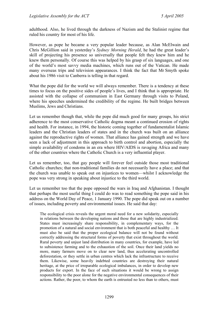adulthood. Also, he lived through the darkness of Nazism and the Stalinist regime that ruled his country for most of his life.

However, as pope he became a very popular leader because, as Alan McElwain and Chris McGillion said in yesterday's *Sydney Morning Herald*, he had the great leader's skill of projecting his presence so universally that people felt they knew him and he knew them personally. Of course this was helped by his grasp of six languages, and one of the world's most savvy media machines, which runs out of the Vatican. He made many overseas trips and television appearances. I think the fact that Mr Smyth spoke about his 1986 visit to Canberra is telling in that regard.

What the pope did for the world we will always remember. There is a tendency at these times to focus on the positive sides of people's lives, and I think that is appropriate. He assisted with the collapse of communism in East Germany through visits to Poland, where his speeches undermined the credibility of the regime. He built bridges between Muslims, Jews and Christians.

Let us remember though that, while the pope did much good for many groups, his strict adherence to the most conservative Catholic dogma meant a continued erosion of rights and health. For instance, in 1994, the historic coming together of fundamentalist Islamic leaders and the Christian leaders of states and in the church was built on an alliance against the reproductive rights of women. That alliance has gained strength and we have seen a lack of adjustment in this approach to birth control and abortion, especially the simple availability of condoms in an era where HIV/AIDS is ravaging Africa and many of the other countries where the Catholic Church is a very influential player.

Let us remember, too, that gay people will forever feel outside those most traditional Catholic churches; that non-traditional families do not necessarily have a place; and that the church was unable to speak out on injustices to women—whilst I acknowledge the pope was very strong in speaking about injustice to the third world.

Let us remember too that the pope opposed the wars in Iraq and Afghanistan. I thought that perhaps the most useful thing I could do was to read something the pope said in his address on the World Day of Peace, 1 January 1990. The pope did speak out on a number of issues, including poverty and environmental issues. He said that day:

The ecological crisis reveals the urgent moral need for a new solidarity, especially in relations between the developing nations and those that are highly industrialized. States must increasingly share responsibility, in complementary ways, for the promotion of a natural and social environment that is both peaceful and healthy … It must also be said that the proper ecological balance will not be found without correctly addressing the structural forms of poverty that exist throughout the world. Rural poverty and unjust land distribution in many countries, for example, have led to subsistence farming and to the exhaustion of the soil. Once their land yields no more, many farmers move on to clear new land, thus accelerating uncontrolled deforestation, or they settle in urban centres which lack the infrastructure to receive them. Likewise, some heavily indebted countries are destroying their natural heritage, at the price of irreparable ecological imbalances, in order to develop new products for export. In the face of such situations it would be wrong to assign responsibility to the poor alone for the negative environmental consequences of their actions. Rather, the poor, to whom the earth is entrusted no less than to others, must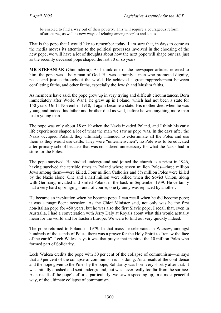be enabled to find a way out of their poverty. This will require a courageous reform of structures, as well as new ways of relating among peoples and states.

That is the pope that I would like to remember today. I am sure that, in days to come as the media moves its attention to the political processes involved in the choosing of the new pope, we will have a lot of thoughts about how the next pope will shape our era, just as the recently deceased pope shaped the last 30 or so years.

**MR STEFANIAK** (Ginninderra): As I think one of the newspaper articles referred to him, the pope was a holy man of God. He was certainly a man who promoted dignity, peace and justice throughout the world. He achieved a great rapprochement between conflicting faiths, and other faiths, especially the Jewish and Muslim faiths.

As members have said, the pope grew up in very trying and difficult circumstances. Born immediately after World War I, he grew up in Poland, which had not been a state for 150 years. On 11 November 1918, it again became a state. His mother died when he was young and indeed his father and brother died as well, before he was anything more than just a young man.

The pope was only about 18 or 19 when the Nazis invaded Poland, and I think his early life experiences shaped a lot of what the man we saw as pope was. In the days after the Nazis occupied Poland, they ultimately intended to exterminate all the Poles and use them as they would use cattle. They were "untermenschen"; no Pole was to be educated after primary school because that was considered unnecessary for what the Nazis had in store for the Poles.

The pope survived. He studied underground and joined the church as a priest in 1946, having survived the terrible times in Poland where seven million Poles—three million Jews among them—were killed. Four million Catholics and 5½ million Poles were killed by the Nazis alone. One and a half million were killed when the Soviet Union, along with Germany, invaded and knifed Poland in the back in September 1939. He certainly had a very hard upbringing—and, of course, one tyranny was replaced by another.

He became an inspiration when he became pope. I can recall when he did become pope; it was a magnificent occasion. As the Chief Minister said, not only was he the first non-Italian pope for 450 years, but he was also the first Slavic pope. I recall that, even in Australia, I had a conversation with Jerry Daly at Royals about what this would actually mean for the world and for Eastern Europe. We were to find out very quickly indeed.

The pope returned to Poland in 1979. In that mass he celebrated in Warsaw, amongst hundreds of thousands of Poles, there was a prayer for the Holy Spirit to "renew the face of the earth". Lech Walesa says it was that prayer that inspired the 10 million Poles who formed part of Solidarity.

Lech Walesa credits the pope with 50 per cent of the collapse of communism—he says that 50 per cent of the collapse of communism is his doing. As a result of the confidence and the hope given to the Poles by the pope, Solidarity was born very shortly after that. It was initially crushed and sent underground, but was never really too far from the surface. As a result of the pope's efforts, particularly, we saw a speeding up, in a most peaceful way, of the ultimate collapse of communism.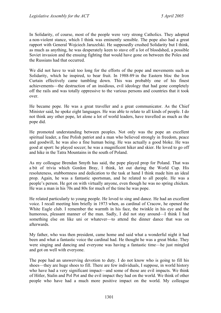In Solidarity, of course, most of the people were very strong Catholics. They adopted a non-violent stance, which I think was eminently sensible. The pope also had a great rapport with General Wojciech Jaruzelski. He supposedly crushed Solidarity but I think, as much as anything, he was desperately keen to stave off a lot of bloodshed, a possible Soviet invasion and the ensuing fighting that would have gone on between the Poles and the Russians had that occurred.

We did not have to wait too long for the efforts of the pope and movements such as Solidarity, which he inspired, to bear fruit. In 1988-89 in the Eastern bloc the Iron Curtain effectively came tumbling down. This was probably one of his finest achievements—the destruction of an insidious, evil ideology that had gone completely off the rails and was totally oppressive to the various persons and countries that it took over.

He became pope. He was a great traveller and a great communicator. As the Chief Minister said, he spoke eight languages. He was able to relate to all kinds of people. I do not think any other pope, let alone a lot of world leaders, have travelled as much as the pope did.

He promoted understanding between peoples. Not only was the pope an excellent spiritual leader, a fine Polish patriot and a man who believed strongly in freedom, peace and goodwill, he was also a fine human being. He was actually a good bloke. He was good at sport: he played soccer; he was a magnificent hiker and skier. He loved to go off and hike in the Tatra Mountains in the south of Poland.

As my colleague Brendan Smyth has said, the pope played prop for Poland. That was a bit of trivia which Gordon Bray, I think, let out during the World Cup. His resoluteness, stubbornness and dedication to the task at hand I think made him an ideal prop. Again, he was a fantastic sportsman, and he related to all people. He was a people's person. He got on with virtually anyone, even though he was no spring chicken. He was a man in his 70s and 80s for much of the time he was pope.

He related particularly to young people. He loved to sing and dance. He had an excellent voice. I recall meeting him briefly in 1973 when, as cardinal of Cracow, he opened the White Eagle club. I remember the warmth in his face, the twinkle in his eye and the humorous, pleasant manner of the man. Sadly, I did not stay around—I think I had something else on like uni or whatever—to attend the dinner dance that was on afterwards.

My father, who was then president, came home and said what a wonderful night it had been and what a fantastic voice the cardinal had. He thought he was a great bloke. They were singing and dancing and everyone was having a fantastic time—he just mingled and got on well with everyone.

The pope had an unswerving devotion to duty. I do not know who is going to fill his shoes—they are huge shoes to fill. There are few individuals, I suppose, in world history who have had a very significant impact—and some of those are evil impacts. We think of Hitler, Stalin and Pol Pot and the evil impact they had on the world. We think of other people who have had a much more positive impact on the world. My colleague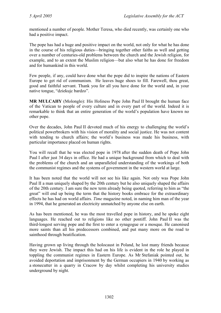mentioned a number of people. Mother Teresa, who died recently, was certainly one who had a positive impact.

The pope has had a huge and positive impact on the world, not only for what he has done in the course of his religious duties—bringing together other faiths as well and getting over a number of centuries-old problems between the church and the Jewish religion, for example, and to an extent the Muslim religion—but also what he has done for freedom and for humankind in this world.

Few people, if any, could have done what the pope did to inspire the nations of Eastern Europe to get rid of communism. He leaves huge shoes to fill. Farewell, thou great, good and faithful servant. Thank you for all you have done for the world and, in your native tongue, "dziekujc bardzo".

**MR MULCAHY** (Molonglo): His Holiness Pope John Paul II brought the human face of the Vatican to people of every culture and in every part of the world. Indeed it is remarkable to think that an entire generation of the world's population have known no other pope.

Over the decades, John Paul II devoted much of his energy to challenging the world's political powerbrokers with his vision of morality and social justice. He was not content with tending to church affairs; the world's business was made his business, with particular importance placed on human rights.

You will recall that he was elected pope in 1978 after the sudden death of Pope John Paul I after just 34 days in office. He had a unique background from which to deal with the problems of the church and an unparalleled understanding of the workings of both the communist regimes and the systems of government in the western world at large.

It has been noted that the world will not see his like again. Not only was Pope John Paul II a man uniquely shaped by the 20th century but he also uniquely shaped the affairs of the 20th century. I am sure the new term already being quoted, referring to him as "the great" will end up being the term that the history books embrace for the extraordinary effects he has had on world affairs. *Time* magazine noted, in naming him man of the year in 1994, that he generated an electricity unmatched by anyone else on earth.

As has been mentioned, he was the most travelled pope in history, and he spoke eight languages. He reached out to religions like no other pontiff. John Paul II was the third-longest serving pope and the first to enter a synagogue or a mosque. He canonised more saints than all his predecessors combined, and put many more on the road to sainthood through beatification.

Having grown up living through the holocaust in Poland, he lost many friends because they were Jewish. The impact this had on his life is evident in the role he played in toppling the communist regimes in Eastern Europe. As Mr Stefaniak pointed out, he avoided deportation and imprisonment by the German occupiers in 1940 by working as a stonecutter in a quarry in Cracow by day whilst completing his university studies underground by night.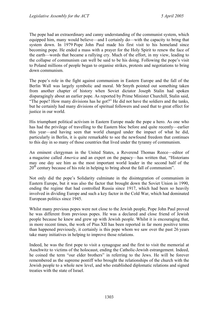The pope had an extraordinary and canny understanding of the communist system, which equipped him, many would believe—and I certainly do—with the capacity to bring that system down. In 1979 Pope John Paul made his first visit to his homeland since becoming pope. He ended a mass with a prayer for the Holy Spirit to renew the face of the earth—words that became a rallying cry. Much of the effort, in my view, leading to the collapse of communism can well be said to be his doing. Following the pope's visit to Poland millions of people began to organise strikes, protests and negotiations to bring down communism.

The pope's role in the fight against communism in Eastern Europe and the fall of the Berlin Wall was largely symbolic and moral. Mr Smyth pointed out something taken from another chapter of history when Soviet dictator Joseph Stalin had spoken disparagingly about an earlier pope. As reported by Prime Minister Churchill, Stalin said, "The pope? How many divisions has he got?" He did not have the soldiers and the tanks, but he certainly had many divisions of spiritual followers and used that to great effect for justice in our world.

His triumphant political activism in Eastern Europe made the pope a hero. As one who has had the privilege of travelling to the Eastern bloc before and quite recently—earlier this year—and having seen that world changed under the impact of what he did, particularly in Berlin, it is quite remarkable to see the newfound freedom that continues to this day in so many of those countries that lived under the tyranny of communism.

An eminent clergyman in the United States, a Reverend Thomas Reece—editor of a magazine called *America* and an expert on the papacy—has written that, "Historians may one day see him as the most important world leader in the second half of the  $20<sup>th</sup>$  century because of his role in helping to bring about the fall of communism".

Not only did the pope's Solidarity culminate in the disintegration of communism in Eastern Europe, but it was also the factor that brought down the Soviet Union in 1990, ending the regime that had controlled Russia since 1917, which had been so heavily involved in dividing Europe and such a key factor in the Cold War, which had dominated European politics since 1945.

Whilst many previous popes were not close to the Jewish people, Pope John Paul proved he was different from previous popes. He was a declared and close friend of Jewish people because he knew and grew up with Jewish people. Whilst it is encouraging that, in more recent times, the work of Pius XII has been reported in far more positive terms than happened previously, it certainly is this pope whom we saw over the past 26 years take many initiatives in helping to improve those relations.

Indeed, he was the first pope to visit a synagogue and the first to visit the memorial at Auschwitz to victims of the holocaust, ending the Catholic-Jewish estrangement. Indeed, he coined the term "our elder brothers" in referring to the Jews. He will be forever remembered as the supreme pontiff who brought the relationships of the church with the Jewish people to a whole new level, and who established diplomatic relations and signed treaties with the state of Israel.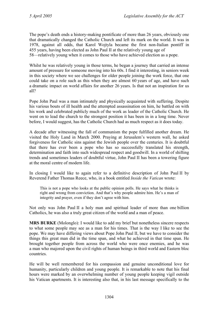The pope's death ends a history-making pontificate of more than 26 years, obviously one that dramatically changed the Catholic Church and left its mark on the world. It was in 1978, against all odds, that Karol Wojtyla became the first non-Italian pontiff in 455 years, having been elected as John Paul II at the relatively young age of 58—relatively young when it comes to those who have achieved election as a pope.

Whilst he was relatively young in those terms, he began a journey that carried an intense amount of pressure for someone moving into his 60s. I find it interesting, in seniors week in this society where we see challenges for older people joining the work force, that one could take on a role such as this when they are almost 60 years of age, and have such a dramatic impact on world affairs for another 26 years. Is that not an inspiration for us all?

Pope John Paul was a man intimately and physically acquainted with suffering. Despite his various bouts of ill health and the attempted assassination on him, he battled on with his work and celebrated publicly much of the work as leader of the Catholic Church. He went on to lead the church to the strongest position it has been in in a long time. Never before, I would suggest, has the Catholic Church had as much respect as it does today.

A decade after witnessing the fall of communism the pope fulfilled another dream. He visited the Holy Land in March 2000. Praying at Jerusalem's western wall, he asked forgiveness for Catholic sins against the Jewish people over the centuries. It is doubtful that there has ever been a pope who has so successfully translated his strength, determination and faith into such widespread respect and goodwill. In a world of shifting trends and sometimes leaders of doubtful virtue, John Paul II has been a towering figure at the moral centre of modern life.

In closing I would like to again refer to a definitive description of John Paul II by Reverend Father Thomas Reece, who, in a book entitled *Inside the Vatican* wrote:

This is not a pope who looks at the public opinion polls. He says what he thinks is right and wrong from conviction. And that's why people admire him. He's a man of integrity and prayer, even if they don't agree with him.

Not only was John Paul II a holy man and spiritual leader of more than one billion Catholics, he was also a truly great citizen of the world and a man of peace.

**MRS BURKE** (Molonglo): I would like to add my brief but nonetheless sincere respects to what some people may see as a man for his times. That is the way I like to see the pope. We may have differing views about Pope John Paul II, but we have to consider the things this great man did in the time span, and what he achieved in that time span. He brought together people from across the world who were once enemies, and he was a man who majored upon the civil rights of human beings in third world and Eastern bloc countries.

He will be well remembered for his compassion and genuine unconditional love for humanity, particularly children and young people. It is remarkable to note that his final hours were marked by an overwhelming number of young people keeping vigil outside his Vatican apartments. It is interesting also that, in his last message specifically to the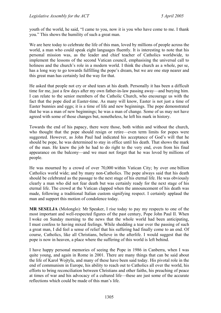youth of the world, he said, "I came to you, now it is you who have come to me. I thank you." This shows the humility of such a great man.

We are here today to celebrate the life of this man, loved by millions of people across the world, a man who could speak eight languages fluently. It is interesting to note that his personal mission was, as the leader and chief teacher of Catholics worldwide, to implement the lessons of the second Vatican council, emphasising the universal call to holiness and the church's role in a modern world. I think the church as a whole, per se, has a long way to go towards fulfilling the pope's dream, but we are one step nearer and this great man has certainly led the way for that.

He asked that people not cry or shed tears at his death. Personally it has been a difficult time for me, just a few days after my own father-in-law passing away—and burying him. I can relate to the senior members of the Catholic Church, who encourage us with the fact that the pope died at Easter-time. As many will know, Easter is not just a time of Easter bunnies and eggs; it is a time of life and new beginnings. The pope demonstrated that he was a man of new beginnings; he was a man of change. Some of us may not have agreed with some of those changes but, nonetheless, he left his mark in history.

Towards the end of his papacy, there were those, both within and without the church, who thought that the pope should resign or retire—even term limits for popes were suggested. However, as John Paul had indicated his acceptance of God's will that he should be pope, he was determined to stay in office until his death. That shows the mark of the man. He knew the job he had to do right to the very end, even from his final appearance on the balcony—and we must not forget that he was loved by millions of people.

He was mourned by a crowd of over 70,000 within Vatican City; by over one billion Catholics world wide; and by many non-Catholics. The pope always said that his death should be celebrated as the passage to the next stage of his eternal life. He was obviously clearly a man who did not fear death but was certainly ready for the next stage of his eternal life. The crowd at the Vatican clapped when the announcement of his death was made, following a traditional Italian custom signifying respect. I certainly applaud the man and support this motion of condolence today.

**MR SESELJA** (Molonglo): Mr Speaker, I rise today to pay my respects to one of the most important and well-respected figures of the past century, Pope John Paul II. When I woke on Sunday morning to the news that the whole world had been anticipating, I must confess to having mixed feelings. While shedding a tear over the passing of such a great man, I did feel a sense of relief that his suffering had finally come to an end. Of course, Catholics, like all Christians, believe in the afterlife. I would suggest that the pope is now in heaven, a place where the suffering of this world is left behind.

I have happy personal memories of seeing the Pope in 1986 in Canberra, when I was quite young, and again in Rome in 2001. There are many things that can be said about the life of Karol Wojtyla, and many of these have been said today. His pivotal role in the end of communism in Europe, his ability to reach out to Catholics all over the world, his efforts to bring reconciliation between Christians and other faiths, his preaching of peace at times of war and his advocacy of a cultured life—these are just some of the accurate reflections which could be made of this man's life.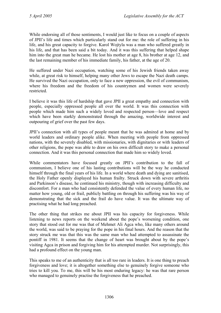While endorsing all of those sentiments, I would just like to focus on a couple of aspects of JPII's life and times which particularly stand out for me: the role of suffering in his life, and his great capacity to forgive. Karol Wojtyla was a man who suffered greatly in his life, and that has been said a bit today. And it was this suffering that helped shape him into the great man he became. He lost his mother at age 8, his brother at age 12, and the last remaining member of his immediate family, his father, at the age of 20.

He suffered under Nazi occupation, watching some of his Jewish friends taken away while, at great risk to himself, helping many other Jews to escape the Nazi death camps. He survived the Nazi occupation, only to face a new oppression, the evil of communism, where his freedom and the freedom of his countrymen and women were severely restricted.

I believe it was this life of hardship that gave JPII a great empathy and connection with people, especially oppressed people all over the world. It was this connection with people which made him such a widely loved and respected person—love and respect which have been starkly demonstrated through the amazing, worldwide interest and outpouring of grief over the past few days.

JPII's connection with all types of people meant that he was admired at home and by world leaders and ordinary people alike. When meeting with people from oppressed nations, with the severely disabled, with missionaries, with dignitaries or with leaders of other religions, the pope was able to draw on his own difficult story to make a personal connection. And it was this personal connection that made him so widely loved.

While commentators have focused greatly on JPII's contribution to the fall of communism, I believe one of his lasting contributions will be the way he conducted himself through the final years of his life. In a world where death and dying are sanitised, the Holy Father openly displayed his human frailty. Struck down with severe arthritis and Parkinson's disease, he continued his ministry, though with increasing difficulty and discomfort. For a man who had consistently defended the value of every human life, no matter how young, old or frail, publicly battling on through his suffering was his way of demonstrating that the sick and the frail do have value. It was the ultimate way of practising what he had long preached.

The other thing that strikes me about JPII was his capacity for forgiveness. While listening to news reports on the weekend about the pope's worsening condition, one story that stood out for me was that of Mehmet Ali Agca who, like many others around the world, was said to be praying for the pope in his final hours. And the reason that the story struck me was that this was the same man who had attempted to assassinate the pontiff in 1981. It seems that the change of heart was brought about by the pope's visiting Agca in prison and forgiving him for his attempted murder. Not surprisingly, this had a profound effect on the young man.

This speaks to me of an authenticity that is all too rare in leaders. It is one thing to preach forgiveness and love; it is altogether something else to genuinely forgive someone who tries to kill you. To me, this will be his most enduring legacy: he was that rare person who managed to genuinely practise the forgiveness that he preached.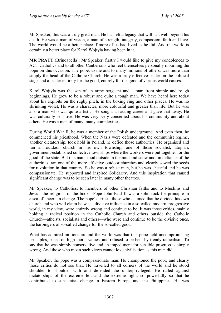Mr Speaker, this was a truly great man. He has left a legacy that will last well beyond his death. He was a man of vision, a man of strength, integrity, compassion, faith and love. The world would be a better place if more of us had lived as he did. And the world is certainly a better place for Karol Wojtyla having been in it.

**MR PRATT** (Brindabella): Mr Speaker, firstly I would like to give my condolences to ACT Catholics and to all other Canberrans who feel themselves personally mourning the pope on this occasion. The pope, to me and to many millions of others, was more than simply the head of the Catholic Church. He was a truly effective leader on the political stage and a leader entirely for the good, entirely for the good of various world causes.

Karol Wojtyla was the son of an army sergeant and a man from simple and rough beginnings. He grew to be a robust and quite a tough man. We have heard here today about his exploits on the rugby pitch, in the boxing ring and other places. He was no shrinking violet. He was a character, more colourful and greater than life. But he was also a man who was quite artistic. He sought an acting career and gave that away. He was culturally sensitive. He was very, very concerned about his community and about others. He was a man of many, many complexities.

During World War II, he was a member of the Polish underground. And even then, he commenced his priesthood. When the Nazis were defeated and the communist regime, another dictatorship, took hold in Poland, he defied those authorities. He organised and ran an outdoor church in his own township, one of those socialist, utopian, government-established collective townships where the workers were put together for the good of the state. But this man stood outside in the mud and snow and, in defiance of the authorities, ran one of the more effective outdoor churches and clearly sowed the seeds for revolution in that country. So he was a robust man, but he was cheerful and he was compassionate. He supported and inspired Solidarity. And this inspiration that caused significant change was to be seen later in many other theatres.

Mr Speaker, to Catholics, to members of other Christian faiths and to Muslims and Jews—the religions of the book—Pope John Paul II was a solid rock for principle in a sea of uncertain change. The pope's critics, those who claimed that he divided his own church and who will claim he was a divisive influence in a so-called modern, progressive world, in my view, were entirely wrong and continue to be. It was those critics, mainly holding a radical position in the Catholic Church and others outside the Catholic Church—atheists, socialists and others—who were and continue to be the divisive ones, the harbingers of so-called change for the so-called good.

What has admired millions around the world was that this pope held uncompromising principles, based on high moral values, and refused to be bent by trendy radicalism. To say that he was simply conservative and an impediment for sensible progress is simply wrong. And those who moan such views cannot love civilisation as this man did.

Mr Speaker, the pope was a compassionate man. He championed the poor, and clearly those critics do not see that. He travelled to all corners of the world and he stood shoulder to shoulder with and defended the underprivileged. He railed against dictatorships of the extreme left and the extreme right, so powerfully so that he contributed to substantial change in Eastern Europe and the Philippines. He was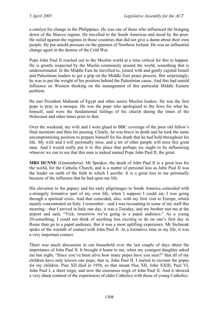a catalyst for change in the Philippines. He was one of those who influenced the bringing down of the Marcos regime. He travelled to the South Americas and stood by the poor. He railed against the regimes in those countries that did not give a damn about their own people. He put untold pressure on the gunmen of Northern Ireland. He was an influential change agent in the demise of the Cold War.

Pope John Paul II reached out to the Muslim world at a time critical for this to happen. He is greatly respected by the Muslin community around the world, something that is underestimated. In the Middle East he travelled to, joined with and gently cajoled Israeli and Palestinian leaders to get a grip on the Middle East peace process. But surprisingly, he was to put the weight of his position behind the Palestinian cause. And this had untold influence on Western thinking on the management of this particular Middle Eastern problem.

He met President Mubarak of Egypt and other senior Muslim leaders. He was the first pope to pray in a mosque. He was the pope who apologised to the Jews for what he, himself, said were the fundamental failings of his church during the times of the Holocaust and other times prior to that.

Over the weekend, my wife and I were glued to BBC coverage of the poor old fellow's final moments and then his passing. Clearly, he was brave in death and he took the same uncompromising position to prepare himself for his death that he had held throughout his life. My wife and I will personally miss, and a lot of other people will miss this great man. And I would really put it to this place that perhaps we ought to be influencing whoever we can to see that this man is indeed named Pope John Paul II, the great.

**MRS DUNNE** (Ginninderra): Mr Speaker, the death of John Paul II is a great loss for the world, for the Catholic Church, and is a matter of personal loss as John Paul II was the leader on earth of the faith to which I ascribe. It is a great loss to me personally because of the influence that he had upon my life.

His elevation to the papacy and his early pilgrimages to South America coincided with a strangely formative part of my own life, when I suppose I could say I was going through a spiritual crisis. And that coincided, also, with my first visit to Europe, which mainly concentrated on Italy. I remember—and I was recounting to some of my staff this morning—that I arrived in Italy one day, it was a Tuesday, and my brother met me at the airport and said, "Vick, tomorrow we're going to a papal audience." As a young 20-something, I could not think of anything less exciting to do on one's first day in Rome than go to a papal audience. But it was a most uplifting experience. Mr Stefaniak spoke of the warmth of contact with John Paul II. At a formative time in my life, it was a very important contact.

There was much discussion in our household over the last couple of days about the importance of John Paul II. It brought it home to me, when my youngest daughter asked me last night, "Since you've been alive how many popes have you seen?" that all of my children have only known one pope, that is, John Paul II. I started to recount the popes for my children. Pius XII died in 1958, so that meant Pius XII, John XXIII, Paul VI, John Paul I, a short reign, and now the enormous reign of John Paul II. And it showed a very sharp contrast of the experiences of older Catholics with those of young Catholics.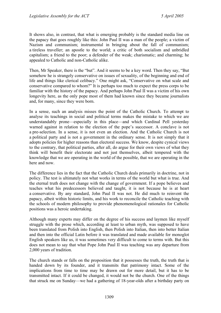It shows also, in contrast, that what is emerging probably is the standard media line on the papacy that goes roughly like this: John Paul II was a man of the people; a victim of Nazism and communism; instrumental in bringing about the fall of communism; a tireless traveller; an apostle to the world; a critic of both socialism and unbridled capitalism; a friend to the poor; a defender of the weak; charismatic; and charming; he appealed to Catholic and non-Catholic alike.

Then, Mr Speaker, there is the "but". And it seems to be a key word. Then they say, "But somehow he is strangely conservative on issues of sexuality, of the beginning and end of life and things like clerical celibacy." One might ask, "Conservative on what scale and conservative compared to whom?" It is perhaps too much to expect the press corps to be familiar with the history of the papacy. And perhaps John Paul II was a victim of his own longevity here, as the only pope most of them had known since they became journalists and, for many, since they were born.

In a sense, such an analysis misses the point of the Catholic Church. To attempt to analyse its teachings in social and political terms makes the mistake to which we are understandably prone—especially in this place—and which Cardinal Pell yesterday warned against in relation to the election of the pope's successor. A conclave is not a pre-selection. In a sense, it is not even an election. And the Catholic Church is not a political party and is not a government in the ordinary sense. It is not simply that it adopts policies for higher reasons than electoral success. We know, despite cynical views to the contrary, that political parties, after all, do argue for their own views of what they think will benefit their electorate and not just themselves, albeit tempered with the knowledge that we are operating in the world of the possible, that we are operating in the here and now.

The difference lies in the fact that the Catholic Church deals primarily in doctrine, not in policy. The test is ultimately not what works in terms of the world but what is true. And the eternal truth does not change with the change of government. If a pope believes and teaches what his predecessors believed and taught, it is not because he is at heart a conservative. By any standard, John Paul II was not. He did much to reinvent the papacy, albeit within historic limits, and his work to reconcile the Catholic teaching with the schools of modern philosophy to provide phenomenological rationales for Catholic positions was a heroic undertaking.

Although many experts may differ on the degree of his success and laymen like myself struggle with the prose which, according at least to urban myth, was supposed to have been translated from Polish into English, then Polish into Italian, then into better Italian and then into the official Latin before it was translated and made available for monoglot English speakers like us, it was sometimes very difficult to come to terms with. But this does not mean to say that what Pope John Paul II was teaching was any departure from 2,000 years of tradition.

The church stands or falls on the proposition that it possesses the truth, the truth that is handed down by its founder, and it transmits that patrimony intact. Some of the implications from time to time may be drawn out for more detail, but it has to be transmitted intact. If it could be changed, it would not be the church. One of the things that struck me on Sunday—we had a gathering of 18-year-olds after a birthday party on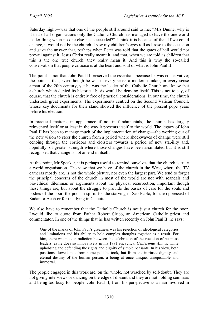Saturday night—was that one of the people still around said to me; "Mrs Dunne, why is it that of all organisations only the Catholic Church has managed to have the one world leader thing when no-one else has succeeded?" I think it is because of that. If we could change, it would not be the church. I saw my children's eyes roll as I rose to the occasion and gave the answer that, perhaps when Peter was told that the gates of hell would not prevail against it, Jesus Christ really meant it; and that, when we are told as children that this is the one true church, they really mean it. And this is why the so-called conservatism that people criticise is at the heart and soul of what is John Paul II.

The point is not that John Paul II preserved the essentials because he was conservative; the point is that, even though he was in every sense a modern thinker, in every sense a man of the 20th century, yet he was the leader of the Catholic Church and knew that a church which denied its historical basis would be denying itself. This is not to say, of course, that the church is entirely free of practical considerations. In our time, the church undertook great experiments. The experiments centred on the Second Vatican Council, whose key documents for their stand showed the influence of the present pope years before his election.

In practical matters, in appearance if not in fundamentals, the church has largely reinvented itself or at least in the way it presents itself to the world. The legacy of John Paul II has been to manage much of the implementation of change—the working out of the new vision to steer the church from a period where shockwaves of change were still echoing through the corridors and cloisters towards a period of new stability and, hopefully, of greater strength where those changes have been assimilated but it is still recognised that change is not an end in itself.

At this point, Mr Speaker, it is perhaps useful to remind ourselves that the church is truly a world organisation. The view that we have of the church in the West, where the TV cameras mostly are, is not the whole picture, nor even the largest part. We tend to forget the principal concerns of the church in most of the world are not with scandals and bio-ethical dilemmas or arguments about the physical resurrection, important though these things are, but about the struggle to provide the basics of care for the souls and bodies of the poor, the poor in spirit, for the starving in Sao Paolo, for the oppressed of Sudan or Aceh or for the dying in Calcutta.

We also have to remember that the Catholic Church is not just a church for the poor. I would like to quote from Father Robert Sirico, an American Catholic priest and commentator. In one of the things that he has written recently on John Paul II, he says:

One of the marks of John Paul's greatness was his rejection of ideological categories and limitations and his ability to hold complex thoughts together as a result. For him, there was no contradiction between the celebration of the vocation of business leaders, as he does so innovatively in his 1991 encyclical *Centesimus Annus*, while upholding and defending the rights and dignity of simple peasants. In his view, both positions flowed, not from some poll he took, but from the intrinsic dignity and eternal destiny of the human person: a being at once unique, unrepeatable and immortal.

The people engaged in this work are, on the whole, not wracked by self-doubt. They are not giving interviews or dancing on the edge of dissent and they are not holding seminars and being too busy for people. John Paul II, from his perspective as a man involved in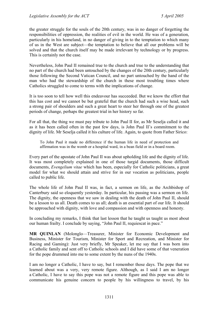the greater struggle for the souls of the 20th century, was in no danger of forgetting the responsibilities of oppression, the realities of evil in the world. He was of a generation, particularly in his homeland, in no danger of giving in to the temptation to which many of us in the West are subject—the temptation to believe that all our problems will be solved and that the church itself may be made irrelevant by technology or by progress. This is certainly not the case.

Nevertheless, John Paul II remained true to the church and true to the understanding that no part of the church had been untouched by the changes of the 20th century, particularly those following the Second Vatican Council, and no part untouched by the hand of the man who had the stewardship of the church in these most troubling times where Catholics struggled to come to terms with the implications of change.

It is too soon to tell how well this endeavour has succeeded. But we know the effort that this has cost and we cannot be but grateful that the church had such a wise head, such a strong pair of shoulders and such a great heart to steer her through one of the greatest periods of change, perhaps the greatest trial in her history so far.

For all that, the thing we must pay tribute to John Paul II for, as Mr Seselja called it and as it has been called often in the past few days, is John Paul II's commitment to the dignity of life. Mr Seselja called it his culture of life. Again, to quote from Father Sirico:

To John Paul it made no difference if the human life in need of protection and affirmation was in the womb or a hospital ward, in a bean field or in a board room.

Every part of the apostate of John Paul II was about upholding life and the dignity of life. It was most completely explained in one of those turgid documents, those difficult documents, *Evengelium vitae* which has been, especially for Catholic politicians, a great model for what we should attain and strive for in our vocation as politicians, people called to public life.

The whole life of John Paul II was, in fact, a sermon on life, as the Archbishop of Canterbury said so eloquently yesterday. In particular, his passing was a sermon on life. The dignity, the openness that we saw in dealing with the death of John Paul II, should be a lesson to us all. Death comes to us all; death is an essential part of our life. It should be approached with dignity, with love and compassion and with openness and honesty.

In concluding my remarks, I think that last lesson that he taught us taught us most about our human frailty. I conclude by saying, "John Paul II, requiescat in pace."

**MR QUINLAN** (Molonglo—Treasurer, Minister for Economic Development and Business, Minister for Tourism, Minister for Sport and Recreation, and Minister for Racing and Gaming): Just very briefly, Mr Speaker, let me say that I was born into a Catholic family and sent off to Catholic schools and I did have some of that veneration for the pope drummed into me to some extent by the nuns of the 1940s.

I am no longer a Catholic, I have to say, but I remember those days. The pope that we learned about was a very, very remote figure. Although, as I said I am no longer a Catholic, I have to say this pope was not a remote figure and this pope was able to communicate his genuine concern to people by his willingness to travel, by his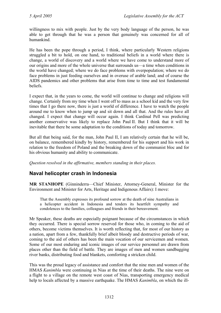willingness to mix with people. Just by the very body language of the person, he was able to get through that he was a person that genuinely was concerned for all of humankind.

He has been the pope through a period, I think, where particularly Western religions struggled a bit to hold, on one hand, to traditional beliefs in a world where there is change, a world of discovery and a world where we have come to understand more of our origins and more of the whole universe that surrounds us—a time when conditions in the world have changed; where we do face problems with overpopulation; where we do face problems in just feeding ourselves and in overuse of arable land; and of course the AIDS pandemics and other problems that arise from time to time and test fundamental beliefs.

I expect that, in the years to come, the world will continue to change and religions will change. Certainly from my time when I went off to mass as a school kid and the very few times that I go there now, there is just a world of difference. I have to watch the people around me to know when to jump up and sit down and all that. And the rules have all changed. I expect that change will occur again. I think Cardinal Pell was predicting another conservative was likely to replace John Paul II. But I think that it will be inevitable that there be some adaptation to the conditions of today and tomorrow.

But all that being said, for the man, John Paul II, I am relatively certain that he will be, on balance, remembered kindly by history, remembered for his support and his work in relation to the freedom of Poland and the breaking down of the communist bloc and for his obvious humanity and ability to communicate.

*Question resolved in the affirmative, members standing in their places.* 

# <span id="page-19-0"></span>**Naval helicopter crash in Indonesia**

**MR STANHOPE** (Ginninderra—Chief Minister, Attorney-General, Minister for the Environment and Minister for Arts, Heritage and Indigenous Affairs): I move:

That the Assembly expresses its profound sorrow at the death of nine Australians in a helicopter accident in Indonesia and tenders its heartfelt sympathy and condolences to the families, colleagues and friends in their bereavement.

Mr Speaker, these deaths are especially poignant because of the circumstances in which they occurred. There is special sorrow reserved for those who, in coming to the aid of others, become victims themselves. It is worth reflecting that, for most of our history as a nation, apart from a few, thankfully brief albeit bloody and destructive periods of war, coming to the aid of others has been the main vocation of our servicemen and women. Some of our most enduring and iconic images of our service personnel are drawn from places other than the field of battle. They are images of men and women sandbagging river banks, distributing food and blankets, comforting a stricken child.

This was the proud legacy of assistance and comfort that the nine men and women of the HMAS *Kanimbla* were continuing in Nias at the time of their deaths. The nine were on a flight to a village on the remote west coast of Nias, transporting emergency medical help to locals affected by a massive earthquake. The HMAS *Kanimbla*, on which the ill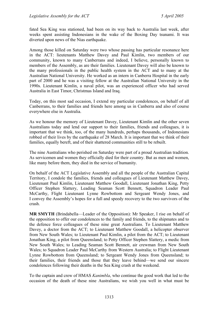fated Sea King was stationed, had been on its way back to Australia last week, after weeks spent assisting Indonesians in the wake of the Boxing Day tsunami. It was diverted upon news of the Nias earthquake.

Among those killed on Saturday were two whose passing has particular resonance here in the ACT: lieutenants Matthew Davey and Paul Kimlin, two members of our community, known to many Canberrans and indeed, I believe, personally known to members of the Assembly, as are their families. Lieutenant Davey will also be known to the many professionals in the public health system in the ACT and to many at the Australian National University. He worked as an intern in Canberra Hospital in the early part of 2000 and he was a visiting fellow at the Australian National University in the 1990s. Lieutenant Kimlin, a naval pilot, was an experienced officer who had served Australia in East Timor, Christmas Island and Iraq.

Today, on this most sad occasion, I extend my particular condolences, on behalf of all Canberrans, to their families and friends here among us in Canberra and also of course everywhere else in Australia.

As we honour the memory of Lieutenant Davey, Lieutenant Kimlin and the other seven Australians today and lend our support to their families, friends and colleagues, it is important that we think, too, of the many hundreds, perhaps thousands, of Indonesians robbed of their lives by the earthquake of 28 March. It is important that we think of their families, equally bereft, and of their shattered communities still to be rebuilt.

The nine Australians who perished on Saturday were part of a proud Australian tradition. As servicemen and women they officially died for their country. But as men and women, like many before them, they died in the service of humanity.

On behalf of the ACT Legislative Assembly and all the people of the Australian Capital Territory, I condole the families, friends and colleagues of Lieutenant Matthew Davey, Lieutenant Paul Kimlin, Lieutenant Matthew Goodall, Lieutenant Jonathan King, Petty Officer Stephen Slattery, Leading Seaman Scott Bennett, Squadron Leader Paul McCarthy, Flight Lieutenant Lynne Rowbottom and Sergeant Wendy Jones, and I convey the Assembly's hopes for a full and speedy recovery to the two survivors of the crash.

**MR SMYTH** (Brindabella—Leader of the Opposition): Mr Speaker, I rise on behalf of the opposition to offer our condolences to the family and friends, to the shipmates and to the defence force colleagues of these nine great Australians. To Lieutenant Matthew Davey, a doctor from the ACT; to Lieutenant Matthew Goodall, a helicopter observer from New South Wales; to Lieutenant Paul Kimlin, a pilot from the ACT; to Lieutenant Jonathan King, a pilot from Queensland; to Petty Officer Stephen Slattery, a medic from New South Wales; to Leading Seaman Scott Bennett, air crewman from New South Wales; to Squadron Leader Paul McCarthy from Western Australia; to Flight Lieutenant Lynne Rowbottom from Queensland; to Sergeant Wendy Jones from Queensland; to their families, their friends and those that they leave behind—we send our sincere condolences following their deaths in the Sea King crash at the weekend.

To the captain and crew of HMAS *Kanimbla*, who continue the good work that led to the occasion of the death of these nine Australians, we wish you well in what must be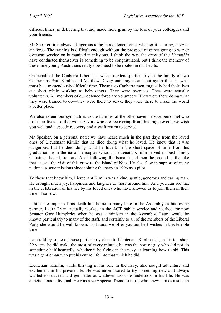difficult times, in delivering that aid, made more grim by the loss of your colleagues and your friends.

Mr Speaker, it is always dangerous to be in a defence force, whether it be army, navy or air force. The training is difficult enough without the prospect of either going to war or overseas service on humanitarian missions. I think the way the crew of the *Kanimbla* have conducted themselves is something to be congratulated, but I think the memory of these nine young Australians really does need to be rooted in our hearts.

On behalf of the Canberra Liberals, I wish to extend particularly to the family of two Canberrans Paul Kimlin and Matthew Davey our prayers and our sympathies in what must be a tremendously difficult time. These two Canberra men tragically had their lives cut short while working to help others. They were overseas. They were actually volunteers. All members of our defence force are volunteers. They were there doing what they were trained to do—they were there to serve, they were there to make the world a better place.

We also extend our sympathies to the families of the other seven service personnel who lost their lives. To the two survivors who are recovering from this tragic event, we wish you well and a speedy recovery and a swift return to service.

Mr Speaker, on a personal note: we have heard much in the past days from the loved ones of Lieutenant Kimlin that he died doing what he loved. He knew that it was dangerous, but he died doing what he loved. In the short space of time from his graduation from the naval helicopter school, Lieutenant Kimlin served in East Timor, Christmas Island, Iraq and Aceh following the tsunami and then the second earthquake that caused the visit of this crew to the island of Nias. He also flew in support of many national rescue missions since joining the navy in 1996 as a pilot.

To those that knew him, Lieutenant Kimlin was a kind, gentle, generous and caring man. He brought much joy, happiness and laughter to those around him. And you can see that in the celebration of his life by his loved ones who have allowed us to join them in their time of sorrow.

I think the impact of his death hits home to many here in the Assembly as his loving partner, Laura Ryan, actually worked in the ACT public service and worked for now Senator Gary Humphries when he was a minister in the Assembly. Laura would be known particularly to many of the staff, and certainly to all of the members of the Liberal Party she would be well known. To Laura, we offer you our best wishes in this terrible time.

I am told by some of those particularly close to Lieutenant Kimlin that, in his too short 29 years, he did make the most of every minute; he was the sort of guy who did not do something half-heartedly, whether it be flying in the navy or learning how to ski. This was a gentleman who put his entire life into that which he did.

Lieutenant Kimlin, while thriving in his role in the navy, also sought adventure and excitement in his private life. He was never scared to try something new and always wanted to succeed and get better at whatever tasks he undertook in his life. He was a meticulous individual. He was a very special friend to those who knew him as a son, an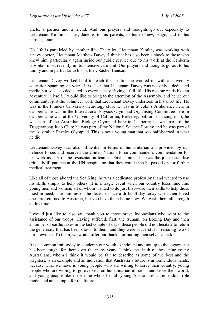uncle, a partner and a friend. And our prayers and thoughts go out especially to Lieutenant Kimlin's sister, Janelle, to his parents, to his nephew, Hugo, and to his partner, Laura.

His life is paralleled by another life. The pilot, Lieutenant Kimlin, was working with a navy doctor, Lieutenant Matthew Davey. I think it has also been a shock to those who knew him, particularly again inside our public service due to his work at the Canberra Hospital, most recently in its intensive care unit. Our prayers and thoughts go out to his family and in particular to his partner, Rachel Henson.

Lieutenant Davey worked hard to reach the position he worked in, with a university education spanning six years. It is clear that Lieutenant Davey was not only a dedicated medic but was also dedicated to every facet of living a full life. His resume reads like an adventure in itself. I would like to bring to the attention of the Assembly, and hence our community, just the volunteer work that Lieutenant Davey undertook in his short life. He was in the Flinders University neurology club; he was in St John's Ambulance here in Canberra; he was in the International Physics Olympiad Organising Committee here in Canberra; he was at the University of California, Berkeley, ballroom dancing club; he was part of the Australian Biology Olympiad here in Canberra; he was part of the Tuggeranong Judo Club; he was part of the National Science Forum; and he was part of the Australian Physics Olympiad. This is not a young man that was half-hearted in what he did.

Lieutenant Davey was also influential in terms of humanitarian aid provided by our defence forces and received the United Nations force commander's commendation for his work as part of the resuscitation team in East Timor. This was the job to stabilise critically ill patients at the UN hospital so that they could then be passed on for further medical treatment.

Like all of those aboard the Sea King, he was a dedicated professional and wanted to use his skills simply to help others. It is a tragic event when our country loses nine fine young men and women, all of whom wanted to do just that—use their skills to help those most in need. The families of the deceased face a difficult day today when their loved ones are returned to Australia, but you have them home now. We wish them all strength at this time.

I would just like to also say thank you to those brave Indonesians who went to the assistance of our troops. Having suffered, first, the tsunami on Boxing Day and then a number of earthquakes in the last couple of days, these people did not hesitate to return the generosity that has been shown to them, and they were successful in rescuing two of our crewmen. To them, we would offer our thanks for putting themselves at risk.

It is a common trait today to condemn our youth as indolent and not up to the legacy that has been fought for them over the many years. I think the death of these nine young Australians, whom I think it would be fair to describe as some of the best and the brightest, is an example and an indication that Australia's future is in tremendous hands, because what we have is young people who are willing to serve their country, young people who are willing to go overseas on humanitarian missions and serve their world, and young people like these nine who offer all young Australians a tremendous role model and an example for the future.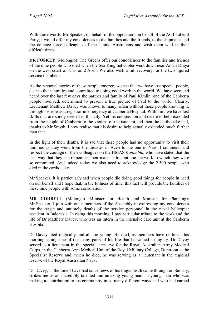With these words, Mr Speaker, on behalf of the opposition, on behalf of the ACT Liberal Party, I would offer my condolences to the families and the friends, to the shipmates and the defence force colleagues of these nine Australians and wish them well in their difficult times.

**DR FOSKEY** (Molonglo): The Greens offer our condolences to the families and friends of the nine people who died when the Sea King helicopter went down near Aman Draya on the west coast of Nias on 2 April. We also wish a full recovery for the two injured service members.

As the personal stories of these people emerge, we see that we have lost special people, dear to their families and committed to doing good work in the world. We have seen and heard over the last few days the partner and family of Paul Kimlin, one of the Canberra people involved, determined to present a true picture of Paul to the world. Clearly, Lieutenant Matthew Davey was known to many, often without those people knowing it, through his role as a registrar in emergency at Canberra Hospital. With him, we have lost skills that are sorely needed in this city. Yet his compassion and desire to help extended from the people of Canberra to the victims of the tsunami and then the earthquake and, thanks to Mr Smyth, I now realise that his desire to help actually extended much further than that.

In the light of their deaths, it is sad that these people had no opportunity to visit their families as they went from the disaster in Aceh to the one in Nias. I commend and respect the courage of their colleagues on the HMAS *Kanimbla*, who have stated that the best way that they can remember their mates is to continue the work to which they were so committed. And indeed today we also need to acknowledge the 2,500 people who died in the earthquake.

Mr Speaker, it is particularly sad when people die doing good things for people in need on our behalf and I hope that, in the fullness of time, this fact will provide the families of these nine people with some consolation.

**MR CORBELL** (Molonglo—Minister for Health and Minister for Planning): Mr Speaker, I join with other members of the Assembly in expressing my condolences for the tragic and untimely deaths of the service personnel in the naval helicopter accident in Indonesia. In rising this morning, I pay particular tribute to the work and the life of Dr Matthew Davey, who was an intern in the intensive care unit at the Canberra Hospital.

Dr Davey died tragically and all too young. He died, as members have outlined this morning, doing one of the many parts of his life that he valued so highly. Dr Davey served as a lieutenant in the specialist reserve for the Royal Australian Army Medical Corps, in the Canberra Area Medical Unit of the Royal Military College, Duntroon, a the Specialist Reserve and, when he died, he was serving as a lieutenant in the regional reserve of the Royal Australian Navy.

Dr Davey, in the time I have had since news of his tragic death came through on Sunday, strikes me as an incredibly talented and amazing young man—a young man who was making a contribution to his community in so many different ways and who had earned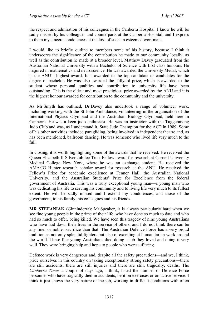the respect and admiration of his colleagues in the Canberra Hospital. I know he will be sadly missed by his colleagues and counterparts at the Canberra Hospital, and I express to them my sincere condolences at the loss of such an esteemed workmate.

I would like to briefly outline to members some of his history, because I think it underscores the significance of the contribution he made to our community locally, as well as the contribution he made at a broader level. Matthew Davey graduated from the Australian National University with a Bachelor of Science with first class honours. He majored in mathematics and neuroscience. He was awarded the University Medal, which is the ANU's highest award. It is awarded to the top candidate or candidates for the degree of bachelor. He was also awarded the Tillyard prize, which is awarded to the student whose personal qualities and contribution to university life have been outstanding. This is the oldest and most prestigious prize awarded by the ANU and it is the highest honour awarded for contribution to the community and the university.

As Mr Smyth has outlined, Dr Davey also undertook a range of volunteer work, including working with the St John Ambulance, volunteering in the organisation of the International Physics Olympiad and the Australian Biology Olympiad, held here in Canberra. He was a keen judo enthusiast. He was an instructor with the Tuggeranong Judo Club and was, as I understand it, State Judo Champion for the ACT in 1989. Some of his other activities included paragliding, being involved in independent theatre and, as has been mentioned, ballroom dancing. He was someone who lived life very much to the full.

In closing, it is worth highlighting some of the awards that he received. He received the Queen Elizabeth II Silver Jubilee Trust Fellow award for research at Cornell University Medical College New York, where he was an exchange student. He received the AMA/JG Hunter research scholar award for research at the ANU. He received the Fellow's Prize for academic excellence at Fenner Hall, the Australian National University, and the Australian Students' Prize for Excellence from the federal government of Australia. This was a truly exceptional young man—a young man who was dedicating his life to serving his community and to living life very much to its fullest extent. He will be sadly missed and I extend my condolences, and those of the government, to his family, his colleagues and his friends.

**MR STEFANIAK** (Ginninderra): Mr Speaker, it is always particularly hard when we see fine young people in the prime of their life, who have done so much to date and who had so much to offer, being killed. We have seen this tragedy of nine young Australians who have laid down their lives in the service of others, and I do not think there can be any finer or nobler sacrifice than that. The Australian Defence Force has a very proud tradition as not only splendid fighters but also of excelling at humanitarian work around the world. These fine young Australians died doing a job they loved and doing it very well. They were bringing help and hope to people who were suffering.

Defence work is very dangerous and, despite all the safety precautions—and we, I think, pride ourselves in this country on taking exceptionally strong safety precautions—there are still accidents, there are still injuries and there are still, tragically, deaths. The *Canberra Times* a couple of days ago, I think, listed the number of Defence Force personnel who have tragically died in accidents, be it on exercises or on active service. I think it just shows the very nature of the job, working in difficult conditions with often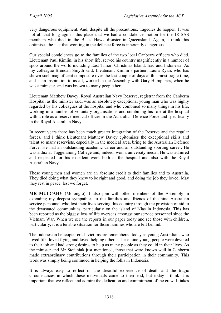very dangerous equipment. And, despite all the precautions, tragedies do happen. It was not all that long ago in this place that we had a condolence motion for the 18 SAS members who died in the Black Hawk disaster in Queensland. Again, I think this optimises the fact that working in the defence force is inherently dangerous.

Our special condolences go to the families of the two local Canberra officers who died. Lieutenant Paul Kimlin, in his short life, served his country magnificently in a number of spots around the world including East Timor, Christmas Island, Iraq and Indonesia. As my colleague Brendan Smyth said, Lieutenant Kimlin's partner, Laura Ryan, who has shown such magnificent composure over the last couple of days at this most tragic time, and is an inspiration to us all, worked in the Assembly with Gary Humphries, when he was a minister, and was known to many people here.

Lieutenant Matthew Davey, Royal Australian Navy Reserve, registrar from the Canberra Hospital, as the minister said, was an absolutely exceptional young man who was highly regarded by his colleagues at the hospital and who combined so many things in his life, working in a number of voluntary organisations and combining his role at the hospital with a role as a reserve medical officer in the Australian Defence Force and specifically in the Royal Australian Navy.

In recent years there has been much greater integration of the Reserve and the regular forces, and I think Lieutenant Matthew Davey epitomises the exceptional skills and talent so many reservists, especially in the medical area, bring to the Australian Defence Force. He had an outstanding academic career and an outstanding sporting career. He was a dux at Tuggeranong College and, indeed, won a university medal. He was admired and respected for his excellent work both at the hospital and also with the Royal Australian Navy.

These young men and women are an absolute credit to their families and to Australia. They died doing what they knew to be right and good, and doing the job they loved. May they rest in peace, lest we forget.

**MR MULCAHY** (Molonglo): I also join with other members of the Assembly in extending my deepest sympathies to the families and friends of the nine Australian service personnel who lost their lives serving this country through the provision of aid to the devastated communities, particularly on the island of Nias in Indonesia. This has been reported as the biggest loss of life overseas amongst our service personnel since the Vietnam War. When we see the reports in our paper today and see those with children, particularly, it is a terrible situation for those families who are left behind.

The Indonesian helicopter crash victims are remembered today as young Australians who loved life, loved flying and loved helping others. These nine young people were devoted to their job and had strong desires to help as many people as they could in their lives. As the minister and Mr Stefaniak just mentioned, those that were known well in Canberra made extraordinary contributions through their participation in their community. This work was simply being continued in helping the folks in Indonesia.

It is always easy to reflect on the dreadful experience of death and the tragic circumstances in which these individuals came to their end, but today I think it is important that we reflect and admire the dedication and commitment of the crew. It takes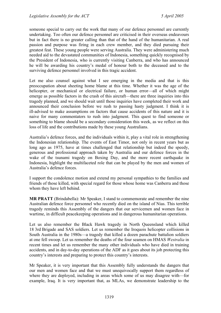someone special to carry out the work that many of our defence personnel are currently undertaking. Too often our defence personnel are criticised in their overseas endeavours but in fact there is no greater calling than that of the hand of the humanitarian. A real passion and purpose was firing in each crew member, and they died pursuing their greatest feat. These young people were serving Australia. They were administering much needed aid to the devastated communities of Indonesia, something quickly recognised by the President of Indonesia, who is currently visiting Canberra, and who has announced he will be awarding his country's medal of honour both to the deceased and to the surviving defence personnel involved in this tragic accident.

Let me also counsel against what I see emerging in the media and that is this preoccupation about sheeting home blame at this time. Whether it was the age of the helicopter, or mechanical or electrical failure, or human error—all of which might emerge as possible factors in the crash of this aircraft—there are three inquiries into this tragedy planned, and we should wait until those inquiries have completed their work and announced their conclusion before we rush to passing hasty judgment. I think it is ill-advised to make assumptions on factors that cause accidents of this nature and it is naive for many commentators to rush into judgment. This quest to find someone or something to blame should be a secondary consideration this week, as we reflect on this loss of life and the contributions made by these young Australians.

Australia's defence forces, and the individuals within it, play a vital role in strengthening the Indonesian relationship. The events of East Timor, not only in recent years but as long ago as 1975, have at times challenged that relationship but indeed the speedy, generous and professional approach taken by Australia and our defence forces in the wake of the tsunami tragedy on Boxing Day, and the more recent earthquake in Indonesia, highlight the multifaceted role that can be played by the men and women of Australia's defence forces.

I support the condolence motion and extend my personal sympathies to the families and friends of those killed, with special regard for those whose home was Canberra and those whom they have left behind.

**MR PRATT** (Brindabella): Mr Speaker, I stand to commemorate and remember the nine Australian defence force personnel who recently died on the island of Nias. This terrible tragedy reminds this Assembly of the dangers that our servicemen and women face in wartime, in difficult peacekeeping operations and in dangerous humanitarian operations.

Let us also remember the Black Hawk tragedy in North Queensland which killed 18 3rd Brigade and SAS soldiers. Let us remember the Iroquois helicopter collisions in South Australia in the 1980s—a tragedy that killed a dozen parachute battalion soldiers at one fell swoop. Let us remember the deaths of the four seamen on HMAS *Westralia* in recent times and let us remember the many other individuals who have died in training accidents, and in day-to-day operations of the ADF as it goes about its job protecting this country's interests and preparing to protect this country's interests.

Mr Speaker, it is very important that this Assembly fully understands the dangers that our men and women face and that we must unequivocally support them regardless of where they are deployed, including in areas which some of us may disagree with—for example, Iraq. It is very important that, as MLAs, we demonstrate leadership to the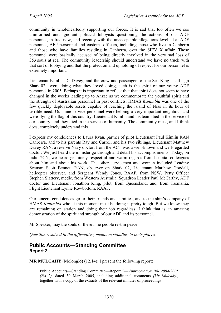community in wholeheartedly supporting our forces. It is sad that too often we see uninformed and ignorant political lobbyists questioning the actions of our ADF personnel, in Iraq now, and recently with the unacceptable allegations levelled at ADF personnel, AFP personnel and customs officers, including those who live in Canberra and those who have families residing in Canberra, over the SIEV X affair. Those personnel were basically accused of being directly involved in the very sad loss of 353 souls at sea. The community leadership should understand we have no truck with that sort of lobbying and that the protection and upholding of respect for our personnel is extremely important.

Lieutenant Kimlin, Dr Davey, and the crew and passengers of the Sea King—call sign Shark 02—were doing what they loved doing, such is the spirit of our young ADF personnel in 2005. Perhaps it is important to reflect that that spirit does not seem to have changed in the weeks leading up to Anzac as we commemorate the youthful spirit and the strength of Australian personnel in past conflicts. HMAS *Kanimbla* was one of the few quickly deployable assets capable of reaching the island of Nias in its hour of terrible need. Our nine service personnel were helping a very important neighbour and were flying the flag of this country. Lieutenant Kimlin and his team died in the service of our country, and they died in the service of humanity. The community must, and I think does, completely understand this.

I express my condolences to Laura Ryan, partner of pilot Lieutenant Paul Kimlin RAN Canberra, and to his parents Ray and Carroll and his two siblings. Lieutenant Matthew Davey RAN, a reserve Navy doctor, from the ACT was a well-known and well-regarded doctor. We just heard the minister go through and detail his accomplishments. Today, on radio 2CN, we heard genuinely respectful and warm regards from hospital colleagues about him and about his work. The other servicemen and women included Leading Seaman Scott Bennet, RAN, observer on Shark 02, Lieutenant Matthew Goodall, helicopter observer, and Sergeant Wendy Jones, RAAF, from NSW. Petty Officer Stephen Slattery, medic, from Western Australia. Squadron Leader Paul McCarthy, ADF doctor and Lieutenant Jonathon King, pilot, from Queensland, and, from Tasmania, Flight Lieutenant Lynne Rowbottom, RAAF.

Our sincere condolences go to their friends and families, and to the ship's company of HMAS *Kanimbla* who at this moment must be doing it pretty tough. But we know they are remaining on station and doing their job regardless. I think that is an amazing demonstration of the spirit and strength of our ADF and its personnel.

Mr Speaker, may the souls of these nine people rest in peace.

*Question resolved in the affirmative, members standing in their places.* 

## <span id="page-27-0"></span>**Public Accounts—Standing Committee Report 2**

**MR MULCAHY** (Molonglo) (12.14): I present the following report:

Public Accounts—Standing Committee—Report 2—*Appropriation Bill 2004-2005 (No 2),* dated 30 March 2005, including additional comments *(Mr Mulcahy),* together with a copy of the extracts of the relevant minutes of proceedings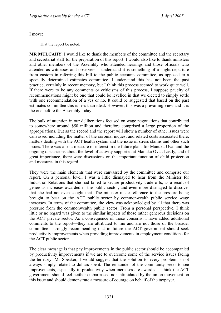I move:

That the report be noted.

**MR MULCAHY**: I would like to thank the members of the committee and the secretary and secretariat staff for the preparation of this report. I would also like to thank ministers and other members of the Assembly who attended hearings and those officials who attended as witnesses and observers. I understand it is something of a slight departure from custom in referring this bill to the public accounts committee, as opposed to a specially determined estimates committee. I understand this has not been the past practice, certainly in recent memory, but I think this process seemed to work quite well. If there were to be any comments or criticisms of this process, I suppose paucity of recommendations might be one that could be levelled in that we elected to simply settle with one recommendation of a yes or no. It could be suggested that based on the past estimates committee this is less than ideal. However, this was a prevailing view and it is the one before the Assembly today.

The bulk of attention in our deliberations focused on wage negotiations that contributed to somewhere around \$50 million and therefore comprised a large proportion of the appropriations. But as the record and the report will show a number of other issues were canvassed including the matter of the coronial inquest and related costs associated there, matters dealing with the ACT health system and the issue of stress claims and other such issues. There was also a measure of interest in the future plans for Manuka Oval and the ongoing discussions about the level of activity supported at Manuka Oval. Lastly, and of great importance, there were discussions on the important function of child protection and measures in this regard.

They were the main elements that were canvassed by the committee and comprise our report. On a personal level, I was a little dismayed to hear from the Minister for Industrial Relations that she had failed to secure productivity trade offs, as a result of generous increases awarded in the public sector, and even more dismayed to discover that she had not even sought that. The minister made reference to the pressure being brought to bear on the ACT public sector by commonwealth public service wage increases. In terms of the committee, the view was acknowledged by all that there was pressure from the commonwealth public sector. From a personal perspective, I think little or no regard was given to the similar impacts of those rather generous decisions on the ACT private sector. As a consequence of those concerns, I have added additional comments to the report—they are attributed to me and are not those of the broader committee—strongly recommending that in future the ACT government should seek productivity improvements when providing improvements in employment conditions for the ACT public sector.

The clear message is that pay improvements in the public sector should be accompanied by productivity improvements if we are to overcome some of the service issues facing the territory. Mr Speaker, I would suggest that the solution to every problem is not always simply related to dollars spent. The remainder of the community seeks to see improvements, especially in productivity when increases are awarded. I think the ACT government should feel neither embarrassed nor intimidated by the union movement on this issue and should demonstrate a measure of courage on behalf of the taxpayer.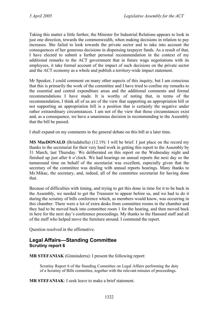Taking this matter a little further, the Minister for Industrial Relations appears to look in just one direction, towards the commonwealth, when making decisions in relation to pay increases. She failed to look towards the private sector and to take into account the consequences of her generous decisions in dispensing taxpayer funds. As a result of that, I have elected to submit a further personal recommendation in the context of my additional remarks to the ACT government that in future wage negotiations with its employees, it take formal account of the impact of such decisions on the private sector and the ACT economy as a whole and publish a territory-wide impact statement.

Mr Speaker, I could comment on many other aspects of this inquiry, but I am conscious that this is primarily the work of the committee and I have tried to confine my remarks to the essential and central expenditure areas and the additional comments and formal recommendations I have made. It is worthy of noting that, in terms of the recommendation, I think all of us are of the view that supporting an appropriation bill or not supporting an appropriation bill is a position that is certainly the negative under rather extraordinary circumstances. I am not of the view that those circumstances exist and, as a consequence, we have a unanimous decision in recommending to the Assembly that the bill be passed.

I shall expand on my comments in the general debate on this bill at a later time.

**MS MacDONALD** (Brindabella) (12.19): I will be brief. I just place on the record my thanks to the secretariat for their very hard work in getting this report to the Assembly by 31 March, last Thursday. We deliberated on this report on the Wednesday night and finished up just after 6 o'clock. We had hearings on annual reports the next day so the turnaround time on behalf of the secretariat was excellent, especially given that the secretary of the committee was dealing with annual reports hearings. Many thanks to Ms Mikac, the secretary, and, indeed, all of the committee secretariat for having done that.

Because of difficulties with timing, and trying to get this done in time for it to be back in the Assembly, we needed to get the Treasurer to appear before us, and we had to do it during the scrutiny of bills conference which, as members would know, was occurring in this chamber. There were a lot of extra desks from committee rooms in the chamber and they had to be moved back into committee room 1 for the hearing, and then moved back in here for the next day's conference proceedings. My thanks to the Hansard staff and all of the staff who helped move the furniture around. I commend the report.

Question resolved in the affirmative.

## <span id="page-29-0"></span>**Legal Affairs—Standing Committee Scrutiny report 6**

**MR STEFANIAK** (Ginninderra): I present the following report:

Scrutiny Report 6 of the Standing Committee on Legal Affairs performing the duty of a Scrutiny of Bills committee, together with the relevant minutes of proceedings.

**MR STEFANIAK**: I seek leave to make a brief statement.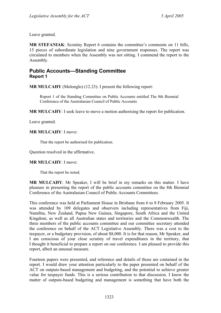Leave granted.

**MR STEFANIAK**: Scrutiny Report 6 contains the committee's comments on 11 bills, 15 pieces of subordinate legislation and nine government responses. The report was circulated to members when the Assembly was not sitting. I commend the report to the Assembly.

## <span id="page-30-0"></span>**Public Accounts—Standing Committee Report 1**

**MR MULCAHY** (Molonglo) (12.23): I present the following report:

Report 1 of the Standing Committee on Public Accounts entitled The 8th Biennial Conference of the Australasian Council of Public Accounts

**MR MULCAHY**: I seek leave to move a motion authorising the report for publication.

Leave granted.

#### **MR MULCAHY**: I move:

That the report be authorised for publication.

Question resolved in the affirmative.

#### **MR MULCAHY**: I move:

That the report be noted.

**MR MULCAHY**: Mr Speaker, I will be brief in my remarks on this matter. I have pleasure in presenting the report of the public accounts committee on the 8th Biennial Conference of the Australasian Council of Public Accounts Committees.

This conference was held at Parliament House in Brisbane from 6 to 8 February 2005. It was attended by 109 delegates and observers including representatives from Fiji, Namibia, New Zealand, Papua New Guinea, Singapore, South Africa and the United Kingdom, as well as all Australian states and territories and the Commonwealth. The three members of the public accounts committee and our committee secretary attended the conference on behalf of the ACT Legislative Assembly. There was a cost to the taxpayer, or a budgetary provision, of about \$8,000. It is for that reason, Mr Speaker, and I am conscious of your close scrutiny of travel expenditures in the territory, that I thought it beneficial to prepare a report on our conference. I am pleased to provide this report, albeit an unusual measure.

Fourteen papers were presented, and reference and details of those are contained in the report. I would draw your attention particularly to the paper presented on behalf of the ACT on outputs-based management and budgeting, and the potential to achieve greater value for taxpayer funds. This is a serious contribution to that discussion. I know the matter of outputs-based budgeting and management is something that have both the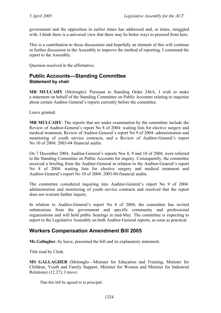government and the opposition in earlier times has addressed and, at times, struggled with. I think there is a universal view that there may be better ways to proceed from here.

This is a contribution to those discussions and hopefully an element of this will continue in further discussion in the Assembly to improve the method of reporting. I commend the report to the Assembly.

Question resolved in the affirmative.

### <span id="page-31-0"></span>**Public Accounts—Standing Committee Statement by chair**

**MR MULCAHY** (Molonglo): Pursuant to Standing Order 246A, I wish to make a statement on behalf of the Standing Committee on Public Accounts relating to inquiries about certain Auditor-General's reports currently before the committee.

Leave granted.

**MR MULCAHY**: The reports that are under examination by the committee include the Review of Auditor-General's report No 8 of 2004: waiting lists for elective surgery and medical treatment, Review of Auditor-General's report No 9 of 2004: administration and monitoring of youth service contracts, and a Review of Auditor-General's report No 10 of 2004: 2003-04 financial audits.

On 7 December 2004, Auditor-General's reports Nos 8, 9 and 10 of 2004, were referred to the Standing Committee on Public Accounts for inquiry. Consequently, the committee received a briefing from the Auditor-General in relation to the Auditor-General's report No 8 of 2004: waiting lists for elective surgery and medical treatment and Auditor-General's report No 10 of 2004: 2003-04 financial audits.

The committee considered inquiring into Auditor-General's report No 9 of 2004: administration and monitoring of youth service contracts and resolved that the report does not warrant further inquiry.

In relation to Auditor-General's report No 8 of 2004, the committee has invited submissions from the government and specific community and professional organisations and will hold public hearings in mid-May. The committee is expecting to report to the Legislative Assembly on both Auditor-General reports, as soon as practical.

## <span id="page-31-1"></span>**Workers Compensation Amendment Bill 2005**

**Ms Gallagher**, by leave, presented the bill and its explanatory statement.

Title read by Clerk.

**MS GALLAGHER** (Molonglo—Minister for Education and Training, Minister for Children, Youth and Family Support, Minister for Women and Minister for Industrial Relations) (12.27): I move:

That this bill be agreed to in principal.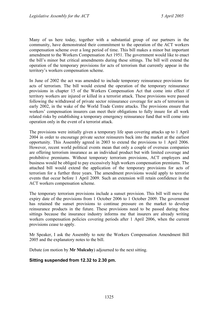Many of us here today, together with a substantial group of our partners in the community, have demonstrated their commitment to the operation of the ACT workers compensation scheme over a long period of time. This bill makes a minor but important amendment to the Workers Compensation Act 1951. The government would like to enact the bill's minor but critical amendments during these sittings. The bill will extend the operation of the temporary provisions for acts of terrorism that currently appear in the territory's workers compensation scheme.

In June of 2002 the act was amended to include temporary reinsurance provisions for acts of terrorism. The bill would extend the operation of the temporary reinsurance provisions in chapter 15 of the Workers Compensation Act that come into effect if territory workers are injured or killed in a terrorist attack. These provisions were passed following the withdrawal of private sector reinsurance coverage for acts of terrorism in early 2002, in the wake of the World Trade Centre attacks. The provisions ensure that workers' compensation insurers can meet their obligations to fully insure for all work related risks by establishing a temporary emergency reinsurance fund that will come into operation only in the event of a terrorist attack.

The provisions were initially given a temporary life span covering attacks up to 1 April 2004 in order to encourage private sector reinsurers back into the market at the earliest opportunity. This Assembly agreed in 2003 to extend the provisions to 1 April 2006. However, recent world political events mean that only a couple of overseas companies are offering terrorism insurance as an individual product but with limited coverage and prohibitive premiums. Without temporary terrorism provisions, ACT employers and business would be obliged to pay excessively high workers compensation premiums. The attached bill would extend the application of the temporary provisions for acts of terrorism for a further three years. The amendment provisions would apply to terrorist events that occur before 1 April 2009. Such an extension will retain confidence in the ACT workers compensation scheme.

The temporary terrorism provisions include a sunset provision. This bill will move the expiry date of the provisions from 1 October 2006 to 1 October 2009. The government has retained the sunset provisions to continue pressure on the market to develop reinsurance products in the future. These provisions need to be passed during these sittings because the insurance industry informs me that insurers are already writing workers compensation policies covering periods after 1 April 2006, when the current provisions cease to apply.

Mr Speaker, I ask the Assembly to note the Workers Compensation Amendment Bill 2005 and the explanatory notes to the bill.

Debate (on motion by **Mr Mulcahy**) adjourned to the next sitting.

#### **Sitting suspended from 12.32 to 2.30 pm.**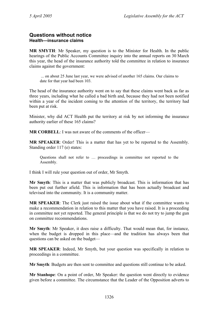### <span id="page-33-0"></span>**Questions without notice Health—insurance claims**

**MR SMYTH**: Mr Speaker, my question is to the Minister for Health. In the public hearings of the Public Accounts Committee inquiry into the annual reports on 30 March this year, the head of the insurance authority told the committee in relation to insurance claims against the government:

 ... on about 25 June last year, we were advised of another 165 claims. Our claims to date for that year had been 103.

The head of the insurance authority went on to say that these claims went back as far as three years, including what he called a bad birth and, because they had not been notified within a year of the incident coming to the attention of the territory, the territory had been put at risk.

Minister, why did ACT Health put the territory at risk by not informing the insurance authority earlier of these 165 claims?

**MR CORBELL**: I was not aware of the comments of the officer—

**MR SPEAKER**: Order! This is a matter that has yet to be reported to the Assembly. Standing order 117 (e) states:

Questions shall not refer to … proceedings in committee not reported to the Assembly.

I think I will rule your question out of order, Mr Smyth.

**Mr Smyth**: This is a matter that was publicly broadcast. This is information that has been put out further afield. This is information that has been actually broadcast and televised into the community. It is a community matter.

**MR SPEAKER**: The Clerk just raised the issue about what if the committee wants to make a recommendation in relation to this matter that you have raised. It is a proceeding in committee not yet reported. The general principle is that we do not try to jump the gun on committee recommendations.

**Mr Smyth**: Mr Speaker, it does raise a difficulty. That would mean that, for instance, when the budget is dropped in this place—and the tradition has always been that questions can be asked on the budget—

**MR SPEAKER**: Indeed, Mr Smyth, but your question was specifically in relation to proceedings in a committee.

**Mr Smyth**: Budgets are then sent to committee and questions still continue to be asked.

**Mr Stanhope**: On a point of order, Mr Speaker: the question went directly to evidence given before a committee. The circumstance that the Leader of the Opposition adverts to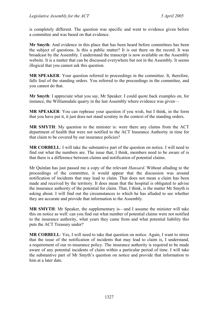is completely different. The question was specific and went to evidence given before a committee and was based on that evidence.

**Mr Smyth**: And evidence in this place that has been heard before committees has been the subject of questions. Is this a public matter? It is out there on the record. It was broadcast by the Assembly. I understand the transcript is now available on the Assembly website. It is a matter that can be discussed everywhere but not in the Assembly. It seems illogical that you cannot ask this question.

**MR SPEAKER:** Your question referred to proceedings in the committee. It, therefore, falls foul of the standing orders. You referred to the proceedings in the committee, and you cannot do that.

**Mr Smyth**: I appreciate what you say, Mr Speaker. I could quote back examples on, for instance, the Williamsdale quarry in the last Assembly where evidence was given—

**MR SPEAKER**: You can rephrase your question if you wish, but I think, in the form that you have put it, it just does not stand scrutiny in the context of the standing orders.

**MR SMYTH**: My question to the minister is: were there any claims from the ACT department of health that were not notified to the ACT Insurance Authority in time for that claim to be covered by our insurance policies?

**MR CORBELL**: I will take the substantive part of the question on notice. I will need to find out what the numbers are. The issue that, I think, members need to be aware of is that there is a difference between claims and notification of potential claims.

Mr Quinlan has just passed me a copy of the relevant *Hansard*. Without alluding to the proceedings of the committee, it would appear that the discussion was around notification of incidents that may lead to claim. That does not mean a claim has been made and received by the territory. It does mean that the hospital is obligated to advise the insurance authority of the potential for claim. That, I think, is the matter Mr Smyth is asking about. I will find out the circumstances to which he has alluded to see whether they are accurate and provide that information to the Assembly.

**MR SMYTH:** Mr Speaker, the supplementary is—and I assume the minister will take this on notice as well: can you find out what number of potential claims were not notified to the insurance authority, what years they came from and what potential liability this puts the ACT Treasury under?

**MR CORBELL**: Yes, I will need to take that question on notice. Again, I want to stress that the issue of the notification of incidents that may lead to claim is, I understand, a requirement of our re-insurance policy. The insurance authority is required to be made aware of any potential incidents of claim within a particular period of time. I will take the substantive part of Mr Smyth's question on notice and provide that information to him at a later date.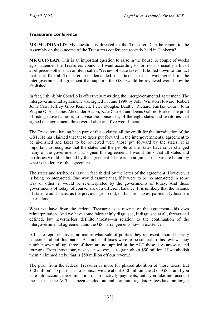#### <span id="page-35-0"></span>**Treasurers conference**

**MS MacDONALD**: My question is directed to the Treasurer. Can he report to the Assembly on the outcome of the Treasurers conference recently held in Canberra?

**MR QUINLAN**: This is an important question to raise in the house. A couple of weeks ago I attended the Treasurers council. It went according to form—it is usually a bit of a set piece—other than an item called "review of state taxes". It boiled down to the fact that the federal Treasurer has demanded that taxes that it was agreed in the intergovernmental agreement that supports the GST would be reviewed would now be abolished.

In fact, I think Mr Costello is effectively rewriting the intergovernmental agreement. The intergovernmental agreement was signed in June 1999 by John Winston Howard, Robert John Carr, Jeffrey Gibb Kennett, Peter Douglas Beattie, Richard Fairfax Court, John Wayne Olsen, James Alexander Bacon, Kate Carnell and Denis Gabriel Burke. The point of listing those names is to advise the house that, of the eight states and territories that signed that agreement, three were Labor and five were Liberal.

The Treasurer—having been part of this—claims all the credit for the introduction of the GST. He has claimed that these taxes put forward in the intergovernmental agreement to be abolished and taxes to be reviewed were those put forward by the states. It is important to recognise that the states and the people of the states have since changed many of the governments that signed this agreement. I would think that all states and territories would be bound by the agreement. There is no argument that we are bound by what is the letter of the agreement.

The states and territories have in fact abided by the letter of the agreement. However, it is being re-interpreted. One would assume that, if it were to be re-interpreted in some way or other, it would be re-interpreted by the governments of today. And those governments of today, of course, are of a different balance. It is unlikely that the balance of states would focus, as the previous group did, on business taxes, particularly business taxes alone.

What we have from the federal Treasurer is a rewrite of the agreement—his own reinterpretation. And we have some fairly thinly disguised, if disguised at all, threats—ill defined, but nevertheless definite threats—in relation to the continuation of the intergovernmental agreement and the GST arrangements now in existence.

All state representatives, no matter what side of politics they represent, should be very concerned about this matter. A number of taxes were to be subject to this review: they number seven all up; three of them are not applied in the ACT these days anyway, and four are. From those four, next year we expect to gain about \$50 million. If we abolish them all immediately, that is \$50 million off our revenue.

The push from the federal Treasurer is more for phased abolition of those taxes. But \$50 million! To put that into context, we are about \$50 million ahead on GST, until you take into account the elimination of productivity payments; until you take into account the fact that the ACT has been singled out and corporate regulatory fees have no longer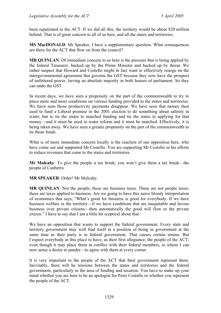been repatriated to the ACT. If we did all this, the territory would be about \$20 million behind. That is of great concern to all of us here, and all the states and territories.

**MS MacDONALD**: Mr Speaker, I have a supplementary question. What consequences are there for the ACT that flow on from the council?

**MR QUINLAN:** Of immediate concern to us here is the pressure that is being applied by the federal Treasurer, backed up by the Prime Minister and backed up by threat. We rather suspect that Howard and Costello might in fact want to effectively renege on the intergovernmental agreement that governs the GST because they now have the prospect of unfettered power, having an absolute majority in both houses of parliament. So they can undo the GST.

In recent days, we have seen a propensity on the part of the commonwealth to try to place more and more conditions on various funding provided to the states and territories. We have seen those productivity payments disappear. We have seen that money then used to fund a Liberal promise in the 2001 election to do something about salinity in water, but to tie the states to matched funding and tie the states to applying for that money—and it must be used in water reform and it must be matched. Effectively, it is being taken away. We have seen a greater propensity on the part of the commonwealth to tie those funds.

What is of more immediate concern locally is the reaction of our opposition here, who have come out and supported Mr Costello. You are supporting Mr Costello in his efforts to reduce revenues that come to the states and territories.

**Mr Mulcahy**: To give the people a tax break; you won't give them a tax break—the people of Canberra.

**MR SPEAKER**: Order! Mr Mulcahy.

**MR QUINLAN:** Not the people; these are business taxes. These are not people taxes; these are taxes applied to business. Are we going to have this naive bloody interpretation of economics that says, "What's good for business is good for everybody. If we have business welfare in the territory—if we have conditions that are inequitable and favour business over private citizens—then automatically the good will flow to the private citizen." I have to say that I am a little bit sceptical about that.

We have an opposition that wants to support the federal government. Every state and territory government may well find itself in a position of being in government at the same time as their party is in federal government. That causes certain strains. But I expect everybody in this place to have, as their first allegiance, the people of the ACT, even though it may place them in conflict with their federal members, to whom I can now sense a desire to pander—to agree with them at every corner.

It is very important to the people of the ACT that their government represent them. Inevitably, there will be tensions between the states and territories and the federal government, particularly in the area of funding and taxation. You have to make up your mind whether you are here to be an apologist for Peter Costello or whether you represent the people of the ACT.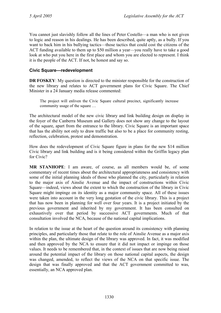You cannot just slavishly follow all the lines of Peter Costello—a man who is not given to logic and reason in his dealings. He has been described, quite aptly, as a bully. If you want to back him in his bullying tactics—those tactics that could cost the citizens of the ACT funding available to them up to \$50 million a year—you really have to take a good look at who put you here in the first place and whom you are elected to represent. I think it is the people of the ACT. If not, be honest and say so.

## **Civic Square—redevelopment**

**DR FOSKEY:** My question is directed to the minister responsible for the construction of the new library and relates to ACT government plans for Civic Square. The Chief Minister in a 24 January media release commented:

The project will enliven the Civic Square cultural precinct, significantly increase community usage of the square …

The architectural model of the new civic library and link building design on display in the foyer of the Canberra Museum and Gallery does not show any change to the layout of the square, apart from the entrance to the library. Civic Square is an important space that has the ability not only to draw traffic but also to be a place for community resting, reflection, celebration, protest and demonstration.

How does the redevelopment of Civic Square figure in plans for the new \$14 million Civic library and link building and is it being considered within the Griffin legacy plan for Civic?

**MR STANHOPE**: I am aware, of course, as all members would be, of some commentary of recent times about the architectural appropriateness and consistency with some of the initial planning ideals of those who planned the city, particularly in relation to the major axis of Ainslie Avenue and the impact of constructions within Civic Square—indeed, views about the extent to which the construction of the library in Civic Square might impinge on its identity as a major community space. All of these issues were taken into account in the very long gestation of the civic library. This is a project that has now been in planning for well over four years. It is a project initiated by the previous government and inherited by my government. It has been consulted on exhaustively over that period by successive ACT governments. Much of that consultation involved the NCA, because of the national capital implications.

In relation to the issue at the heart of the question around its consistency with planning principles, and particularly those that relate to the role of Ainslie Avenue as a major axis within the plan, the ultimate design of the library was approved. In fact, it was modified and then approved by the NCA to ensure that it did not impact or impinge on those values. It needs to be remembered that, in the context of issues that are now being raised around the potential impact of the library on those national capital aspects, the design was changed, amended, to reflect the views of the NCA on that specific issue. The design that was finally approved and that the ACT government committed to was, essentially, an NCA approved plan.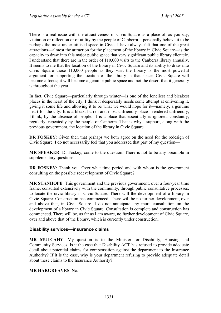There is a real issue with the attractiveness of Civic Square as a place of, as you say, visitation or reflection or of utility by the people of Canberra. I personally believe it to be perhaps the most under-utilised space in Civic. I have always felt that one of the great attractions—almost the attraction for the placement of the library in Civic Square—is the capacity to draw into this major public space that very significant public library clientele. I understand that there are in the order of 110,000 visits to the Canberra library annually. It seems to me that the location of the library in Civic Square and its ability to draw into Civic Square those 110,000 people as they visit the library is the most powerful argument for supporting the location of the library in that space. Civic Square will become a focus; it will become a genuine public space and not the desert that it generally is throughout the year.

In fact, Civic Square—particularly through winter—is one of the loneliest and bleakest places in the heart of the city. I think it desperately needs some attempt at enlivening it, giving it some life and allowing it to be what we would hope for it—namely, a genuine heart for the city. It is a bleak, barren and most unfriendly place—rendered unfriendly, I think, by the absence of people. It is a place that essentially is ignored, constantly, regularly, repeatedly by the people of Canberra. That is why I support, along with the previous government, the location of the library in Civic Square.

**DR FOSKEY**: Given then that perhaps we both agree on the need for the redesign of Civic Square, I do not necessarily feel that you addressed that part of my question—

**MR SPEAKER**: Dr Foskey, come to the question. There is not to be any preamble in supplementary questions.

**DR FOSKEY**: Thank you. Over what time period and with whom is the government consulting on the possible redevelopment of Civic Square?

**MR STANHOPE**: This government and the previous government, over a four-year time frame, consulted extensively with the community, through public consultative processes, to locate the civic library in Civic Square. There will the development of a library in Civic Square. Construction has commenced. There will be no further development, over and above that, in Civic Square. I do not anticipate any more consultation on the development of a library in Civic Square. Consultation is complete and construction has commenced. There will be, as far as I am aware, no further development of Civic Square, over and above that of the library, which is currently under construction.

### **Disability services—insurance claims**

**MR MULCAHY**: My question is to the Minister for Disability, Housing and Community Services. Is it the case that Disability ACT has refused to provide adequate detail about potential claims for compensation against the department to the Insurance Authority? If it is the case, why is your department refusing to provide adequate detail about these claims to the Insurance Authority?

### **MR HARGREAVES**: No.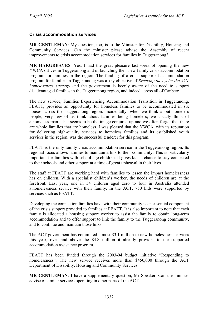### **Crisis accommodation services**

**MR GENTLEMAN**: My question, too, is to the Minister for Disability, Housing and Community Services. Can the minister please advise the Assembly of recent improvements to crisis accommodation services for families in Tuggeranong?

**MR HARGREAVES**: Yes. I had the great pleasure last week of opening the new YWCA offices in Tuggeranong and of launching their new family crisis accommodation program for families in the region. The funding of a crisis supported accommodation program for families in Tuggeranong was a key objective of *Breaking the cycle: the ACT homelessness strategy* and the government is keenly aware of the need to support disadvantaged families in the Tuggeranong region, and indeed across all of Canberra.

The new service, Families Experiencing Accommodation Transition in Tuggeranong, FEATT, provides an opportunity for homeless families to be accommodated in six houses across the Tuggeranong region. Incidentally, when we think about homeless people, very few of us think about families being homeless; we usually think of a homeless man. That seems to be the image conjured up and we often forget that there are whole families that are homeless. I was pleased that the YWCA, with its reputation for delivering high-quality services to homeless families and its established youth services in the region, was the successful tenderer for this program.

FEATT is the only family crisis accommodation service in the Tuggeranong region. Its regional focus allows families to maintain a link to their community. This is particularly important for families with school-age children. It gives kids a chance to stay connected to their schools and other support at a time of great upheaval in their lives.

The staff at FEATT are working hard with families to lessen the impact homelessness has on children. With a specialist children's worker, the needs of children are at the forefront. Last year, one in 54 children aged zero to four in Australia attended a homelessness service with their family. In the ACT, 750 kids were supported by services such as FEATT.

Developing the connection families have with their community is an essential component of the crisis support provided to families at FEATT. It is also important to note that each family is allocated a housing support worker to assist the family to obtain long-term accommodation and to offer support to link the family to the Tuggeranong community, and to continue and maintain those links.

The ACT government has committed almost \$3.1 million to new homelessness services this year, over and above the \$4.8 million it already provides to the supported accommodation assistance program.

FEATT has been funded through the 2003-04 budget initiative "Responding to homelessness". The new service receives more than \$450,000 through the ACT Department of Disability, Housing and Community Services.

**MR GENTLEMAN**: I have a supplementary question, Mr Speaker. Can the minister advise of similar services operating in other parts of the ACT?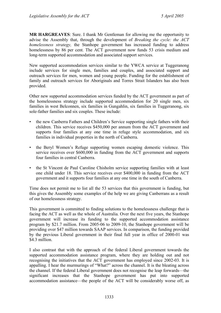**MR HARGREAVES**: Sure. I thank Mr Gentleman for allowing me the opportunity to advise the Assembly that, through the development of *Breaking the cycle: the ACT homelessness strategy,* the Stanhope government has increased funding to address homelessness by 86 per cent. The ACT government now funds 53 crisis medium and long-term supported accommodation and associated support services.

New supported accommodation services similar to the YWCA service at Tuggeranong include services for single men, families and couples, and associated support and outreach services for men, women and young people. Funding for the establishment of family and outreach services for Aboriginals and Torres Strait Islanders has also been provided.

Other new supported accommodation services funded by the ACT government as part of the homelessness strategy include supported accommodation for 20 single men, six families in west Belconnen, six families in Gungahlin, six families in Tuggeranong, six sole-father families and six couples. These include:

- the new Canberra Fathers and Children's Service supporting single fathers with their children. This service receives \$450,000 per annum from the ACT government and supports four families at any one time in refuge style accommodation, and six families in individual properties in the north of Canberra.
- the Beryl Women's Refuge supporting women escaping domestic violence. This service receives over \$600,000 in funding from the ACT government and supports four families in central Canberra.
- the St Vincent de Paul Caroline Chisholm service supporting families with at least one child under 18. This service receives over \$400,000 in funding from the ACT government and it supports four families at any one time in the south of Canberra.

Time does not permit me to list all the 53 services that this government is funding, but this gives the Assembly some examples of the help we are giving Canberrans as a result of our homelessness strategy.

This government is committed to finding solutions to the homelessness challenge that is facing the ACT as well as the whole of Australia. Over the next five years, the Stanhope government will increase its funding to the supported accommodation assistance program by \$21.7 million. From 2005-06 to 2009-10, the Stanhope government will be providing over \$47 million towards SAAP services. In comparison, the funding provided by the previous Liberal government in their final full year in office of 2000-01 was \$4.3 million

I also contrast that with the approach of the federal Liberal government towards the supported accommodation assistance program, where they are holding out and not recognising the initiatives that the ACT government has employed since 2002-03. It is appalling. I hear the murmurings of "What?" across the channel. It is the bleating across the channel. If the federal Liberal government does not recognise the leap forwards—the significant increases that the Stanhope government has put into supported accommodation assistance—the people of the ACT will be considerably worse off, as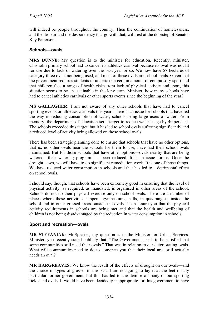will indeed be people throughout the country. Then the continuation of homelessness, and the despair and the despondency that go with that, will rest at the doorstep of Senator Kay Patterson.

## **Schools—ovals**

**MRS DUNNE**: My question is to the minister for education. Recently, minister, Chisholm primary school had to cancel its athletics carnival because its oval was not fit for use due to lack of watering over the past year or so. We now have 57 hectares of category three ovals not being used, and most of these ovals are school ovals. Given that the government requires students to undertake a certain amount of compulsory sport and that children face a range of health risks from lack of physical activity and sport, this situation seems to be unsustainable in the long term. Minister, how many schools have had to cancel athletics carnivals or other sports events since the beginning of the year?

**MS GALLAGHER**: I am not aware of any other schools that have had to cancel sporting events or athletics carnivals this year. There is an issue for schools that have led the way in reducing consumption of water, schools being large users of water. From memory, the department of education set a target to reduce water usage by 40 per cent. The schools exceeded this target, but it has led to school ovals suffering significantly and a reduced level of activity being allowed on those school ovals.

There has been strategic planning done to ensure that schools that have no other options, that is, no other ovals near the schools for them to use, have had their school ovals maintained. But for those schools that have other options—ovals nearby that are being watered—their watering program has been reduced. It is an issue for us. Once the drought eases, we will have to do significant remediation work. It is one of those things. We have reduced water consumption in schools and that has led to a detrimental effect on school ovals.

I should say, though, that schools have been extremely good in ensuring that the level of physical activity, as required, as mandated, is organised in other areas of the school. Schools do not do their physical exercise only on school ovals. There are a number of places where these activities happen—gymnasiums, halls, in quadrangles, inside the school and in other grassed areas outside the ovals. I can assure you that the physical activity requirements in schools are being met and that the health and wellbeing of children is not being disadvantaged by the reduction in water consumption in schools.

### **Sport and recreation—ovals**

**MR STEFANIAK**: Mr Speaker, my question is to the Minister for Urban Services. Minister, you recently stated publicly that, "The Government needs to be satisfied that some communities still need their ovals." That was in relation to our deteriorating ovals. What will communities need to do to convince you that their local area still actually needs an oval?

**MR HARGREAVES**: We know the result of the effects of drought on our ovals—and the choice of types of grasses in the past. I am not going to lay it at the feet of any particular former government, but this has led to the demise of many of our sporting fields and ovals. It would have been decidedly inappropriate for this government to have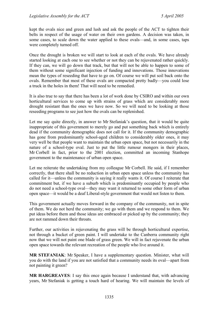kept the ovals nice and green and lush and ask the people of the ACT to tighten their belts in respect of the usage of water on their own gardens. A decision was taken, in some cases, to scale down the water applied to these ovals—and, in some cases, taps were completely turned off.

Once the drought is broken we will start to look at each of the ovals. We have already started looking at each one to see whether or not they can be rejuvenated rather quickly. If they can, we will go down that track, but that will not be able to happen to some of them without some significant injection of funding and innovations. Those innovations mean the types of reseeding that have to go on. Of course we will put soil back onto the ovals. Remember that most of these ovals are compacted pretty badly—you could lose a truck in the holes in them! That will need to be remedied.

It is also true to say that there has been a lot of work done by CSIRO and within our own horticultural services to come up with strains of grass which are considerably more drought resistant than the ones we have now. So we will need to be looking at those reseeding programs to see just how the ovals can be replenished.

Let me say quite directly, in answer to Mr Stefaniak's question, that it would be quite inappropriate of this government to merely go and put something back which is entirely dead if the community demographic does not call for it. If the community demographic has gone from predominantly school-aged children to considerably older ones, it may very well be that people want to maintain the urban open space, but not necessarily in the nature of a school-type oval. Just to put the little rumour mongers in their places, Mr Corbell in fact, prior to the 2001 election, committed an incoming Stanhope government to the maintenance of urban open space.

Let me reiterate the undertaking from my colleague Mr Corbell. He said, if I remember correctly, that there shall be no reduction in urban open space unless the community has called for it—unless the community is saying it really wants it. Of course I reiterate that commitment but, if we have a suburb which is predominantly occupied by people who do not need a school-type oval—they may want it returned to some other form of urban open space—it would be a deaf Liberal-style government that would not listen to them.

This government actually moves forward in the company of the community, not in spite of them. We do not herd the community; we go with them and we respond to them. We put ideas before them and those ideas are embraced or picked up by the community; they are not rammed down their throats.

Further, our activities in rejuvenating the grass will be through horticultural expertise, not through a bucket of green paint. I will undertake to the Canberra community right now that we will not paint one blade of grass green. We will in fact rejuvenate the urban open space towards the relevant recreation of the people who live around it.

**MR STEFANIAK**: Mr Speaker, I have a supplementary question. Minister, what will you do with the land if you are not satisfied that a community needs its oval—apart from not painting it green?

**MR HARGREAVES**: I say this once again because I understand that, with advancing years, Mr Stefaniak is getting a touch hard of hearing. We will maintain the levels of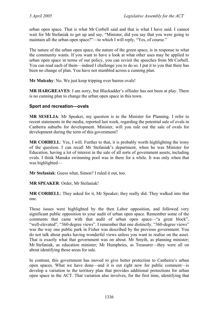urban open space. That is what Mr Corbell said and that is what I have said. I cannot wait for Mr Stefaniak to get up and say, "Minister, did you say that you were going to maintain all the urban open space?"—to which I will reply, "Yes, of course."

The nature of the urban open space, the nature of the green space, is in response to what the community wants. If you want to have a look at what other uses may be applied to urban open space in terms of our policy, you can revisit the speeches from Mr Corbell. You can read each of them—indeed I challenge you to do so. I put it to you that there has been no change of plan. You have not stumbled across a cunning plan.

**Mr Mulcahy**: No. We just keep tripping over barren ovals!

**MR HARGREAVES**: I am sorry, but Blackadder's offsider has not been at play. There is no cunning plan to change the urban open space in this town.

## **Sport and recreation—ovals**

**MR SESELJA**: Mr Speaker, my question is to the Minister for Planning. I refer to recent statements in the media, reported last week, regarding the potential sale of ovals in Canberra suburbs for development. Minister, will you rule out the sale of ovals for development during the term of this government?

**MR CORBELL**: Yes, I will. Further to that, it is probably worth highlighting the irony of the question. I can recall Mr Stefaniak's department, when he was Minister for Education, having a lot of interest in the sale of all sorts of government assets, including ovals. I think Manuka swimming pool was in there for a while. It was only when that was highlighted—

**Mr Stefaniak**: Guess what, Simon? I ruled it out, too.

**MR SPEAKER**: Order, Mr Stefaniak!

**MR CORBELL**: They asked for it, Mr Speaker; they really did. They walked into that one.

Those issues were highlighted by the then Labor opposition, and followed very significant public opposition to your audit of urban open space. Remember some of the comments that came with that audit of urban open space—"a great block", "well-elevated", "360-degree views". I remember that one distinctly. "360-degree views" was the way one public park in Fisher was described by the previous government. You do not talk about parks having wonderful views unless you want to realise on the asset. That is exactly what that government was on about. Mr Smyth, as planning minister; Mr Stefaniak, as education minister; Mr Humphries, as Treasurer—they were all on about identifying those areas for sale.

In contrast, this government has moved to give better protection to Canberra's urban open spaces. What we have done—and it is out right now for public comment—is develop a variation to the territory plan that provides additional protections for urban open space in the ACT. That variation also involves, for the first time, identifying that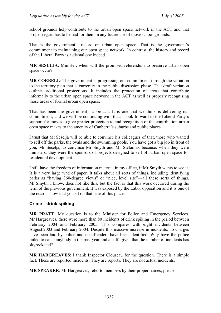school grounds help contribute to the urban open space network in the ACT and that proper regard has to be had for them in any future use of those school grounds.

That is the government's record on urban open space. That is the government's commitment to maintaining our open space network. In contrast, the history and record of the Liberal Party is a dismal one indeed.

**MR SESELJA**: Minister, when will the promised referendum to preserve urban open space occur?

**MR CORBELL:** The government is progressing our commitment through the variation to the territory plan that is currently in the public discussion phase. That draft variation outlines additional protections. It includes the protection of areas that contribute informally to the urban open space network in the ACT as well as properly recognising those areas of formal urban open space.

That has been the government's approach. It is one that we think is delivering our commitment, and we will be continuing with that. I look forward to the Liberal Party's support for moves to give greater protection to and recognition of the contribution urban open space makes to the amenity of Canberra's suburbs and public places.

I trust that Mr Seselja will be able to convince his colleagues of that, those who wanted to sell off the parks, the ovals and the swimming pools. You have got a big job in front of you, Mr Seselja, to convince Mr Smyth and Mr Stefaniak because, when they were ministers, they were the sponsors of projects designed to sell off urban open space for residential development.

I still have the freedom of information material in my office, if Mr Smyth wants to see it. It is a very large wad of paper. It talks about all sorts of things, including identifying parks as "having 360-degree views" or "nice, level site"—all these sorts of things. Mr Smyth, I know, does not like this, but the fact is that this work occurred during the term of the previous government. It was exposed by the Labor opposition and it is one of the reasons now that you sit on that side of this place.

## **Crime—drink spiking**

**MR PRATT**: My question is to the Minister for Police and Emergency Services. Mr Hargreaves, there were more than 80 incidents of drink spiking in the period between February 2004 and February 2005. This compares with eight incidents between August 2003 and February 2004. Despite this massive increase in incidents, no charges have been laid by police and no offenders have been identified. Why have the police failed to catch anybody in the past year and a half, given that the number of incidents has skyrocketed?

**MR HARGREAVES**: I thank Inspector Clouseau for the question. There is a simple fact. These are reported incidents. They are reports. They are not actual incidents.

**MR SPEAKER**: Mr Hargreaves, refer to members by their proper names, please.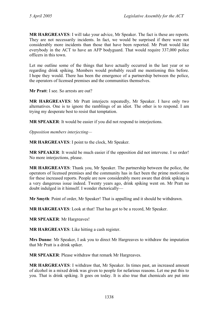**MR HARGREAVES**: I will take your advice, Mr Speaker. The fact is these are reports. They are not necessarily incidents. In fact, we would be surprised if there were not considerably more incidents than those that have been reported. Mr Pratt would like everybody in the ACT to have an AFP bodyguard. That would require 337,000 police officers in this town.

Let me outline some of the things that have actually occurred in the last year or so regarding drink spiking. Members would probably recall me mentioning this before. I hope they would. There has been the emergence of a partnership between the police, the operators of licensed premises and the communities themselves.

**Mr Pratt:** I see. So arrests are out?

**MR HARGREAVES**: Mr Pratt interjects repeatedly, Mr Speaker. I have only two alternatives. One is to ignore the ramblings of an idiot. The other is to respond. I am trying my desperate best to resist that temptation.

**MR SPEAKER**: It would be easier if you did not respond to interjections.

*Opposition members interjecting—* 

**MR HARGREAVES**: I point to the clock, Mr Speaker.

**MR SPEAKER:** It would be much easier if the opposition did not intervene. I so order! No more interjections, please.

**MR HARGREAVES**: Thank you, Mr Speaker. The partnership between the police, the operators of licensed premises and the community has in fact been the prime motivation for these increased reports. People are now considerably more aware that drink spiking is a very dangerous issue indeed. Twenty years ago, drink spiking went on. Mr Pratt no doubt indulged in it himself. I wonder rhetorically—

**Mr Smyth**: Point of order, Mr Speaker! That is appalling and it should be withdrawn.

**MR HARGREAVES**: Look at that! That has got to be a record, Mr Speaker.

**MR SPEAKER**: Mr Hargreaves!

**MR HARGREAVES**: Like hitting a cash register.

**Mrs Dunne**: Mr Speaker, I ask you to direct Mr Hargreaves to withdraw the imputation that Mr Pratt is a drink spiker.

**MR SPEAKER**: Please withdraw that remark Mr Hargreaves.

**MR HARGREAVES**: I withdraw that, Mr Speaker. In times past, an increased amount of alcohol in a mixed drink was given to people for nefarious reasons. Let me put this to you. That is drink spiking. It goes on today. It is also true that chemicals are put into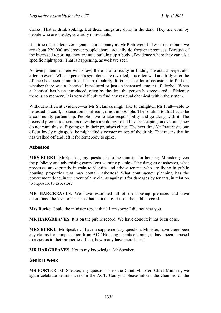drinks. That is drink spiking. But these things are done in the dark. They are done by people who are sneaky, cowardly individuals.

It is true that undercover agents—not as many as Mr Pratt would like; at the minute we are about 220,000 undercover people short—actually do frequent premises. Because of the increased reporting, they are now building up a body of evidence where they can visit specific nightspots. That is happening, as we have seen.

As every member here will know, there is a difficulty in finding the actual perpetrator after an event. When a person's symptoms are revealed, it is often well and truly after the offence has been committed. It is particularly different on a lot of occasions to find out whether there was a chemical introduced or just an increased amount of alcohol. When a chemical has been introduced, often by the time the person has recovered sufficiently there is no memory. It is very difficult to find any residual chemical within the system.

Without sufficient evidence—as Mr Stefaniak might like to enlighten Mr Pratt—able to be tested in court, prosecution is difficult, if not impossible. The solution to this has to be a community partnership. People have to take responsibility and go along with it. The licensed premises operators nowadays are doing that. They are keeping an eye out. They do not want this stuff going on in their premises either. The next time Mr Pratt visits one of our lovely nightspots, he might find a coaster on top of the drink. That means that he has walked off and left it for somebody to spike.

## **Asbestos**

**MRS BURKE**: Mr Speaker, my question is to the minister for housing. Minister, given the publicity and advertising campaigns warning people of the dangers of asbestos, what processes are currently in train to identify and advise tenants who are living in public housing properties that may contain asbestos? What contingency planning has the government done, in the event of any claims against it for damages by tenants, in relation to exposure to asbestos?

**MR HARGREAVES**: We have examined all of the housing premises and have determined the level of asbestos that is in there. It is on the public record.

**Mrs Burke**: Could the minister repeat that? I am sorry; I did not hear you.

**MR HARGREAVES**: It is on the public record. We have done it; it has been done.

**MRS BURKE**: Mr Speaker, I have a supplementary question. Minister, have there been any claims for compensation from ACT Housing tenants claiming to have been exposed to asbestos in their properties? If so, how many have there been?

**MR HARGREAVES**: Not to my knowledge, Mr Speaker.

### **Seniors week**

**MS PORTER**: Mr Speaker, my question is to the Chief Minister. Chief Minister, we again celebrate seniors week in the ACT. Can you please inform the chamber of the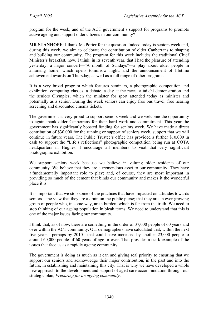program for the week, and of the ACT government's support for programs to promote active ageing and support older citizens in our community?

**MR STANHOPE**: I thank Ms Porter for the question. Indeed today is seniors week and, during this week, we aim to celebrate the contribution of older Canberrans to shaping and building our community. The program for this week includes the traditional Chief Minister's breakfast, now, I think, in its seventh year, that I had the pleasure of attending yesterday; a major concert—"A month of Sundays"—a play about older people in a nursing home, which opens tomorrow night; and the announcement of lifetime achievement awards on Thursday; as well as a full range of other programs.

It is a very broad program which features seminars, a photographic competition and exhibition, computing classes, a debate, a day at the races, a tai chi demonstration and the seniors Olympics, which the minister for sport attended today as minister and potentially as a senior. During the week seniors can enjoy free bus travel, free hearing screening and discounted cinema tickets.

The government is very proud to support seniors week and we welcome the opportunity to again thank older Canberrans for their hard work and commitment. This year the government has significantly boosted funding for seniors week. We have made a direct contribution of \$30,000 for the running or support of seniors week, support that we will continue in future years. The Public Trustee's office has provided a further \$10,000 in cash to support the "Life's reflections" photographic competition being run at COTA headquarters in Hughes. I encourage all members to visit that very significant photographic exhibition.

We support seniors week because we believe in valuing older residents of our community. We believe that they are a tremendous asset to our community. They have a fundamentally important role to play; and, of course, they are most important in providing so much of the cement that binds our community and makes it the wonderful place it is.

It is important that we stop some of the practices that have impacted on attitudes towards seniors—the view that they are a drain on the public purse; that they are an ever-growing group of people who, in some way, are a burden, which is far from the truth. We need to stop thinking of our ageing population in bleak terms. We need to understand that this is one of the major issues facing our community.

I think that, as of now, there are something in the order of 37,000 people of 60 years and over within the ACT community. Our demographers have calculated that, within the next five years—perhaps by 2010—that could have increased by another 23,000 people to around 60,000 people of 60 years of age or over. That provides a stark example of the issues that face us as a rapidly ageing community.

The government is doing as much as it can and giving real priority to ensuring that we support our seniors and acknowledge their major contribution, in the past and into the future, in establishing and maintaining this city. That is why we have developed a whole new approach to the development and support of aged care accommodation through our strategic plan, *Preparing for an ageing community*.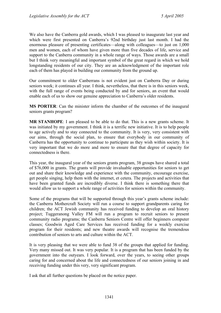We also have the Canberra gold awards, which I was pleased to inaugurate last year and which were first presented on Canberra's 92nd birthday just last month. I had the enormous pleasure of presenting certificates—along with colleagues—to just on 1,000 men and women, each of whom have given more than five decades of life, service and support to the Canberra community in a whole range of ways. Those awards are a small but I think very meaningful and important symbol of the great regard in which we hold longstanding residents of our city. They are an acknowledgment of the important role each of them has played in building our community from the ground up.

Our commitment to older Canberrans is not evident just on Canberra Day or during seniors week; it continues all year. I think, nevertheless, that there is in this seniors week, with the full range of events being conducted by and for seniors, an event that would enable each of us to show our genuine appreciation to Canberra's older residents.

**MS PORTER**: Can the minister inform the chamber of the outcomes of the inaugural seniors grants program?

**MR STANHOPE**: I am pleased to be able to do that. This is a new grants scheme. It was initiated by my government. I think it is a terrific new initiative. It is to help people to age actively and to stay connected to the community. It is very, very consistent with our aims, through the social plan, to ensure that everybody in our community of Canberra has the opportunity to continue to participate as they wish within society. It is very important that we do more and more to ensure that that degree of capacity for connectedness is there.

This year, the inaugural year of the seniors grants program, 38 groups have shared a total of \$76,000 in grants. The grants will provide invaluable opportunities for seniors to get out and share their knowledge and experience with the community, encourage exercise, get people singing, help them with the internet, et cetera. The projects and activities that have been granted funds are incredibly diverse. I think there is something there that would allow us to support a whole range of activities for seniors within the community.

Some of the programs that will be supported through this year's grants scheme include: the Canberra Mothercraft Society will run a course to support grandparents caring for children; the ACT Jewish community has received funding to develop an oral history project; Tuggeranong Valley FM will run a program to recruit seniors to present community radio programs; the Canberra Seniors Centre will offer beginners computer classes; Goodwin Aged Care Services has received funding for a weekly exercise program for their residents; and new theatre awards will recognise the tremendous contribution of seniors to arts and culture within the ACT.

It is very pleasing that we were able to fund 38 of the groups that applied for funding. Very many missed out. It was very popular. It is a program that has been funded by the government into the outyears. I look forward, over the years, to seeing other groups caring for and concerned about the life and connectedness of our seniors joining in and receiving funding under this very, very significant program.

I ask that all further questions be placed on the notice paper.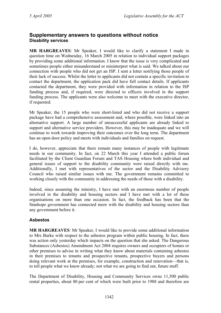## **Supplementary answers to questions without notice Disability services**

**MR HARGREAVES**: Mr Speaker, I would like to clarify a statement I made in question time on Wednesday, 16 March 2005 in relation to individual support packages by providing some additional information. I know that the issue is very complicated and sometimes people either misunderstand or misinterpret what is said. We talked about our connection with people who did not get an ISP. I sent a letter notifying those people of their lack of success. Whilst the letter to applicants did not contain a specific invitation to contact the department, the application pack did have full contact details. If applicants contacted the department, they were provided with information in relation to the ISP funding process and, if required, were directed to officers involved in the support funding process. The applicants were also welcome to meet with the executive director, if requested.

Mr Speaker, the 15 people who were short-listed and who did not receive a support package have had a comprehensive assessment and, where possible, were linked into an alternative support. A large number of unsuccessful applicants are already linked to support and alternative service providers. However, this may be inadequate and we will continue to work towards improving their outcomes over the long term. The department has an open door policy and meets with individuals and families on request.

I do, however, appreciate that there remain many instances of people with legitimate needs in our community. In fact, on 22 March this year I attended a public forum facilitated by the Client Guardian Forum and TAS Housing where both individual and general issues of support to the disability community were raised directly with me. Additionally, I met with representatives of the sector and the Disability Advisory Council who raised similar issues with me. The government remains committed to working closely with the community in addressing the needs of those with a disability.

Indeed, since assuming the ministry, I have met with an enormous number of people involved in the disability and housing sectors and I have met with a lot of these organisations on more than one occasion. In fact, the feedback has been that the Stanhope government has connected more with the disability and housing sectors than any government before it.

## **Asbestos**

**MR HARGREAVES**: Mr Speaker, I would like to provide some additional information to Mrs Burke with respect to the asbestos program within public housing. In fact, there was action only yesterday which impacts on the question that she asked. The Dangerous Substances (Asbestos) Amendment Act 2004 requires owners and occupiers of homes or other premises to advise in writing what they know about materials containing asbestos in their premises to tenants and prospective tenants, prospective buyers and persons doing relevant work at the premises, for example, construction and renovation—that is, to tell people what we know already; not what we are going to find out, future stuff.

The Department of Disability, Housing and Community Services owns 11,500 public rental properties, about 80 per cent of which were built prior to 1988 and therefore are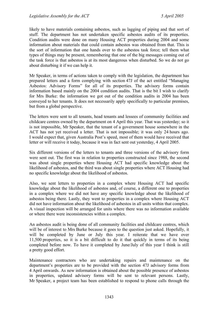likely to have materials containing asbestos, such as lagging of piping and that sort of stuff. The department has not undertaken specific asbestos audits of its properties. Condition audits were done on many Housing ACT properties during 2004 and some information about materials that could contain asbestos was obtained from that. This is the sort of information that one hands over to the asbestos task force; tell them what types of things may be present, remembering that one of the big messages coming out of the task force is that asbestos is at its most dangerous when disturbed. So we do not go about disturbing it if we can help it.

Mr Speaker, in terms of actions taken to comply with the legislation, the department has prepared letters and a form complying with section 47J of the act entitled "Managing Asbestos: Advisory Forms" for all of its properties. The advisory forms contain information based mainly on the 2004 condition audits. That is the bit I wish to clarify for Mrs Burke: the information we got out of the condition audits in 2004 has been conveyed to her tenants. It does not necessarily apply specifically to particular premises, but from a global perspective.

The letters were sent to all tenants, head tenants and lessees of community facilities and childcare centres owned by the department on 4 April this year. That was yesterday; so it is not impossible, Mr Speaker, that the tenant of a government house somewhere in the ACT has not yet received a letter. That is not impossible; it was only 24 hours ago. I would expect that, given Australia Post's speed, most of them would have received that letter or will receive it today, because it was in fact sent out yesterday, 4 April 2005.

Six different versions of the letters to tenants and three versions of the advisory form were sent out. The first was in relation to properties constructed since 1988, the second was about single properties where Housing ACT had specific knowledge about the likelihood of asbestos, and the third was about single properties where ACT Housing had no specific knowledge about the likelihood of asbestos.

Also, we sent letters to properties in a complex where Housing ACT had specific knowledge about the likelihood of asbestos and, of course, a different one to properties in a complex where we did not have any specific knowledge about the likelihood of asbestos being there. Lastly, they went to properties in a complex where Housing ACT did not have information about the likelihood of asbestos in all units within that complex. A visual inspection will be arranged for units where there was no information available or where there were inconsistencies within a complex.

An asbestos audit is being done of all community facilities and childcare centres, which will be of interest to Mrs Burke because it goes to the question just asked. Hopefully, it will be completed by June or July this year. I reiterate that we have over 11,500 properties, so it is a bit difficult to do it that quickly in terms of its being completed before now. To have it completed by June/July of this year I think is still a pretty good effort.

Maintenance contractors who are undertaking repairs and maintenance on the department's properties are to be provided with the section 47J advisory forms from 4 April onwards. As new information is obtained about the possible presence of asbestos in properties, updated advisory forms will be sent to relevant persons. Lastly, Mr Speaker, a project team has been established to respond to phone calls through the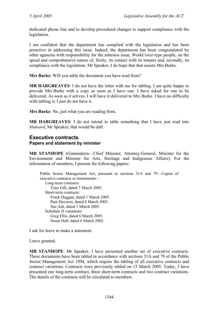dedicated phone line and to develop procedural changes to support compliance with the legislation.

I am confident that the department has complied with the legislation and has been proactive in addressing this issue. Indeed, the department has been congratulated by other agencies with responsibility for the asbestos issue, WorkCover-type people, on the speed and comprehensive nature of, firstly, its contact with its tenants and, secondly, its compliance with the legislation. Mr Speaker, I do hope that that assists Mrs Burke.

**Mrs Burke**: Will you table the document you have read from?

**MR HARGREAVES**: I do not have the letter with me for tabling. I am quite happy to provide Mrs Burke with a copy as soon as I have one. I have asked for one to be delivered. As soon as it arrives, I will have it delivered to Mrs Burke. I have no difficulty with tabling it; I just do not have it.

**Mrs Burke**: No, just what you are reading from.

**MR HARGREAVES**: I do not intend to table something that I have just read into *Hansard*, Mr Speaker; that would be daft.

## **Executive contracts Papers and statement by minister**

**MR STANHOPE** (Ginninderra—Chief Minister, Attorney-General, Minister for the Environment and Minister for Arts, Heritage and Indigenous Affairs): For the information of members, I present the following papers:

Public Sector Management Act, pursuant to sections 31A and 79—Copies of executive contracts or instruments— Long-term contracts: Tony Gill, dated 7 March 2005. Short-term contracts: Frank Duggan, dated 1 March 2005. Pam Davoren, dated 8 March 2005. Sue Ash, dated 1 March 2005. Schedule D variations: Greg Ellis, dated 6 March 2005. Susan Hall, dated 6 March 2005.

I ask for leave to make a statement.

Leave granted.

**MR STANHOPE**: Mr Speaker, I have presented another set of executive contracts. These documents have been tabled in accordance with sections 31A and 79 of the Public Sector Management Act 1994, which require the tabling of all executive contracts and contract variations. Contracts were previously tabled on 15 March 2005. Today, I have presented one long-term contract, three short-term contracts and two contract variations. The details of the contracts will be circulated to members.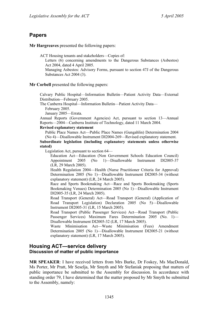# **Papers**

**Mr Hargreaves** presented the following papers:

ACT Housing tenants and stakeholders—Copies of:

Letters (6) concerning amendments to the Dangerous Substances (Asbestos) Act 2004, dated 4 April 2005.

Managing Asbestos: Advisory Forms, pursuant to section 47J of the Dangerous Substances Act 2004 (3).

### **Mr Corbell** presented the following papers:

Calvary Public Hospital—Information Bulletin—Patient Activity Data—External Distribution—February 2005.

The Canberra Hospital—Information Bulletin—Patient Activity Data—

February 2005.

January 2005—Errata.

Annual Reports (Government Agencies) Act, pursuant to section 13—Annual Reports—2004—Canberra Institute of Technology, dated 11 March 2004.

### **Revised explanatory statement**

Public Place Names Act—Public Place Names (Gungahlin) Determination 2004 (No 4)—Disallowable Instrument DI2004-269—Revised explanatory statement.

#### **Subordinate legislation (including explanatory statements unless otherwise stated)**

Legislation Act, pursuant to section 64—

Education Act—Education (Non Government Schools Education Council) Appointment 2005 (No 1)—Disallowable Instrument DI2005-37 (LR, 29 March 2005).

Health Regulation 2004—Health (Nurse Practitioner Criteria for Approval) Determination 2005 (No 1)—Disallowable Instrument DI2005-34 (without explanatory statement) (LR, 24 March 2005).

Race and Sports Bookmaking Act—Race and Sports Bookmaking (Sports Bookmaking Venues) Determination 2005 (No 1)—Disallowable Instrument DI2005-35 (LR, 24 March 2005).

Road Transport (General) Act—Road Transport (General) (Application of Road Transport Legislation) Declaration 2005 (No 5)—Disallowable Instrument DI2005-31 (LR, 15 March 2005).

Road Transport (Public Passenger Services) Act—Road Transport (Public Passenger Services) Maximum Fares Determination 2005 (No. 1)— Disallowable Instrument DI2005-32 (LR, 17 March 2005).

Waste Minimisation Act—Waste Minimisation (Fees) Amendment Determination 2005 (No 1)—Disallowable Instrument DI2005-21 (without explanatory statement) (LR, 17 March 2005).

## **Housing ACT—service delivery Discussion of matter of public importance**

**MR SPEAKER**: I have received letters from Mrs Burke, Dr Foskey, Ms MacDonald, Ms Porter, Mr Pratt, Mr Seselja, Mr Smyth and Mr Stefaniak proposing that matters of public importance be submitted to the Assembly for discussion. In accordance with standing order 79, I have determined that the matter proposed by Mr Smyth be submitted to the Assembly, namely: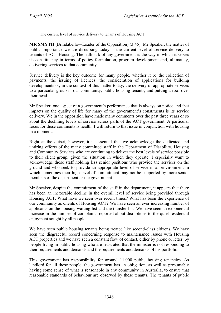The current level of service delivery to tenants of Housing ACT.

**MR SMYTH** (Brindabella—Leader of the Opposition) (3.45): Mr Speaker, the matter of public importance we are discussing today is the current level of service delivery to tenants of ACT Housing. The hallmark of any government is the way in which it serves its constituency in terms of policy formulation, program development and, ultimately, delivering services to that community.

Service delivery is the key outcome for many people, whether it be the collection of payments, the issuing of licences, the consideration of applications for building developments or, in the context of this matter today, the delivery of appropriate services to a particular group in our community, public housing tenants, and putting a roof over their head.

Mr Speaker, one aspect of a government's performance that is always on notice and that impacts on the quality of life for many of the government's constituents is its service delivery. We in the opposition have made many comments over the past three years or so about the declining levels of service across parts of the ACT government. A particular focus for these comments is health. I will return to that issue in conjunction with housing in a moment.

Right at the outset, however, it is essential that we acknowledge the dedicated and untiring efforts of the many committed staff in the Department of Disability, Housing and Community Services who are continuing to deliver the best levels of service possible to their client group, given the situation in which they operate. I especially want to acknowledge those staff holding less senior positions who provide the services on the ground and who seek to provide an appropriate level of service in an environment in which sometimes their high level of commitment may not be supported by more senior members of the department or the government.

Mr Speaker, despite the commitment of the staff in the department, it appears that there has been an inexorable decline in the overall level of service being provided through Housing ACT. What have we seen over recent times? What has been the experience of our community as clients of Housing ACT? We have seen an ever increasing number of applicants on the housing waiting list and the transfer list. We have seen an exponential increase in the number of complaints reported about disruptions to the quiet residential enjoyment sought by all people.

We have seen public housing tenants being treated like second-class citizens. We have seen the disgraceful record concerning response to maintenance issues with Housing ACT properties and we have seen a constant flow of contact, either by phone or letter, by people living in public housing who are frustrated that the minister is not responding to their requirements and demands and the requirements and demands of his portfolio.

This government has responsibility for around 11,000 public housing tenancies. As landlord for all these people, the government has an obligation, as well as presumably having some sense of what is reasonable in any community in Australia, to ensure that reasonable standards of behaviour are observed by these tenants. The tenants of public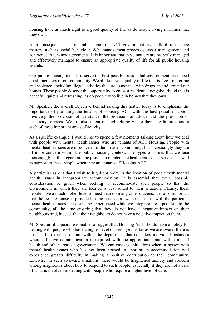housing have as much right to a good quality of life as do people living in homes that they own.

As a consequence, it is incumbent upon the ACT government, as landlord, to manage matters such as social behaviour, debt management processes, asset management and adherence to tenancy agreements. It is important that these matters are properly managed and effectively managed to ensure an appropriate quality of life for all public housing tenants.

Our public housing tenants deserve the best possible residential environment, as indeed do all members of our community. We all deserve a quality of life that is free from crime and violence, including illegal activities that are associated with drugs, in and around our homes. These people deserve the opportunity to enjoy a residential neighbourhood that is peaceful, quiet and refreshing, as do people who live in homes that they own.

Mr Speaker, the overall objective behind raising this matter today is to emphasise the importance of providing the tenants of Housing ACT with the best possible support involving the provision of assistance, the provision of advice and the provision of necessary services. We are also intent on highlighting where there are failures across each of these important areas of activity.

As a specific example, I would like to spend a few moments talking about how we deal with people with mental health issues who are tenants of ACT Housing. People with mental health issues are of concern to the broader community, but increasingly they are of more concern within the public housing context. The types of issues that we face increasingly in this regard are the provision of adequate health and social services as well as support to these people when they are tenants of Housing ACT.

A particular aspect that I wish to highlight today is the location of people with mental health issues in inappropriate accommodation. It is essential that every possible consideration be given when seeking to accommodate such people so that the environment in which they are located is best suited to their situation. Clearly, these people have a much higher level of need than do many other citizens. It is also important that the best response is provided to these needs as we seek to deal with the particular mental health issues that are being experienced while we integrate these people into the community, all the time ensuring that they do not have a negative impact on their neighbours and, indeed, that their neighbours do not have a negative impact on them.

Mr Speaker, it appears reasonable to suggest that Housing ACT should have a policy for dealing with people who have a higher level of need; yet, as far as we are aware, there is no specific expertise or unit within the department that considers individual instances where effective communication is required with the appropriate units within mental health and other areas of government. We can envisage situations where a person with mental health issues who has not been housed in appropriate accommodation will experience greater difficulty in making a positive contribution to their community. Likewise, in such awkward situations, there would be heightened anxiety and concern among neighbours about how to respond to such people, especially if they are not aware of what is involved in dealing with people who require a higher level of care.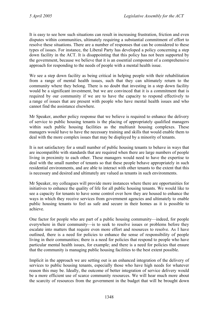It is easy to see how such situations can result in increasing frustration, friction and even disputes within communities, ultimately requiring a substantial commitment of effort to resolve these situations. There are a number of responses that can be considered to these types of issues. For instance, the Liberal Party has developed a policy concerning a step down facility in the ACT. It is disappointing that this policy has not been supported by the government, because we believe that it is an essential component of a comprehensive approach for responding to the needs of people with a mental health issue.

We see a step down facility as being critical in helping people with their rehabilitation from a range of mental health issues, such that they can ultimately return to the community where they belong. There is no doubt that investing in a step down facility would be a significant investment, but we are convinced that it is a commitment that is required by our community if we are to have the capacity to respond effectively to a range of issues that are present with people who have mental health issues and who cannot find the assistance elsewhere.

Mr Speaker, another policy response that we believe is required to enhance the delivery of service to public housing tenants is the placing of appropriately qualified managers within such public housing facilities as the multiunit housing complexes. These managers would have to have the necessary training and skills that would enable them to deal with the more complex issues that may be displayed by a minority of tenants.

It is not satisfactory for a small number of public housing tenants to behave in ways that are incompatible with standards that are required when there are large numbers of people living in proximity to each other. These managers would need to have the expertise to deal with the small number of tenants so that these people behave appropriately in such residential environments, and are able to interact with other tenants to the extent that this is necessary and desired and ultimately are valued as tenants in such environments.

Mr Speaker, my colleagues will provide more instances where there are opportunities for initiatives to enhance the quality of life for all public housing tenants. We would like to see a capacity for tenants to have some control over how they are housed to enhance the ways in which they receive services from government agencies and ultimately to enable public housing tenants to feel as safe and secure in their homes as it is possible to achieve.

One factor for people who are part of a public housing community—indeed, for people everywhere in their community—is to seek to resolve issues or problems before they escalate into matters that require even more effort and resources to resolve. As I have outlined, there is a need for policies to enhance the sense of responsibility of people living in their communities; there is a need for policies that respond to people who have particular mental health issues, for example; and there is a need for policies that ensure that the community is managing public housing facilities to the best extent possible.

Implicit in the approach we are setting out is an enhanced integration of the delivery of services to public housing tenants, especially those who have high needs for whatever reason this may be. Ideally, the outcome of better integration of service delivery would be a more efficient use of scarce community resources. We will hear much more about the scarcity of resources from the government in the budget that will be brought down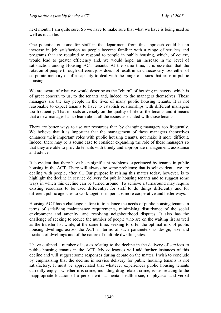next month, I am quite sure. So we have to make sure that what we have is being used as well as it can be.

One potential outcome for staff in the department from this approach could be an increase in job satisfaction as people become familiar with a range of services and programs that are required to respond to people in public housing, which, of course, would lead to greater efficiency and, we would hope, an increase in the level of satisfaction among Housing ACT tenants. At the same time, it is essential that the rotation of people through different jobs does not result in an unnecessary loss either of corporate memory or of a capacity to deal with the range of issues that arise in public housing.

We are aware of what we would describe as the "churn" of housing managers, which is of great concern to us, to the tenants and, indeed, to the managers themselves. These managers are the key people in the lives of many public housing tenants. It is not reasonable to expect tenants to have to establish relationships with different managers too frequently. That impacts adversely on the quality of life of the tenants and it means that a new manager has to learn about all the issues associated with those tenants.

There are better ways to use our resources than by changing managers too frequently. We believe that it is important that the management of these managers themselves enhances their important roles with public housing tenants, not make it more difficult. Indeed, there may be a sound case to consider expanding the role of these managers so that they are able to provide tenants with timely and appropriate management, assistance and advice.

It is evident that there have been significant problems experienced by tenants in public housing in the ACT. There will always be some problems; that is self-evident—we are dealing with people, after all. Our purpose in raising this matter today, however, is to highlight the decline in service delivery for public housing tenants and to suggest some ways in which this decline can be turned around. To achieve a turnaround may require existing resources to be used differently, for staff to do things differently and for different public agencies to work together in perhaps more cooperative and better ways.

Housing ACT has a challenge before it: to balance the needs of public housing tenants in terms of satisfying maintenance requirements, minimising disturbance of the social environment and amenity, and resolving neighbourhood disputes. It also has the challenge of seeking to reduce the number of people who are on the waiting list as well as the transfer list while, at the same time, seeking to offer the optimal mix of public housing dwellings across the ACT in terms of such parameters as design, size and location of dwellings and of the nature of multiple dwelling sites.

I have outlined a number of issues relating to the decline in the delivery of services to public housing tenants in the ACT. My colleagues will add further instances of this decline and will suggest some responses during debate on the matter. I wish to conclude by emphasising that the decline in service delivery for public housing tenants is not satisfactory. It must be appreciated that whatever experiences public housing tenants currently enjoy—whether it is crime, including drug-related crime, issues relating to the inappropriate location of a person with a mental health issue, or physical and verbal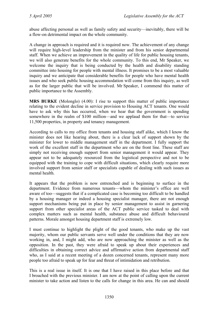abuse affecting personal as well as family safety and security—inevitably, there will be a flow-on detrimental impact on the whole community.

A change in approach is required and it is required now. The achievement of any change will require high-level leadership from the minister and from his senior departmental staff. When we achieve an improvement in the quality of life for public housing tenants, we will also generate benefits for the whole community. To this end, Mr Speaker, we welcome the inquiry that is being conducted by the health and disability standing committee into housing for people with mental illness. It promises to be a most valuable inquiry and we anticipate that considerable benefits for people who have mental health issues and who seek public housing accommodation will come from this inquiry, as well as for the larger public that will be involved. Mr Speaker, I commend this matter of public importance to the Assembly.

**MRS BURKE** (Molonglo) (4.00): I rise to support this matter of public importance relating to the evident decline in service provision to Housing ACT tenants. One would have to ask why this has occurred, when we hear that the government is spending somewhere in the realm of \$100 million—and we applaud them for that—to service 11,500 properties, in property and tenancy management.

According to calls to my office from tenants and housing staff alike, which I know the minister does not like hearing about, there is a clear lack of support shown by the minister for lower to middle management staff in the department. I fully support the work of the excellent staff in the department who are on the front line. These staff are simply not receiving enough support from senior management it would appear. They appear not to be adequately resourced from the logistical perspective and not to be equipped with the training to cope with difficult situations, which clearly require more involved support from senior staff or specialists capable of dealing with such issues as mental health.

It appears that the problem is now entrenched and is beginning to surface in the department. Evidence from numerous tenants—whom the minister's office are well aware of too—suggests that if a complicated case is becoming too difficult to be handled by a housing manager or indeed a housing specialist manager, there are not enough support mechanisms being put in place by senior management to assist in garnering support from other specialist areas of the ACT public service tasked to deal with complex matters such as mental health, substance abuse and difficult behavioural patterns. Morale amongst housing department staff is extremely low.

I must continue to highlight the plight of the good tenants, who make up the vast majority, whom our public servants serve well under the conditions that they are now working in, and, I might add, who are now approaching the minister as well as the opposition. In the past, they were afraid to speak up about their experiences and difficulties in obtaining correct advice and affirmative action from departmental staff who, as I said at a recent meeting of a dozen concerned tenants, represent many more people too afraid to speak up for fear and threat of intimidation and retribution.

This is a real issue in itself. It is one that I have raised in this place before and that I broached with the previous minister. I am now at the point of calling upon the current minister to take action and listen to the calls for change in this area. He can and should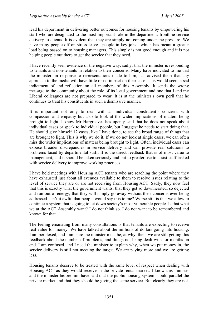lead his department in delivering better outcomes for housing tenants by empowering his staff who are designated to the most important role in the department: frontline service delivery to clients. It is evident that they are simply not coping under the pressure. We have many people off on stress leave—people in key jobs—which has meant a greater load being passed on to housing managers. This simply is not good enough and it is not helping people out there to get the service that they need.

I have recently seen evidence of the negative way, sadly, that the minister is responding to tenants and non-tenants in relation to their concerns. Many have indicated to me that the minister, in response to representations made to him, has advised them that any approach to the media will have little or no impact on their case. This would seem a sad indictment of and reflection on all members of this Assembly. It sends the wrong message to the community about the role of its local government and one that I and my Liberal colleagues are not prepared to wear. It is at the minister's own peril that he continues to treat his constituents in such a dismissive manner.

It is important not only to deal with an individual constituent's concerns with compassion and empathy but also to look at the wider implications of matters being brought to light. I know Mr Hargreaves has openly said that he does not speak about individual cases or speak to individual people, but I suggest he needs to start doing that. He should give himself 12 cases, like I have done, to see the broad range of things that are brought to light. This is why we do it. If we do not look at single cases, we can often miss the wider implications of matters being brought to light. Often, individual cases can expose broader discrepancies in service delivery and can provide real solutions to problems faced by departmental staff. It is the direct feedback that is of most value to management, and it should be taken seriously and put to greater use to assist staff tasked with service delivery to improve working practices.

I have held meetings with Housing ACT tenants who are reaching the point where they have exhausted just about all avenues available to them to resolve issues relating to the level of service they are or are not receiving from Housing ACT. Sadly, they now feel that this is exactly what the government wants: that they get so downhearted, so dejected and run out of energy, that they will simply go away without their concerns ever being addressed. Isn't it awful that people would say this to me? Worse still is that we allow to continue a system that is going to let down society's most vulnerable people. Is that what we at the ACT Assembly want? I do not think so. I do not want to be remembered and known for that.

The feeling emanating from many consultations is that tenants are expecting to receive real value for money. We have talked about the millions of dollars going into housing. I am perplexed, and I am sure the minister must be, at why, then, we are still getting this feedback about the number of problems, and things not being dealt with for months on end. I am confused, and I need the minister to explain why, when we put money in, the service delivery is still not meeting the target. We are paying more and we are getting less.

Housing tenants deserve to be treated with the same level of respect when dealing with Housing ACT as they would receive in the private rental market. I know this minister and the minister before him have said that the public housing system should parallel the private market and that they should be giving the same service. But clearly they are not.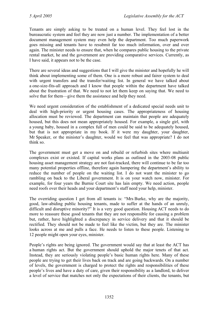Tenants are simply asking to be treated on a human level. They feel lost in the bureaucratic system and feel they are now just a number. The implementation of a better document management system may even help the department. Too much paperwork goes missing and tenants have to resubmit far too much information, over and over again. The minister needs to ensure that, when he compares public housing to the private rental market, he and the government are providing comparative services. Currently, as I have said, it appears not to be the case.

There are several ideas and suggestions that I will give the minister and hopefully he will think about implementing some of them. One is a more robust and fairer system to deal with urgent transfers and the transfer/waiting list. In general we have talked about a one-size-fits-all approach and I know that people within the department have talked about the frustration of that. We need to not let them keep on saying that. We need to solve that for them—give them the assistance and help they need.

We need urgent consideration of the establishment of a dedicated special needs unit to deal with high-priority or urgent housing cases. The appropriateness of housing allocation must be reviewed. The department can maintain that people are adequately housed, but this does not mean appropriately housed. For example, a single girl, with a young baby, housed in a complex full of men could be said to be adequately housed, but that is not appropriate in my book. If it were my daughter, your daughter, Mr Speaker, or the minister's daughter, would we feel that was appropriate? I do not think so.

The government must get a move on and rebuild or refurbish sites where multiunit complexes exist or existed. If capital works plans as outlined in the 2003-08 public housing asset management strategy are not fast-tracked, there will continue to be far too many potential properties offline, therefore again hampering the department's ability to reduce the number of people on the waiting list. I do not want the minister to go rambling on back to the Liberal government. It is on your watch now, minister. For example, for four years the Burnie Court site has lain empty. We need action, people need roofs over their heads and your department's staff need your help, minister.

The overriding question I get from all tenants is: "Mrs Burke, why are the majority, good, law-abiding public housing tenants, made to suffer at the hands of an unruly, difficult and disruptive minority?" It is a very good question. Housing ACT needs to do more to reassure these good tenants that they are not responsible for causing a problem but, rather, have highlighted a discrepancy in service delivery and that it should be rectified. They should not be made to feel like the victim, but they are. The minister looks across at me and pulls a face. He needs to listen to these people. Listening to 12 people might open your eyes, minister.

People's rights are being ignored. The government would say that at least the ACT has a human rights act. But the government should uphold the major tenets of that act. Instead, they are seriously violating people's basic human rights here. Many of these people are trying to get their lives back on track and are going backwards. On a number of levels, the government is charged to protect the rights and responsibilities of these people's lives and have a duty of care, given their responsibility as a landlord, to deliver a level of service that matches not only the expectations of their clients, the tenants, but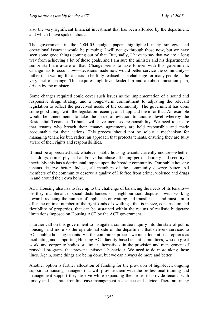also the very significant financial investment that has been afforded by the department, and which I have spoken about.

The government in the 2004-05 budget papers highlighted many strategic and operational issues it would be pursuing. I will not go through those now, but we have seen some good things coming out of that. But, sadly, I have to say that we are a long way from achieving a lot of those goals, and I am sure the minister and his department's senior staff are aware of that. Change seems to take forever with this government. Change has to occur now—decisions made now would better service the community rather than waiting for a crisis to be fully realised. The challenge for many people is the very fact of change. This requires high-level leadership and a robust transition plan, driven by the minister.

Some changes required could cover such issues as the implementation of a sound and responsive drugs strategy and a longer-term commitment to adjusting the relevant legislation to reflect the perceived needs of the community. The government has done some good things with the legislation recently, and I applaud them for that. An example would be amendments to take the issue of eviction to another level whereby the Residential Tenancies Tribunal will have increased responsibility. We need to ensure that tenants who breach their tenancy agreements are held responsible and made accountable for their actions. This process should not be solely a mechanism for managing tenancies but, rather, an approach that protects tenants, ensuring they are fully aware of their rights and responsibilities.

It must be appreciated that, whatever public housing tenants currently endure—whether it is drugs, crime, physical and/or verbal abuse affecting personal safety and security inevitably this has a detrimental impact upon the broader community. Our public housing tenants deserve better. Indeed, all members of the community deserve better. All members of the community deserve a quality of life free from crime, violence and drugs in and around their own home.

ACT Housing also has to face up to the challenge of balancing the needs of its tenants be they maintenance, social disturbances or neighbourhood disputes—with working towards reducing the number of applicants on waiting and transfer lists and must aim to offer the optimal number of the right kinds of dwellings, that is in size, construction and flexibility of properties, that can be sustained within the realms of realistic budgetary limitations imposed on Housing ACT by the ACT government.

I further call on this government to instigate a committee inquiry into the state of public housing, and more so the operational side of the department that delivers services to ACT public housing tenants. Via the committee process we must look at such options as facilitating and supporting Housing ACT facility-based tenant committees, who do great work, and corporate bodies or similar alternatives, in the provision and management of remedial programs that prevent antisocial behaviour. We need to do more along those lines. Again, some things are being done, but we can always do more and better.

Another option is further allocation of funding for the provision of high-level, ongoing support to housing managers that will provide them with the professional training and management support they deserve while expanding their roles to provide tenants with timely and accurate frontline case management assistance and advice. There are many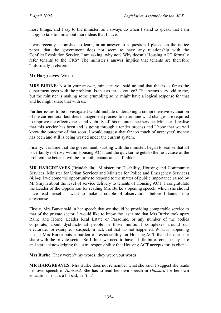more things, and I say to the minister, as I always do when I stand to speak, that I am happy to talk to him about more ideas that I have.

I was recently astonished to learn, in an answer to a question I placed on the notice paper, that the government does not seem to have any relationship with the Conflict Resolution Service. I am asking: why not? Why doesn't Housing ACT formally refer tenants to the CRS? The minister's answer implies that tenants are therefore "informally" referred.

**Mr Hargreaves**: We do.

**MRS BURKE**: Not in your answer, minister; you said no and that that is as far as the department goes with the problem. Is that as far as you go? That seems very odd to me, but the minister is making some grumbling so he might have a logical response for that and he might share that with us.

Further issues to be investigated would include undertaking a comprehensive evaluation of the current total facilities management process to determine what changes are required to improve the effectiveness and viability of this maintenance service. Minister, I realise that this service has been and is going through a tender process and I hope that we will know the outcome of that soon. I would suggest that far too much of taxpayers' money has been and still is being wasted under the current system.

Finally, it is time that the government, starting with the minister, began to realise that all is certainly not rosy within Housing ACT, and the quicker he gets to the root cause of the problem the better it will be for both tenants and staff alike.

**MR HARGREAVES** (Brindabella—Minister for Disability, Housing and Community Services, Minister for Urban Services and Minister for Police and Emergency Services) (4.14): I welcome the opportunity to respond to the matter of public importance raised by Mr Smyth about the level of service delivery to tenants of Housing ACT. I congratulate the Leader of the Opposition for reading Mrs Burke's opening speech, which she should have read herself. I want to make a couple of observations before I launch into a response.

Firstly, Mrs Burke said in her speech that we should be providing comparable service to that of the private sector. I would like to know the last time that Mrs Burke took apart Raine and Horne, Leader Real Estate or Paradime, or any number of the bodies corporate, about dysfunctional people in those multiunit complexes around our electorate, for example. I suspect, in fact, that that has not happened. What is happening is that Mrs Burke puts a burden of responsibility on Housing ACT that she does not share with the private sector. So I think we need to have a little bit of consistency here and start acknowledging the extra responsibility that Housing ACT accepts for its clients.

**Mrs Burke**: They weren't my words; they were your words.

**MR HARGREAVES**: Mrs Burke does not remember what she said. I suggest she reads her own speech in *Hansard*. She has to read her own speech in *Hansard* for her own education—that's a bit sad, isn't it?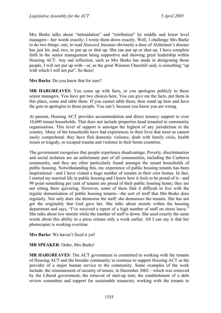Mrs Burke talks about "intimidation" and "retribution" by middle and lower level managers—her words exactly; I wrote them down exactly. Well, I challenge Mrs Burke to do two things: one, to read *Hansard*, because obviously a dose of Alzheimer's disease has just hit, and, two, to put up or shut up. She can put up or shut up. I have complete faith in the senior management being supportive and showing great leadership within Housing ACT. Any sad reflection, such as Mrs Burke has made in denigrating those people, I will not put up with—or, as the great Winston Churchill said, is something "up with which I will not put". So there!

**Mrs Burke**: Do you know that for sure?

**MR HARGREAVES**: You come up with facts, or you apologise publicly to those senior managers. You have got two choices here. You can give me the facts, put them in this place, come and table them. If you cannot table them, then stand up here and have the guts to apologise to those people. You can't, because you know you are wrong.

At present, Housing ACT provides accommodation and direct tenancy support to over 10,600 tenant households. That does not include properties head tenanted to community organisations. This level of support is amongst the highest of any jurisdiction in the country. Many of the households have had experiences in their lives that most us cannot easily comprehend: they have fled domestic violence, dealt with family crisis, health issues or tragedy, or escaped trauma and violence in their home countries.

The government recognises that people experience disadvantage. Poverty, discrimination and social isolation are an unfortunate part of all communities, including the Canberra community, and they are often particularly found amongst the tenant households of public housing. Notwithstanding this, my experience of public housing tenants has been inspirational—and I have visited a huge number of tenants in their own homes. In fact, I started my married life in public housing and I know how it feels to be proud of it—and 99 point something per cent of tenants are proud of their public housing home; they are not sitting there quivering. However, some of them find it difficult to live with the regular demonisation of public housing tenants—the sort of stuff that Mrs Burke does regularly. Not only does she demonise the staff; she demonises the tenants. She has not got the originality that God gave her. She talks about morale within the housing department and says, "I've received a report of a high number of staff on stress leave." She talks about low morale while the number of staff is down. She used exactly the same words about this ability in a press release only a week earlier. All I can say is that her photocopier is working overtime.

**Mrs Burke**: We haven't fixed it yet!

### **MR SPEAKER**: Order, Mrs Burke!

**MR HARGREAVES**: The ACT government is committed to working with the tenants of Housing ACT and the broader community to continue to support Housing ACT as the provider of a major human service to the community. Some examples of the work include: the reinstatement of security of tenure, in December 2002—which was removed by the Liberal government; the removal of start-up rent; the establishment of a debt review committee and support for sustainable tenancies; working with the tenants to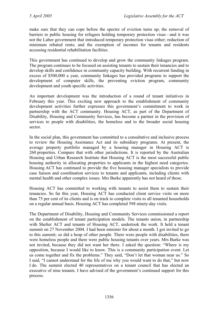make sure that they can cope before the spectre of eviction turns up; the removal of barriers to public housing for refugees holding temporary protection visas—and it was not the Labor government that introduced temporary protection visas either; reduction of minimum rebated rents; and the exemption of incomes for tenants and residents accessing residential rehabilitation facilities.

This government has continued to develop and grow the community linkages program. The program continues to be focused on assisting tenants to sustain their tenancies and to develop skills and confidence in community capacity building. With recurrent funding in excess of \$500,000 a year, community linkages has provided programs to support the development of computer skills, the preventing eviction program, community development and youth specific activities.

An important development was the introduction of a round of tenant initiatives in February this year. This exciting new approach to the establishment of community development activities further expresses this government's commitment to work in partnership with the ACT community. Housing ACT, as part of the Department of Disability, Housing and Community Services, has become a partner in the provision of services to people with disabilities, the homeless and to the broader social housing sector.

In the social plan, this government has committed to a consultative and inclusive process to review the Housing Assistance Act and its subsidiary programs. At present, the average property portfolio managed by a housing manager in Housing ACT is 260 properties. Compare that with other jurisdictions. It is reported by the Australian Housing and Urban Research Institute that Housing ACT is the most successful public housing authority in allocating properties to applicants in the highest need categories. Housing ACT has continued to provide the five housing manager specialists to provide case liaison and coordination services to tenants and applicants, including clients with mental health and other complex issues. Mrs Burke apparently has not heard of those.

Housing ACT has committed to working with tenants to assist them to sustain their tenancies. So far this year, Housing ACT has conducted client service visits on more than 75 per cent of its clients and is on track to complete visits to all tenanted households on a regular annual basis. Housing ACT has completed 598 ninety-day visits.

The Department of Disability, Housing and Community Services commissioned a report on the establishment of tenant participation models. The tenants union, in partnership with Shelter ACT and tenants of Housing ACT, undertook the work. It held a tenant summit on 27 November 2004. I had been minister for about a month. I got invited to go to this summit; so did a heap of other people. There were people with disabilities, there were homeless people and there were public housing tenants over years. Mrs Burke was not invited, because they did not want her there. I asked the question: "Where is my opposition, because I would like to know. This is a community participation event. Let us come together and fix the problems." They said, "Don't let that woman near us." So I said, "I cannot understand for the life of me why you would want to do that," but now I do. The summit elected 40 representatives on a tenant council that has elected an executive of nine tenants. I have advised of the government's continued support for this process.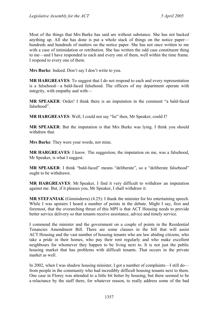Most of the things that Mrs Burke has said are without substance. She has not backed anything up. All she has done is put a whole stack of things on the notice paper hundreds and hundreds of matters on the notice paper. She has not once written to me with a case of intimidation or retribution. She has written the odd case constituent thing to me—and I have responded to each and every one of them, well within the time frame. I respond to every one of them.

**Mrs Burke**: Indeed. Don't say I don't write to you.

**MR HARGREAVES**: To suggest that I do not respond to each and every representation is a falsehood—a bald-faced falsehood. The officers of my department operate with integrity, with empathy and with—

**MR SPEAKER**: Order! I think there is an imputation in the comment "a bald-faced falsehood".

**MR HARGREAVES**: Well, I could not say "lie" then, Mr Speaker, could I?

**MR SPEAKER**: But the imputation is that Mrs Burke was lying. I think you should withdraw that.

**Mrs Burke**: They were your words, not mine.

**MR HARGREAVES**: I know. The suggestion, the imputation on me, was a falsehood, Mr Speaker, is what I suggest.

**MR SPEAKER:** I think "bald-faced" means "deliberate", so a "deliberate falsehood" ought to be withdrawn.

**MR HARGREAVES**: Mr Speaker, I find it very difficult to withdraw an imputation against me. But, if it pleases you, Mr Speaker, I shall withdraw it.

**MR STEFANIAK** (Ginninderra) (4.25): I thank the minister for his entertaining speech. While I was upstairs I heard a number of points in the debate. Might I say, first and foremost, that the overarching thrust of this MPI is that ACT Housing needs to provide better service delivery so that tenants receive assistance, advice and timely service.

I commend the minister and the government on a couple of points in the Residential Tenancies Amendment Bill. There are some clauses in the bill that will assist ACT Housing and the vast number of housing tenants who are law abiding citizens, who take a pride in their homes, who pay their rent regularly and who make excellent neighbours for whomever they happen to be living next to. It is not just the public housing market that has problems with difficult tenants. That occurs in the private market as well.

In 2002, when I was shadow housing minister, I got a number of complaints—I still do from people in the community who had incredibly difficult housing tenants next to them. One case in Florey was attended to a little bit better by housing, but there seemed to be a reluctance by the staff there, for whatever reason, to really address some of the bad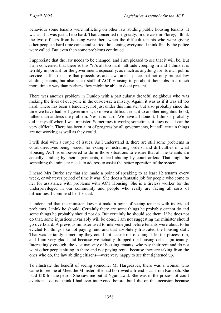behaviour some tenants were inflicting on other law abiding public housing tenants. It was as if it was just all too hard. That concerned me greatly. In the case in Florey, I think the two officers from housing were there when the difficult tenants who were giving other people a hard time came and started threatening everyone. I think finally the police were called. But even then some problems continued.

I appreciate that the law needs to be changed, and I am pleased to see that it will be. But I am concerned that there is this "it's all too hard" attitude creeping in and I think it is terribly important for the government, especially, as much as anything for its own public service staff, to ensure that procedures and laws are in place that not only protect law abiding tenants, but also assist staff of ACT Housing to go about their jobs in a much more timely way than perhaps they might be able to do at present.

There was another problem in Dunlop with a particularly dreadful neighbour who was making the lives of everyone in the cul-de-sac a misery. Again, it was as if it was all too hard. There has been a tendency, not just under this minister but also probably since the time we have had self-government, to move a difficult tenant to another neighbourhood, rather than address the problem. Yes, it is hard. We have all done it. I think I probably did it myself when I was minister. Sometimes it works; sometimes it does not. It can be very difficult. There has been a lot of progress by all governments, but still certain things are not working as well as they could.

I will deal with a couple of issues. As I understand it, there are still some problems in court directives being issued, for example, restraining orders, and difficulties in what Housing ACT is empowered to do in those situations to ensure that all the tenants are actually abiding by their agreements, indeed abiding by court orders. That might be something the minister needs to address to assist the better operation of the system.

I heard Mrs Burke say that she made a point of speaking to at least 12 tenants every week, or whatever period of time it was. She does a fantastic job for people who come to her for assistance with problems with ACT Housing. She is a tireless worker for the underprivileged in our community and people who really are facing all sorts of difficulties. I commend her for that.

I understand that the minister does not make a point of seeing tenants with individual problems. I think he should. Certainly there are some things he probably cannot do and some things he probably should not do. But certainly he should see them. If he does not do that, some injustices invariably will be done. I am not suggesting the minister should go overboard. A previous minister used to intervene just before tenants were about to be evicted for things like not paying rent, and that absolutely frustrated the housing staff. That was certainly something they could not accuse me of doing. I let the process run, and I am very glad I did because we actually dropped the housing debt significantly. Interestingly enough, the vast majority of housing tenants, who pay their rent and do not want other people sitting in there and not paying rent—because they are taking from the ones who do, the law abiding citizens—were very happy to see that tightened up.

To illustrate the benefit of seeing someone, Mr Hargreaves, there was a woman who came to see me at Meet the Minister. She had borrowed a friend's car from Kambah. She paid \$10 for the petrol. She saw me out at Ngunnawal. She was in the process of court eviction. I do not think I had ever intervened before, but I did on this occasion because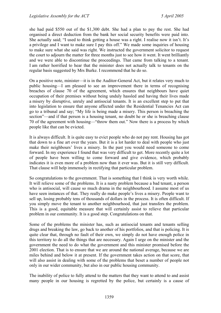she had paid \$550 out of the \$1,300 debt. She had a plan to pay the rest. She had organised a direct deduction from the bank her social security benefits were paid into. She actually said; "I used to think getting a house was a right. I realise now it isn't. It's a privilege and I want to make sure I pay this off." We made some inquiries of housing to make sure what she said was right. We instructed the government solicitor to request the court to adjourn the matter for three months just to see how it went. It went brilliantly and we were able to discontinue the proceedings. That came from talking to a tenant. I am rather horrified to hear that the minister does not actually talk to tenants on the regular basis suggested by Mrs Burke. I recommend that he do so.

On a positive note, minister—it is in the Auditor-General Act, but it relates very much to public housing—I am pleased to see an improvement there in terms of recognising breaches of clause 70 of the agreement, which ensures that neighbours have quiet occupation of their premises without being unduly hassled and having their lives made a misery by disruptive, unruly and antisocial tenants. It is an excellent step to put that into legislation to ensure that anyone affected under the Residential Tenancies Act can go to a tribunal and say; "My life is being made a misery. This person is breaching the section"—and if that person is a housing tenant, no doubt he or she is breaching clause 70 of the agreement with housing—"throw them out." Now there is a process by which people like that can be evicted.

It is always difficult. It is quite easy to evict people who do not pay rent. Housing has got that down to a fine art over the years. But it is a lot harder to deal with people who just make their neighbours' lives a misery. In the past you would need someone to come forward. In my experience I found that was very difficult to get. More recently quite a lot of people have been willing to come forward and give evidence, which probably indicates it is even more of a problem now than it ever was. But it is still very difficult. That clause will help immensely in rectifying that particular problem.

So congratulations to the government. That is something that I think is very worth while. It will relieve some of the problems. It is a nasty problem because a bad tenant, a person who is antisocial, will cause so much drama in the neighbourhood. I assume most of us have seen instances of that. They really do make people's lives a misery. People want to sell up, losing probably tens of thousands of dollars in the process. It is often difficult. If you simply move the tenant to another neighbourhood, that just transfers the problem. This is a good, equitable measure that will certainly assist to relieve that particular problem in our community. It is a good step. Congratulations on that.

Some of the problems the minister has, such as antisocial tenants and tenants selling drugs and breaking the law, go back to another of his portfolios, and that is policing. It is quite clear that, through no fault of their own, we simply do not have enough police in this territory to do all the things that are necessary. Again I urge on the minister and the government the need to do what the government and this minister promised before the 2001 election. That is to ensure that we are around the national average, because we are miles behind and below it at present. If the government takes action on that score, that will also assist in dealing with some of the problems that beset a number of people not only in our wider community, but also in our public housing community.

The inability of police to fully attend to the matters that they want to attend to and assist many people in our housing is regretted by the police, but certainly is a cause of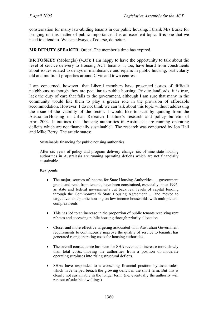consternation for many law-abiding tenants in our public housing. I thank Mrs Burke for bringing on this matter of public importance. It is an excellent topic. It is one that we need to attend to. We can always, of course, do better.

**MR DEPUTY SPEAKER**: Order! The member's time has expired.

**DR FOSKEY** (Molonglo) (4.35): I am happy to have the opportunity to talk about the level of service delivery to Housing ACT tenants. I, too, have heard from constituents about issues related to delays in maintenance and repairs in public housing, particularly old and multiunit properties around Civic and town centres.

I am concerned, however, that Liberal members have presented issues of difficult neighbours as though they are peculiar to public housing. Private landlords, it is true, lack the duty of care that falls to the government, although I am sure that many in the community would like them to play a greater role in the provision of affordable accommodation. However, I do not think we can talk about this topic without addressing the issue of the viability of the sector. I would like to start by quoting from the Australian Housing in Urban Research Institute's research and policy bulletin of April 2004. It outlines that "housing authorities in Australasia are running operating deficits which are not financially sustainable". The research was conducted by Jon Hall and Mike Berry. The article states:

Sustainable financing for public housing authorities.

After six years of policy and program delivery change, six of nine state housing authorities in Australasia are running operating deficits which are not financially sustainable.

Key points

- The major, sources of income for State Housing Authorities … government grants and rents from tenants, have been constrained, especially since 1996, as state and federal governments cut back real levels of capital funding through the Commonwealth State Housing Agreement … and moved to target available public housing on low income households with multiple and complex needs.
- This has led to an increase in the proportion of public tenants receiving rent rebates and accessing public housing through priority allocation.
- Closer and more effective targeting associated with Australian Government requirements to continuously improve the quality of service to tenants, has generated rising operating costs for housing authorities.
- The overall consequence has been for SHA revenue to increase more slowly than total costs, moving the authorities from a position of moderate operating surpluses into rising structural deficits.
- SHAs have responded to a worsening financial position by asset sales, which have helped breach the growing deficit in the short term. But this is clearly not sustainable in the longer term, (i.e. eventually the authority will run out of saleable dwellings).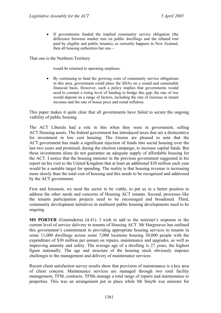• If governments funded the implied community service obligation (the difference between market rent on public dwellings and the rebated rent paid by eligible and public tenants), as currently happens in New Zealand, then all housing authorities bar one—

That one is the Northern Territory

would be returned to operating surpluses.

• By continuing to fund the growing costs of community service obligations in this area, government could place the SHAs on a sound and sustainable financial basis. However, such a policy implies that governments would need to commit a rising level of funding to bridge this gap; the rate of rise would depend on a range of factors, including the rate of increase in tenant incomes and the rate of house price and rental inflation.

This paper makes it quite clear that all governments have failed to secure the ongoing viability of public housing.

The ACT Liberals had a role in this when they were in government, selling ACT Housing assets. The federal government has introduced taxes that are a disincentive for investment in low cost housing. The Greens are pleased to note that the ACT government has made a significant injection of funds into social housing over the last two years and promised, during the election campaign, to increase capital funds. But these investments alone do not guarantee an adequate supply of affordable housing for the ACT. I notice that the housing minister in the previous government suggested in his report on his visit to the United Kingdom that at least an additional \$30 million each year would be a suitable target for spending. The reality is that housing revenue is increasing more slowly than the total cost of housing and this needs to be recognised and addressed by the ACT government.

First and foremost, we need the sector to be viable, to put us in a better position to address the other needs and concerns of Housing ACT tenants. Second, processes like the tenants participation projects need to be encouraged and broadened. Third, community development initiatives in multiunit public housing developments need to be ongoing.

**MS PORTER** (Ginninderra) (4.41): I wish to add to the minister's response re the current level of service delivery to tenants of Housing ACT. Mr Hargreaves has outlined this government's commitment to providing appropriate housing services to tenants in some 11,000 dwellings across some 7,000 locations housing 30,000 people with the expenditure of \$30 million per annum on repairs, maintenance and upgrades, as well as improving amenity and safety. The average age of a dwelling is 27 years, the highest figure nationally. The age and structure of the housing stock obviously imposes challenges to the management and delivery of maintenance services.

Recent client satisfaction survey results show that provision of maintenance is a key area of client concern. Maintenance services are managed through two total facility management, TFM, contracts. TFMs manage a total range of repairs and maintenance to properties. This was an arrangement put in place while Mr Smyth was minister for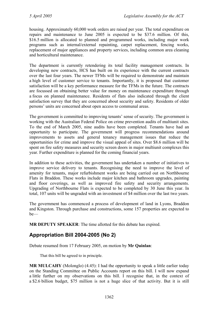housing. Approximately 60,000 work orders are raised per year. The total expenditure on repairs and maintenance to June 2005 is expected to be \$37.6 million. Of this, \$16.5 million is allocated to planned and programmed works, including major work programs such as internal/external repainting, carpet replacement, fencing works, replacement of major appliances and property services, including common area cleaning and horticultural maintenance.

The department is currently retendering its total facility management contracts. In developing new contracts, HCS has built on its experience with the current contracts over the last four years. The newer TFMs will be required to demonstrate and maintain a high level of customer service to tenants. Importantly, it is proposed that customer satisfaction will be a key performance measure for the TFMs in the future. The contracts are focussed on obtaining better value for money on maintenance expenditure through a focus on planned maintenance. Residents of flats also indicated through the client satisfaction survey that they are concerned about security and safety. Residents of older persons' units are concerned about open access to communal areas.

The government is committed to improving tenants' sense of security. The government is working with the Australian Federal Police on crime prevention audits of multiunit sites. To the end of March 2005, nine audits have been completed. Tenants have had an opportunity to participate. The government will progress recommendations around improvements to assets and general tenancy management issues that reduce the opportunities for crime and improve the visual appeal of sites. Over \$8.6 million will be spent on fire safety measures and security screen doors in major multiunit complexes this year. Further expenditure is planned for the coming financial years.

In addition to these activities, the government has undertaken a number of initiatives to improve service delivery to tenants. Recognising the need to improve the level of amenity for tenants, major refurbishment works are being carried out on Northbourne Flats in Braddon. These works include major kitchen and bathroom upgrades, painting and floor coverings, as well as improved fire safety and security arrangements. Upgrading of Northbourne Flats is expected to be completed by 30 June this year. In total, 107 units will be ungraded with an investment of \$4 million over the last two years.

The government has commenced a process of development of land in Lyons, Braddon and Kingston. Through purchase and constructions, some 157 properties are expected to be—

**MR DEPUTY SPEAKER**: The time allotted for this debate has expired.

# **Appropriation Bill 2004-2005 (No 2)**

Debate resumed from 17 February 2005, on motion by **Mr Quinlan**:

That this bill be agreed to in principle.

**MR MULCAHY** (Molonglo) (4.45): I had the opportunity to speak a little earlier today on the Standing Committee on Public Accounts report on this bill. I will now expand a little further on my observations on this bill. I recognise that, in the context of a \$2.6 billion budget, \$75 million is not a huge slice of that activity. But it is still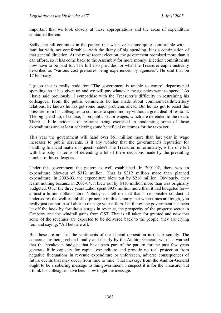important that we look closely at these appropriations and the areas of expenditure contained therein.

Sadly, the bill continues in the pattern that we have become quite comfortable with familiar with, not comfortable—with the litany of big spending. It is a continuation of that general direction. At the most recent election, the government promised more than it can afford, so it has come back to the Assembly for more money. Election commitments now have to be paid for. The bill also provides for what the Treasurer euphemistically described as "various cost pressures being experienced by agencies". He said that on 17 February.

I guess that is really code for: "The government is unable to control departmental spending, so it has given up and we will pay whatever the agencies want to spend." As I have said previously, I sympathise with the Treasurer's difficulty in restraining his colleagues. From the public comments he has made about commonwealth/territory relations, he knows he has got some major problems ahead. But he has got to resist this pressure from his colleagues to continue to spend money without a great deal of restraint. The big spend-up, of course, is on public sector wages, which are defended to the death. There is little evidence of restraint being exercised in moderating some of those expenditures and at least achieving some beneficial outcomes for the taxpayer.

This year the government will hand over \$61 million more than last year in wage increases to public servants. Is it any wonder that the government's reputation for handling financial matters is questionable? The Treasurer, unfortunately, is the one left with the baby in terms of defending a lot of these decisions made by the prevailing number of his colleagues.

Under this government the pattern is well established. In 2001-02, there was an expenditure blowout of \$312 million. That is \$312 million more than planned expenditure. In 2002-03, the expenditure blew out by \$216 million. Obviously, they learnt nothing because in 2003-04, it blew out by \$410 million more than was originally budgeted. Over the three years Labor spent \$938 million more than it had budgeted for almost a billion dollars more. Nobody can tell me that that is responsible conduct. It underscores the well-established principle in this country that when times are tough, you really just cannot trust Labor to manage your affairs. Until now the government has been let off the hook by fortuitous surges in revenue, the prosperity of the property sector in Canberra and the windfall gains from GST. That is all taken for granted and now that some of the revenues are expected to be delivered back to the people, they are crying foul and saying; "All bets are off."

But these are not just the sentiments of the Liberal opposition in this Assembly. The concerns are being echoed loudly and clearly by the Auditor-General, who has warned that the breakeven budgets that have been part of the pattern for the past few years generate little capacity for capital expenditure and provide no real protection from negative fluctuations in revenue expenditure or unforeseen, adverse consequences of future events that may occur from time to time. That message from the Auditor-General ought to be a sobering message to this government. I suspect it is for the Treasurer but I think his colleagues have been slow to get the message.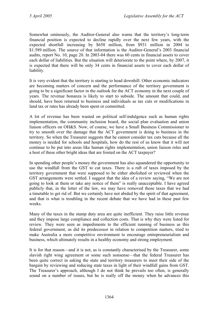Somewhat ominously, the Auditor-General also warns that the territory's long-term financial position is expected to decline rapidly over the next few years, with the expected shortfall increasing by \$658 million, from \$931 million in 2004 to \$1.589 million. The source of that information is the Auditor-General's 2003 financial audits, report No. 10, page 20. In 2003-04 there was 60 cents in financial assets to cover each dollar of liabilities. But the situation will deteriorate to the point where, by 2007, it is expected that there will be only 34 cents in financial assets to cover each dollar of liability.

It is very evident that the territory is starting to head downhill. Other economic indicators are becoming matters of concern and the performance of the territory government is going to be a significant factor in the outlook for the ACT economy in the next couple of years. The revenue bonanza is likely to start to subside. The amount that could, and should, have been returned to business and individuals as tax cuts or modifications in land tax or rates has already been spent or committed.

A lot of revenue has been wasted on political self-indulgence such as human rights implementation, the community inclusion board, the social plan evaluation and union liaison officers on OH&S. Now, of course, we have a Small Business Commissioner to try to smooth over the damage that the ACT government is doing to business in the territory. So when the Treasurer suggests that he cannot consider tax cuts because all the money is needed for schools and hospitals, how do the rest of us know that it will not continue to be put into areas like human rights implementation, union liaison roles and a host of these other bright ideas that are foisted on the ACT taxpayer?

In spending other people's money the government has also squandered the opportunity to use the windfall from the GST to cut taxes. There is a raft of taxes imposed by the territory government that were supposed to be either abolished or reviewed when the GST arrangements were settled. I suggest that the idea of a review saying, "We are not going to look at them or take any notice of them" is really unacceptable. I have agreed publicly that, in the letter of the law, we may have removed those taxes that we had a timetable to get rid of. But we certainly have not abided by the spirit of that agreement, and that is what is troubling in the recent debate that we have had in these past few weeks.

Many of the taxes in the stamp duty area are quite inefficient. They raise little revenue and they impose large compliance and collection costs. That is why they were listed for review. They were seen as impediments to the efficient running of business as this federal government, as did its predecessor in relation to competition matters, tried to make Australia a more competitive environment to encourage entrepreneurialism and business, which ultimately results in a healthy economy and strong employment.

It is for that reason—and it is not, as is constantly characterised by the Treasurer, some slavish right wing agreement or some such nonsense—that the federal Treasurer has been quite correct in asking the state and territory treasurers to meet their side of the bargain by reviewing and reducing state taxes in light of their windfall gains from GST. The Treasurer's approach, although I do not think he prevails too often, is generally sound on a number of issues, but he is really off the money when he advances this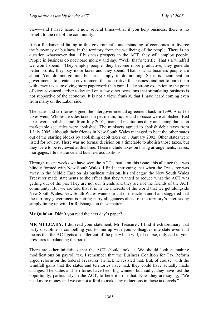view—and I have heard it now several times—that if you help business, there is no benefit to the rest of the community.

It is a fundamental failing in this government's understanding of economics to divorce the buoyancy of business in the territory from the wellbeing of the people. There is no question whatsoever that, if business prospers in the ACT, they will employ people. People in business do not hoard money and say; "Well, that's terrific. That's a windfall we won't spend." They employ people, they become more productive, they generate better profits, they pay more taxes and they spend. That is what business people are about. You do not go into business simply to do nothing. So it is incumbent on governments to create an environment that is positive for business and not to burn them with crazy taxes involving more paperwork than gain. I take strong exception to the point of view advanced earlier today and on a few other occasions that stimulating business is not supportive of the economy. It is not a view, frankly, that I have heard coming even from many on the Labor side.

The states and territories signed the intergovernmental agreement back in 1999. A raft of taxes went. Wholesale sales taxes on petroleum, liquor and tobacco were abolished. Bed taxes were abolished and, from July 2001, financial institutions duty and stamp duties on marketable securities were abolished. The ministers agreed to abolish debit taxes from 1 July 2005, although their friends in New South Wales managed to beat the other states out of the starting blocks by abolishing debit taxes on 1 January 2002. Other states were listed for review. There was no formal decision on a timetable to abolish those taxes, but they were to be reviewed at this time. These include taxes on hiring arrangements, leases, mortgages, life insurance and business acquisitions.

Through recent weeks we have seen the ACT's battle on this issue, this alliance that was blindly formed with New South Wales. I find it intriguing that when the Treasurer was away in the Middle East on his business mission, his colleague the New South Wales Treasurer made statements to the effect that they wanted to reduce what the ACT was getting out of the pie. They are not our friends and they are not the friends of the ACT community. But we are told that it is in the interests of the world that we get alongside New South Wales. New South Wales wants our cut of the action and I am staggered that the territory government is putting party allegiances ahead of the territory's interests by simply lining up with Dr Refshauge on these matters.

**Mr Quinlan**: Didn't you read the next day's paper?

**MR MULCAHY**: I did read your statement, Mr Treasurer. I find it extraordinary that party discipline is compelling you to line up with your colleagues interstate even if it means that the ACT gets a smaller cut of the pie, which will, of course, only add to your pressures in balancing the books.

There are other initiatives that the ACT should look at. We should look at making modifications on payroll tax. I remember that the Business Coalition for Tax Reform urged reform on the federal Treasurer. In fact, he resisted that. But, of course, with the windfall gains that the states and territories have had, they could have actually made changes. The states and territories have been big winners but, sadly, they have lost the opportunity, particularly in the ACT, to benefit from that. Now they are saying, "We need more money and we cannot afford to make any reductions in those tax levels."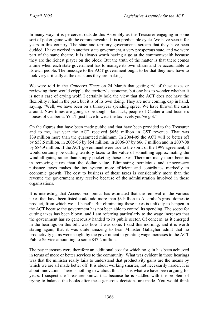In many ways it is perceived outside this Assembly as the Treasurer engaging in some sort of poker game with the commonwealth. It is a predictable cycle. We have seen it for years in this country. The state and territory governments scream that they have been dudded. I have worked in another state government, a very prosperous state, and we were part of the same theatre. It is always worth having a go at the commonwealth because they are the richest player on the block. But the truth of the matter is that there comes a time when each state government has to manage its own affairs and be accountable to its own people. The message to the ACT government ought to be that they now have to look very critically at the decisions they are making.

We were told in the *Canberra Times* on 24 March that getting rid of these taxes or reviewing them would cripple the territory's economy, but one has to wonder whether it is not a case of crying wolf. I certainly hold the view that the ACT does not have the flexibility it had in the past, but it is of its own doing. They are now coming, cap in hand, saying, "Well, we have been on a three-year spending spree. We have thrown the cash around. Now times are going to be tough. Bad luck, people of Canberra and business houses of Canberra. You'll just have to wear the tax levels you've got."

On the figures that have been made public and that have been provided to the Treasurer and to me, last year the ACT received \$658 million in GST revenue. That was \$39 million more than the guaranteed minimum. In 2004-05 the ACT will be better off by \$53.5 million, in 2005-06 by \$54 million, in 2006-07 by \$66.7 million and in 2007-08 by \$84.9 million. If the ACT government were true to the spirit of the 1999 agreement, it would certainly be cutting territory taxes to the value of something approximating the windfall gains, rather than simply pocketing those taxes. There are many more benefits in removing taxes than the dollar value. Eliminating pernicious and unnecessary nuisance taxes makes the tax system more efficient and contributes markedly to economic growth. The cost to business of these taxes is considerably more than the revenue the government may receive because of the administration involved in those organisations.

It is interesting that Access Economics has estimated that the removal of the various taxes that have been listed could add more than \$3 billion to Australia's gross domestic product, from which we all benefit. But eliminating these taxes is unlikely to happen in the ACT because the government has not been able to control its spending. The scope for cutting taxes has been blown, and I am referring particularly to the wage increases that the government has so generously handed to its public sector. Of concern, as it emerged in the hearings on this bill, was how it was done. I said this morning, and it is worth stating again, that it was quite amazing to hear Minister Gallagher admit that no productivity gains were sought by the government in granting wage increases to the ACT Public Service amounting to some \$47.2 million.

The pay increases were therefore an additional cost for which no gain has been achieved in terms of more or better services to the community. What was evident in those hearings was that the minister really fails to understand that productivity gains are the means by which we are all made better off. It is about working smarter, not necessarily harder. It is about innovation. There is nothing new about this. This is what we have been arguing for years. I suspect the Treasurer knows that because he is saddled with the problem of trying to balance the books after these generous decisions are made. You would think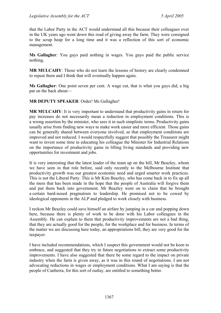that the Labor Party in the ACT would understand all this because their colleagues over in the UK years ago went down this road of giving away the farm. They were consigned to the scrap heap for a long time and it was a reflection of this sort of economic management.

**Ms Gallagher**: You guys paid nothing in wages. You guys paid the public service nothing.

**MR MULCAHY**: Those who do not learn the lessons of history are clearly condemned to repeat them and I think that will eventually happen again.

**Ms Gallagher**: One point seven per cent. A wage cut, that is what you guys did, a big pat on the back about—

**MR DEPUTY SPEAKER**: Order! Ms Gallagher!

**MR MULCAHY**: It is very important to understand that productivity gains in return for pay increases do not necessarily mean a reduction in employment conditions. This is a wrong assertion by the minister, who sees it in such simplistic terms. Productivity gains usually arise from finding new ways to make work easier and more efficient. Those gains can be generally shared between everyone involved, so that employment conditions are improved and not reduced. I would respectfully suggest that possibly the Treasurer might want to invest some time in educating his colleague the Minister for Industrial Relations on the importance of productivity gains in lifting living standards and providing new opportunities for investment and jobs.

It is very interesting that the latest leader of the team up on the hill, Mr Beazley, whom we have seen in that role before, said only recently to the Melbourne Institute that productivity growth was our greatest economic need and urged smarter work practices. This is not the Liberal Party. This is Mr Kim Beazley, who has come back in to fix up all the mess that has been made in the hope that the people of Australia will forgive them and put them back into government. Mr Beazley went on to claim that he brought a certain hard-nosed pragmatism to leadership. He promised not to be cowed by ideological opponents in the ALP and pledged to work closely with business.

I reckon Mr Beazley could save himself an airfare by jumping in a car and popping down here, because there is plenty of work to be done with his Labor colleagues in the Assembly. He can explain to them that productivity improvements are not a bad thing, that they are actually good for the people, for the workplace and for business. In terms of the matter we are discussing here today, an appropriations bill, they are very good for the taxpayer.

I have included recommendations, which I suspect this government would not be keen to embrace, and suggested that they try in future negotiations to extract some productivity improvements. I have also suggested that there be some regard to the impact on private industry when the farm is given away, as it was in this round of negotiations. I am not advocating reductions in wages or employment conditions. What I am saying is that the people of Canberra, for this sort of outlay, are entitled to something better.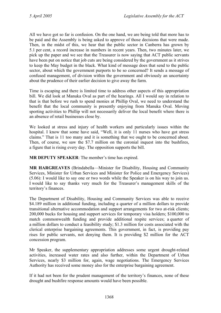All we have got so far is confusion. On the one hand, we are being told that more has to be paid and the Assembly is being asked to approve of those decisions that were made. Then, in the midst of this, we hear that the public sector in Canberra has grown by 5.1 per cent, a record increase in numbers in recent years. Then, two minutes later, we pick up the paper and we see that the Treasurer is now saying that ACT public servants have been put on notice that job cuts are being considered by the government as it strives to keep the May budget in the black. What kind of message does that send to the public sector, about which the government purports to be so concerned? It sends a message of confused management, of division within the government and obviously an uncertainty about the prudence of their earlier decision to give away the farm.

Time is escaping and there is limited time to address other aspects of this appropriation bill. We did look at Manuka Oval as part of the hearings. All I would say in relation to that is that before we rush to spend monies at Phillip Oval, we need to understand the benefit that the local community is presently enjoying from Manuka Oval. Moving sporting activities to Phillip will not necessarily deliver the local benefit where there is an absence of retail businesses close by.

We looked at stress and injury of health workers and particularly issues within the hospital. I know that some have said, "Well, it is only 11 nurses who have got stress claims." That is 11 too many and it is something that we ought to be concerned about. Then, of course, we saw the \$7.7 million on the coronial inquest into the bushfires, a figure that is rising every day. The opposition supports the bill.

**MR DEPUTY SPEAKER**: The member's time has expired.

**MR HARGREAVES** (Brindabella—Minister for Disability, Housing and Community Services, Minister for Urban Services and Minister for Police and Emergency Services) (5.06): I would like to say one or two words while the Speaker is on his way to join us. I would like to say thanks very much for the Treasurer's management skills of the territory's finances.

The Department of Disability, Housing and Community Services was able to receive \$4.189 million in additional funding, including a quarter of a million dollars to provide transitional alternative accommodation and support arrangements for two at-risk clients; 200,000 bucks for housing and support services for temporary visa holders; \$100,000 to match commonwealth funding and provide additional respite services; a quarter of a million dollars to conduct a feasibility study; \$1.3 million for costs associated with the clerical enterprise bargaining agreements. This government, in fact, is providing pay rises for public servants, not denying them. It is providing \$2 million for the ACT concession program.

Mr Speaker, the supplementary appropriation addresses some urgent drought-related activities, increased water rates and also further, within the Department of Urban Services, nearly \$3 million for, again, wage negotiations. The Emergency Services Authority has received some money also for the enterprise bargaining agreement.

If it had not been for the prudent management of the territory's finances, none of these drought and bushfire response amounts would have been possible.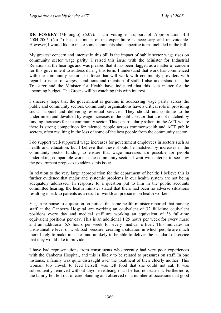**DR FOSKEY** (Molonglo) (5.07): I am voting in support of Appropriation Bill 2004-2005 (No 2) because much of the expenditure is necessary and unavoidable. However, I would like to make some comments about specific items included in the bill.

My greatest concern and interest in this bill is the impact of public sector wage rises on community sector wage parity. I raised this issue with the Minister for Industrial Relations at the hearings and was pleased that it has been flagged as a matter of concern for this government to address during this term. I understand that work has commenced with the community sector task force that will work with community providers with regard to issues of wages, conditions and retention of staff. I also understand that the Treasurer and the Minister for Health have indicated that this is a matter for the upcoming budget. The Greens will be watching this with interest.

I sincerely hope that the government is genuine in addressing wage parity across the public and community sectors. Community organisations have a critical role in providing social support and delivering essential services. They should not continue to be undermined and devalued by wage increases in the public sector that are not matched by funding increases for the community sector. This is particularly salient in the ACT where there is strong competition for talented people across commonwealth and ACT public sectors, often resulting in the loss of some of the best people from the community sector.

I do support well-supported wage increases for government employees in sectors such as health and education, but I believe that these should be matched by increases in the community sector funding to ensure that wage increases are possible for people undertaking comparable work in the community sector. I wait with interest to see how the government proposes to address this issue.

In relation to the very large appropriation for the department of health: I believe this is further evidence that major and systemic problems in our health system are not being adequately addressed. In response to a question put to him in the public accounts committee hearing, the health minister stated that there had been no adverse situations resulting in risk to patients as a result of workload pressures on health workers.

Yet, in response to a question on notice, the same health minister reported that nursing staff at the Canberra Hospital are working an equivalent of 32 full-time equivalent positions every day and medical staff are working an equivalent of 38 full-time equivalent positions per day. This is an additional 1.25 hours per week for every nurse and an additional 5.8 hours per week for every medical officer. This indicates an unsustainable level of workload pressure, creating a situation in which people are much more likely to make mistakes and unlikely to be able to deliver the standard of service that they would like to provide.

I have had representations from constituents who recently had very poor experiences with the Canberra Hospital, and this is likely to be related to pressures on staff. In one instance, a family was quite distraught over the treatment of their elderly mother. This woman, too unwell to feed herself, was left food that she could not eat. It was subsequently removed without anyone realising that she had not eaten it. Furthermore, the family felt left out of care planning and observed on a number of occasions that good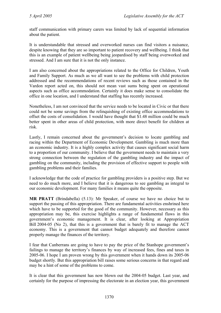staff communication with primary carers was limited by lack of sequential information about the patient.

It is understandable that stressed and overworked nurses can find visitors a nuisance, despite knowing that they are so important to patient recovery and wellbeing. I think that this is an example of patient wellbeing being jeopardised by staff being overworked and stressed. And I am sure that it is not the only instance.

I am also concerned about the appropriations related to the Office for Children, Youth and Family Support. As much as we all want to see the problems with child protection addressed and the recommendations of recent reviews such as those contained in the Vardon report acted on, this should not mean vast sums being spent on operational aspects such as office accommodation. Certainly it does make sense to consolidate the office in one location, and I understand that staffing has recently increased.

Nonetheless, I am not convinced that the service needs to be located in Civic or that there could not be some savings from the relinquishing of existing office accommodations to offset the costs of consolidation. I would have thought that \$1.48 million could be much better spent in other areas of child protection, with more direct benefit for children at risk.

Lastly, I remain concerned about the government's decision to locate gambling and racing within the Department of Economic Development. Gambling is much more than an economic industry. It is a highly complex activity that causes significant social harm to a proportion of our community. I believe that the government needs to maintain a very strong connection between the regulation of the gambling industry and the impact of gambling on the community, including the provision of effective support to people with gambling problems and their families.

I acknowledge that the code of practice for gambling providers is a positive step. But we need to do much more, and I believe that it is dangerous to see gambling as integral to our economic development. For many families it means quite the opposite.

**MR PRATT** (Brindabella) (5.13): Mr Speaker, of course we have no choice but to support the passing of this appropriation. There are fundamental activities enshrined here which have to be supported for the good of the community. However, necessary as this appropriation may be, this exercise highlights a range of fundamental flaws in this government's economic management. It is clear, after looking at Appropriation Bill 2004-05 (No 2), that this is a government that is barely fit to manage the ACT economy. This is a government that cannot budget adequately and therefore cannot properly manage the finances of the territory.

I fear that Canberrans are going to have to pay the price of the Stanhope government's failings to manage the territory's finances by way of increased fees, fines and taxes in 2005-06. I hope I am proven wrong by this government when it hands down its 2005-06 budget shortly. But this appropriation bill raises some serious concerns in that regard and may be a hint of some of the problems to come.

It is clear that this government has now blown out the 2004-05 budget. Last year, and certainly for the purpose of impressing the electorate in an election year, this government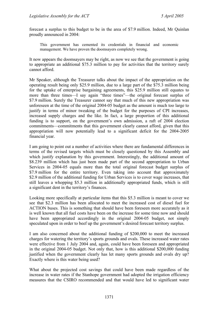forecast a surplus to this budget to be in the area of \$7.9 million. Indeed, Mr Quinlan proudly announced in 2004:

This government has cemented its credentials in financial and economic management. We have proven the doomsayers completely wrong.

It now appears the doomsayers may be right, as now we see that the government is going to appropriate an additional \$75.3 million to pay for activities that the territory surely cannot afford.

Mr Speaker, although the Treasurer talks about the impact of the appropriation on the operating result being only \$25.9 million, due to a large part of the \$75.3 million being for the uptake of enterprise bargaining agreements, this \$25.9 million still equates to more than three times—I say again "three times"—the original forecast surplus of \$7.9 million. Surely the Treasurer cannot say that much of this new appropriation was unforeseen at the time of the original 2004-05 budget as the amount is much too large to justify in terms of minor tweaking of the budget for the purposes of CPI increases, increased supply charges and the like. In fact, a large proportion of this additional funding is to support, on the government's own admission, a raft of 2004 election commitments—commitments that this government clearly cannot afford, given that this appropriation will now potentially lead to a significant deficit for the 2004-2005 financial year.

I am going to point out a number of activities where there are fundamental differences in terms of the revised targets which must be closely questioned by this Assembly and which justify explanation by this government. Interestingly, the additional amount of \$8.239 million which has just been made part of the second appropriation to Urban Services in 2004-05 equals more than the total original forecast budget surplus of \$7.9 million for the entire territory. Even taking into account that approximately \$2.9 million of the additional funding for Urban Services is to cover wage increases, that still leaves a whopping \$5.3 million in additionally appropriated funds, which is still a significant dent in the territory's finances.

Looking more specifically at particular items that this \$5.3 million is meant to cover we see that \$2.3 million has been allocated to meet the increased cost of diesel fuel for ACTION buses. This is something that should have been foreseen more accurately as it is well known that all fuel costs have been on the increase for some time now and should have been appropriated accordingly in the original 2004-05 budget, not simply speculated upon in order to beef up the government's desired forecast territory surplus.

I am also concerned about the additional funding of \$200,000 to meet the increased charges for watering the territory's sports grounds and ovals. These increased water rates were effective from 1 July 2004 and, again, could have been foreseen and appropriated in the original 2004-05 budget. Not only that, how is this additional \$200,000 funding justified when the government clearly has let many sports grounds and ovals dry up? Exactly where is this water being used?

What about the projected cost savings that could have been made regardless of the increase in water rates if the Stanhope government had adopted the irrigation efficiency measures that the CSIRO recommended and that would have led to significant water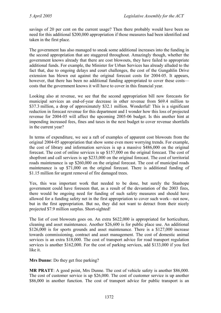savings of 20 per cent on the current usage? Then there probably would have been no need for this additional \$200,000 appropriation if those measures had been identified and taken in the first place.

The government has also managed to sneak some additional increases into the funding in the second appropriation that are staggered throughout. Amazingly though, whether the government knows already that there are cost blowouts, they have failed to appropriate additional funds. For example, the Minister for Urban Services has already alluded to the fact that, due to ongoing delays and court challenges, the cost of the Gungahlin Drive extension has blown out against the original forecast costs for 2004-05. It appears, however, that there has been no additional funding appropriated to cover these costs costs that the government knows it will have to cover in this financial year.

Looking also at revenue, we see that the second appropriation bill now forecasts for municipal services an end-of-year decrease in other revenue from \$69.4 million to \$37.3 million, a drop of approximately \$32.1 million. Wonderful! This is a significant reduction in forecast revenue for this department and I wonder how this loss of projected revenue for 2004-05 will affect the upcoming 2005-06 budget. Is this another hint at impending increased fees, fines and taxes in the next budget to cover revenue shortfalls in the current year?

In terms of expenditure, we see a raft of examples of apparent cost blowouts from the original 2004-05 appropriation that show some even more worrying trends. For example, the cost of library and information services is up a massive \$486,000 on the original forecast. The cost of online services is up \$157,000 on the original forecast. The cost of shopfront and call services is up \$233,000 on the original forecast. The cost of territorial roads maintenance is up \$260,000 on the original forecast. The cost of municipal roads maintenance is up \$71,000 on the original forecast. There is additional funding of \$1.15 million for urgent removal of fire damaged trees.

Yes, this was important work that needed to be done, but surely the Stanhope government could have foreseen that, as a result of the devastation of the 2003 fires, there would be ongoing need for funding of such safety measures and should have allowed for a funding safety net in the first appropriation to cover such work—not now, but in the first appropriation. But no, they did not want to detract from their nicely projected \$7.9 million surplus. Short-sighted!

The list of cost blowouts goes on. An extra \$622,000 is appropriated for horticulture, cleaning and asset maintenance. Another \$26,600 is for public place use. An additional \$126,000 is for sports grounds and asset maintenance. There is a \$127,000 increase towards commissioning, contract and asset management. The cost of domestic animal services is an extra \$18,000. The cost of transport advice for road transport regulation services is another \$162,000. For the cost of parking services, add \$133,000 if you feel like it.

**Mrs Dunne**: Do they get free parking?

**MR PRATT**: A good point, Mrs Dunne. The cost of vehicle safety is another \$86,000. The cost of customer service is up \$26,000. The cost of customer service is up another \$86,000 in another function. The cost of transport advice for public transport is an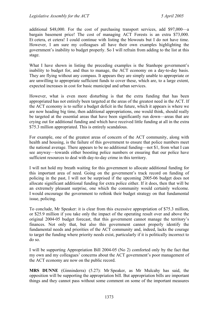additional \$48,000. For the cost of purchasing transport services, add \$97,000—a bargain basement price! The cost of managing ACT Forests is an extra \$73,000. Et cetera, et cetera! I could continue with listing the blowouts but I do not have time. However, I am sure my colleagues all have their own examples highlighting the government's inability to budget properly. So I will refrain from adding to the list at this stage.

What I have shown in listing the preceding examples is the Stanhope government's inability to budget for, and thus to manage, the ACT economy on a day-to-day basis. They are flying without any compass. It appears they are simply unable to appropriate or are unwilling to appropriate sufficient funds to cover these, which are, to a large extent, expected increases in cost for basic municipal and urban services.

However, what is even more disturbing is that the extra funding that has been appropriated has not entirely been targeted at the areas of the greatest need in the ACT. If the ACT economy is to suffer a budget deficit in the future, which it appears is where we are now heading big time, then additional appropriations, one would think, should really be targeted at the essential areas that have been significantly run down—areas that are crying out for additional funding and which have received little funding at all in the extra \$75.3 million appropriated. This is entirely scandalous.

For example, one of the greatest areas of concern of the ACT community, along with health and housing, is the failure of this government to ensure that police numbers meet the national average. There appears to be no additional funding—not \$1, from what I can see anyway—towards either boosting police numbers or ensuring that our police have sufficient resources to deal with day-to-day crime in this territory.

I will not hold my breath waiting for this government to allocate additional funding for this important area of need. Going on the government's track record on funding of policing in the past, I will not be surprised if the upcoming 2005-06 budget does not allocate significant additional funding for extra police either. If it does, then that will be an extremely pleasant surprise, one which the community would certainly welcome. I would encourage the government to rethink their budget strategy on that fundamental issue, policing.

To conclude, Mr Speaker: it is clear from this excessive appropriation of \$75.3 million, or \$25.9 million if you take only the impact of the operating result over and above the original 2004-05 budget forecast, that this government cannot manage the territory's finances. Not only that, but also this government cannot properly identify the fundamental needs and priorities of the ACT community and, indeed, lacks the courage to target the funding where priority needs exist, particularly if it is politically incorrect to do so.

I will be supporting Appropriation Bill 2004-05 (No 2) comforted only by the fact that my own and my colleagues' concerns about the ACT government's poor management of the ACT economy are now on the public record.

**MRS DUNNE** (Ginninderra) (5.27): Mr Speaker, as Mr Mulcahy has said, the opposition will be supporting the appropriation bill. But appropriation bills are important things and they cannot pass without some comment on some of the important measures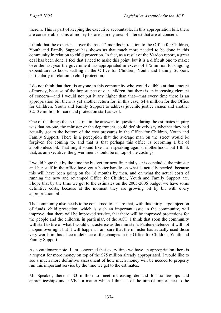therein. This is part of keeping the executive accountable. In this appropriation bill, there are considerable sums of money for areas in my area of interest that are of concern.

I think that the experience over the past 12 months in relation to the Office for Children, Youth and Family Support has shown us that much more needed to be done in this community in relation to child protection. In fact, as a result of the Vardon report, a great deal has been done. I feel that I need to make this point, but it is a difficult one to make: over the last year the government has appropriated in excess of \$75 million for ongoing expenditure to boost staffing in the Office for Children, Youth and Family Support, particularly in relation to child protection.

I do not think that there is anyone in this community who would quibble at that amount of money, because of the importance of our children, but there is an increasing element of concern—and I would not put it any higher than that—that every time there is an appropriation bill there is yet another return for, in this case, \$4½ million for the Office for Children, Youth and Family Support to address juvenile justice issues and another \$2.139 million for care and protection staff as well.

One of the things that struck me in the answers to questions during the estimates inquiry was that no-one, the minister or the department, could definitively say whether they had actually got to the bottom of the cost pressures in the Office for Children, Youth and Family Support. There is a perception that the average man on the street would be forgiven for coming to, and that is that perhaps this office is becoming a bit of a bottomless pit. That might sound like I am speaking against motherhood, but I think that, as an executive, the government should be on top of the costings.

I would hope that by the time the budget for next financial year is concluded the minister and her staff in the office have got a better handle on what is actually needed, because this will have been going on for 18 months by then, and on what the actual costs of running the new and revamped Office for Children, Youth and Family Support are. I hope that by the time we get to the estimates on the 2005-2006 budget we have some definitive costs, because at the moment they are growing bit by bit with every appropriation bill.

The community also needs to be concerned to ensure that, with this fairly large injection of funds, child protection, which is such an important issue in the community, will improve, that there will be improved service, that there will be improved protections for the people and the children, in particular, of the ACT. I think that soon the community will start to tire of what I would characterise as the minister's Pantene defence: it will not happen overnight but it will happen. I am sure that the minister has actually used those very words in this place in defence of the changes in the Office for Children, Youth and Family Support.

As a cautionary note, I am concerned that every time we have an appropriation there is a request for more money on top of the \$75 million already appropriated. I would like to see a much more definitive assessment of how much money will be needed to properly run this important service by the time we get to the estimates.

Mr Speaker, there is \$3 million to meet increasing demand for traineeships and apprenticeships under VET, a matter which I think is of the utmost importance to the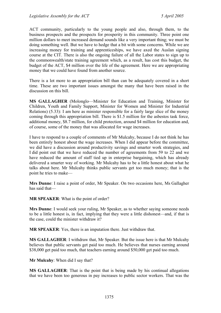ACT community, particularly to the young people and also, through them, to the business prospects and the prospects for prosperity in this community. Three point one million dollars to meet increased demand sounds like a very important thing; we must be doing something well. But we have to hedge that a bit with some concerns. While we are increasing money for training and apprenticeships, we have axed the Auslan signing course at the CIT. There is also the ongoing failure of all the Labor states to sign up to the commonwealth/state training agreement which, as a result, has cost this budget, the budget of the ACT, \$4 million over the life of the agreement. Here we are appropriating money that we could have found from another source.

There is a lot more to an appropriation bill than can be adequately covered in a short time. These are two important issues amongst the many that have been raised in the discussion on this bill.

**MS GALLAGHER** (Molonglo—Minister for Education and Training, Minister for Children, Youth and Family Support, Minister for Women and Minister for Industrial Relations) (5.33): I am here as minister responsible for a fairly large slice of the money coming through this appropriation bill. There is \$1.5 million for the asbestos task force, additional money, \$8.7 million, for child protection, around \$4 million for education and, of course, some of the money that was allocated for wage increases.

I have to respond to a couple of comments of Mr Mulcahy, because I do not think he has been entirely honest about the wage increases. When I did appear before the committee, we did have a discussion around productivity savings and smarter work strategies, and I did point out that we have reduced the number of agreements from 59 to 22 and we have reduced the amount of staff tied up in enterprise bargaining, which has already delivered a smarter way of working. Mr Mulcahy has to be a little honest about what he talks about here. Mr Mulcahy thinks public servants get too much money; that is the point he tries to make—

**Mrs Dunne**: I raise a point of order, Mr Speaker. On two occasions here, Ms Gallagher has said that—

**MR SPEAKER**: What is the point of order?

**Mrs Dunne**: I would seek your ruling, Mr Speaker, as to whether saying someone needs to be a little honest is, in fact, implying that they were a little dishonest—and, if that is the case, could the minister withdraw it?

**MR SPEAKER**: Yes, there is an imputation there. Just withdraw that.

**MS GALLAGHER**: I withdraw that, Mr Speaker. But the issue here is that Mr Mulcahy believes that public servants get paid too much. He believes that nurses earning around \$38,000 get paid too much, that teachers earning around \$50,000 get paid too much.

**Mr Mulcahy**: When did I say that?

**MS GALLAGHER**: That is the point that is being made by his continual allegations that we have been too generous in pay increases to public sector workers. That was the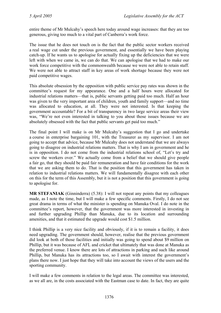entire theme of Mr Mulcahy's speech here today around wage increases: that they are too generous, giving too much to a vital part of Canberra's work force.

The issue that he does not touch on is the fact that the public sector workers received a real wage cut under the previous government, and essentially we have been playing catch-up. If he wants us to apologise for actually fixing up the deficiencies that we were left with when we came in, we can do that. We can apologise that we had to make our work force competitive with the commonwealth because we were not able to retain staff. We were not able to attract staff in key areas of work shortage because they were not paid competitive wages.

This absolute obsession by the opposition with public service pay rates was shown in the committee's request for my appearance. One and a half hours were allocated for industrial relations matters—that is, public servants getting paid too much. Half an hour was given to the very important area of children, youth and family support—and no time was allocated to education, at all. They were not interested. Is that keeping the government accountable? For a bit of transparency in two large service areas their view was, "We're not even interested in talking to you about those issues because we are absolutely obsessed with the fact that public servants get paid too much."

The final point I will make is on Mr Mulcahy's suggestion that I go and undertake a course in enterprise bargaining 101, with the Treasurer as my supervisor. I am not going to accept that advice, because Mr Mulcahy does not understand that we are always going to disagree on industrial relations matters. That is why I am in government and he is in opposition. I do not come from the industrial relations school of, "Let's try and screw the workers over." We actually come from a belief that we should give people a fair go, that they should be paid fair remuneration and have fair conditions for the work that we are asking them to do. That is the position that this government has taken in relation to industrial relations matters. We will fundamentally disagree with each other on this for the term of this Assembly, but it is not a position that this government is going to apologise for.

**MR STEFANIAK** (Ginninderra) (5.38): I will not repeat any points that my colleagues made, as I note the time, but I will make a few specific comments. Firstly, I do not see great drama in terms of what the minister is spending on Manuka Oval. I do note in the committee's report, however, that the government was more interested in investing in and further upgrading Phillip than Manuka, due to its location and surrounding amenities, and that it estimated the upgrade would cost \$1.5 million.

I think Phillip is a very nice facility and obviously, if it is to remain a facility, it does need upgrading. The government should, however, realise that the previous government did look at both of those facilities and initially was going to spend about \$9 million on Phillip, but it was because of AFL and cricket that ultimately that was done at Manuka as the preferred venue. I know there are lots of attractions in parking and such like around Phillip, but Manuka has its attractions too, so I await with interest the government's plans there now. I just hope that they will take into account the views of the users and the sporting community.

I will make a few comments in relation to the legal areas. The committee was interested, as we all are, in the costs associated with the Eastman case to date. In fact, they are quite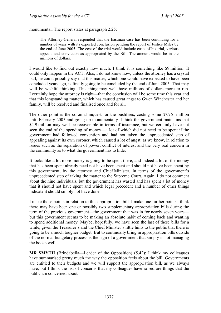monumental. The report states at paragraph 2.25:

The Attorney-General responded that the Eastman case has been continuing for a number of years with its expected conclusion pending the report of Justice Miles by the end of June 2005. The cost of the trial would include costs of his trial, various appeals and conviction as appropriated by the Bill. The amount would be in the millions of dollars.

I would like to find out exactly how much. I think it is something like \$9 million. It could only happen in the ACT. Also, I do not know how, unless the attorney has a crystal ball, he could possibly say that this matter, which one would have expected to have been concluded years ago, is finally going to be concluded by the end of June 2005. That may well be wishful thinking. This thing may well have millions of dollars more to run. I certainly hope the attorney is right—that the conclusion will be some time this year and that this longstanding matter, which has caused great angst to Gwen Winchester and her family, will be resolved and finalised once and for all.

The other point is the coronial inquest for the bushfires, costing some \$7.761 million until February 2005 and going up monumentally. I think the government maintains that \$4.9 million may well be recoverable in terms of insurance, but we certainly have not seen the end of the spending of money—a lot of which did not need to be spent if the government had followed convention and had not taken the unprecedented step of appealing against its own coroner, which caused a lot of angst, as we know, in relation to issues such as the separation of power, conflict of interest and the very real concern in the community as to what the government has to hide.

It looks like a lot more money is going to be spent there, and indeed a lot of the money that has been spent already need not have been spent and should not have been spent by this government, by the attorney and Chief Minister, in terms of the government's unprecedented step of taking the matter to the Supreme Court. Again, I do not comment about the nine individuals, but the government has wasted and has spent a lot of money that it should not have spent and which legal precedent and a number of other things indicate it should simply not have done.

I make those points in relation to this appropriation bill. I make one further point: I think there may have been one or possibly two supplementary appropriation bills during the term of the previous government—the government that was in for nearly seven years but this government seems to be making an absolute habit of coming back and wanting to spend additional money. Maybe, hopefully, we have seen the last of these bills for a while, given the Treasurer's and the Chief Minister's little hints to the public that there is going to be a much tougher budget. But to continually bring in appropriation bills outside of the normal budgetary process is the sign of a government that simply is not managing the books well.

**MR SMYTH** (Brindabella—Leader of the Opposition) (5.42): I think my colleagues have summarised pretty much the way the opposition feels about the bill. Governments are entitled to their budgets and we will support the appropriation bill, as we always have, but I think the list of concerns that my colleagues have raised are things that the public are concerned about.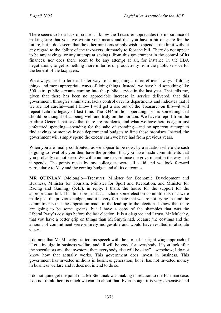There seems to be a lack of control. I know the Treasurer appreciates the importance of making sure that you live within your means and that you have a bit of spare for the future, but it does seem that the other ministers simply wish to spend at the limit without any regard to the ability of the taxpayers ultimately to foot the bill. There do not appear to be any savings, or any attempt at savings, from this government in the control of its finances, nor does there seem to be any attempt at all, for instance in the EBA negotiations, to get something more in terms of productivity from the public service for the benefit of the taxpayers.

We always need to look at better ways of doing things, more efficient ways of doing things and more appropriate ways of doing things. Instead, we have had something like 500 extra public servants coming into the public service in the last year. That tells me, given that there has been no appreciable increase in service delivered, that this government, through its ministers, lacks control over its departments and indicates that if we are not careful—and I know I will get a rise out of the Treasurer on this—it will repeat Labor's legacy of last time. The \$344 million operating loss is something that should be thought of as being well and truly on the horizon. We have a report from the Auditor-General that says that there are problems, and what we have here is again just unfettered spending—spending for the sake of spending—and no apparent attempt to find savings or moneys inside departmental budgets to fund these promises. Instead, the government will simply spend the excess cash we have had from previous years.

When you are finally confronted, as we appear to be now, by a situation where the cash is going to level off, you then have the problem that you have made commitments that you probably cannot keep. We will continue to scrutinise the government in the way that it spends. The points made by my colleagues were all valid and we look forward particularly to May and the coming budget and all its outcomes.

**MR QUINLAN** (Molonglo—Treasurer, Minister for Economic Development and Business, Minister for Tourism, Minister for Sport and Recreation, and Minister for Racing and Gaming) (5.45), in reply: I thank the house for the support for the appropriation bill. This bill does, in fact, include some election commitments that were made post the previous budget, and it is very fortunate that we are not trying to fund the commitments that the opposition made in the lead-up to the election. I know that there are going to be some groans, but I have a copy of the shambles that was the Liberal Party's costings before the last election. It is a disgrace and I trust, Mr Mulcahy, that you have a better grip on things than Mr Smyth had, because the costings and the amount of commitment were entirely indigestible and would have resulted in absolute chaos.

I do note that Mr Mulcahy started his speech with the normal far-right-wing approach of "Let's indulge in business welfare and all will be good for everybody. If you look after the speculators and the investors, then everybody else will be okay"—somehow; I do not know how that actually works. This government does invest in business. This government has invested millions in business generation, but it has not invested money in business welfare and it does not intend to do so.

I do not quite get the point that Mr Stefaniak was making in relation to the Eastman case. I do not think there is much we can do about that. Even though it is very expensive and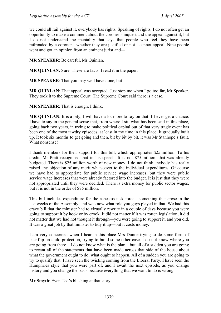we could all rail against it, everybody has rights. Speaking of rights, I do not often get an opportunity to make a comment about the coroner's inquest and the appeal against it, but I do not understand the mentality that says that people who feel they have been railroaded by a coroner—whether they are justified or not—cannot appeal. Nine people went and got an opinion from an eminent jurist and—

**MR SPEAKER**: Be careful, Mr Quinlan.

**MR QUINLAN**: Sure. These are facts. I read it in the paper.

**MR SPEAKER**: That you may well have done, but—

**MR QUINLAN**: That appeal was accepted. Just stop me when I go too far, Mr Speaker. They took it to the Supreme Court. The Supreme Court said there is a case.

**MR SPEAKER**: That is enough, I think.

**MR QUINLAN:** It is a pity; I will have a lot more to say on that if I ever get a chance. I have to say in the general sense that, from where I sit, what has been said in this place, going back two years, in trying to make political capital out of that very tragic event has been one of the most tawdry episodes, at least in my time in this place. It gradually built up. It took six months to get going and then, bit by bit by bit, it was Mr Stanhope's fault. What nonsense!

I thank members for their support for this bill, which appropriates \$25 million. To his credit, Mr Pratt recognised that in his speech. It is not \$75 million; that was already budgeted. There is \$25 million worth of new money. I do not think anybody has really raised any objection of any merit whatsoever to the individual expenditures. Of course we have had to appropriate for public service wage increases, but they were public service wage increases that were already factored into the budget. It is just that they were not appropriated until they were decided. There is extra money for public sector wages, but it is not in the order of \$75 million.

This bill includes expenditure for the asbestos task force—something that arose in the last weeks of the Assembly, and we know what role you guys played in that. We had this crazy bill that the minister had to virtually rewrite in a couple of days because you were going to support it by hook or by crook. It did not matter if it was rotten legislation; it did not matter that we had not thought it through—you were going to support it, and you did. It was a great job by that minister to tidy it up—but it costs money.

I am very concerned when I hear in this place Mrs Dunne trying to do some form of backflip on child protection, trying to build some other case. I do not know where you are going from there—I do not know what is the plan—but all of a sudden you are going to recant all of the statements that have been made across that side of the house about what the government ought to do, what ought to happen. All of a sudden you are going to try to qualify that. I have seen the twisting coming from the Liberal Party. I have seen the Humphries style that you were part of, and I await the next episode, as you change history and you change the basis because everything that we want to do is wrong.

**Mr Smyth**: Even Ted's blushing at that story.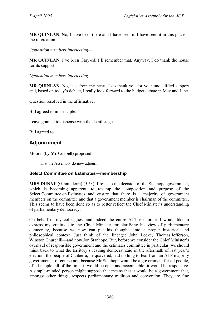**MR QUINLAN**: No, I have been there and I have seen it. I have seen it in this place the re-creation—

*Opposition members interjecting—* 

**MR QUINLAN**: I've been Gary-ed; I'll remember that. Anyway, I do thank the house for its support.

*Opposition members interjecting—* 

**MR QUINLAN**: No, it is from my heart. I do thank you for your unqualified support and, based on today's debate, I really look forward to the budget debate in May and June.

Question resolved in the affirmative.

Bill agreed to in principle.

Leave granted to dispense with the detail stage.

Bill agreed to.

# **Adjournment**

Motion (by **Mr Corbell**) proposed:

That the Assembly do now adjourn.

#### **Select Committee on Estimates—membership**

**MRS DUNNE** (Ginninderra) (5.53): I refer to the decision of the Stanhope government, which is becoming apparent, to revamp the composition and purpose of the Select Committee on Estimates and ensure that there is a majority of government members on the committee and that a government member is chairman of the committee. This seems to have been done so as to better reflect the Chief Minister's understanding of parliamentary democracy.

On behalf of my colleagues, and indeed the entire ACT electorate, I would like to express my gratitude to the Chief Minister for clarifying his view of parliamentary democracy, because we now can put his thoughts into a proper historical and philosophical context. Just think of the lineage: John Locke, Thomas Jefferson, Winston Churchill—and now Jon Stanhope. But, before we consider the Chief Minister's overhaul of responsible government and the estimates committee in particular, we should think back to what the territory's leading democrat said in the aftermath of last year's election: the people of Canberra, he quavered, had nothing to fear from an ALP majority government—of course not, because Mr Stanhope would be a government for all people, of all people, all of the time; it would be open and accountable; it would be responsive. A simple-minded person might suppose that means that it would be a government that, amongst other things, respects parliamentary tradition and convention. They are fine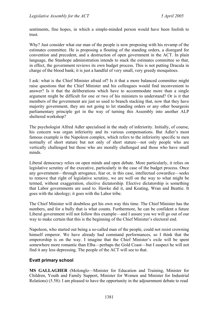sentiments, fine hopes, in which a simple-minded person would have been foolish to trust.

Why? Just consider what our man of the people is now proposing with his revamp of the estimates committee. He is proposing a flouting of the standing orders, a disregard for convention and precedent, and a destruction of open government in the ACT. In plain language, the Stanhope administration intends to stack the estimates committee so that, in effect, the government reviews its own budget process. This is not putting Dracula in charge of the blood bank; it is just a handful of very small, very greedy mosquitoes.

I ask: what is the Chief Minister afraid of? Is it that a more balanced committee might raise questions that the Chief Minister and his colleagues would find inconvenient to answer? Is it that the deliberations which have to accommodate more than a single argument might be difficult for one or two of his ministers to understand? Or is it that members of the government are just so used to branch stacking that, now that they have majority government, they are not going to let standing orders or any other bourgeois parliamentary principle get in the way of turning this Assembly into another ALP sheltered workshop?

The psychologist Alfred Adler specialised in the study of inferiority. Initially, of course, his concern was organ inferiority and its various compensations. But Adler's most famous example is the Napoleon complex, which refers to the inferiority specific to men normally of short stature but not only of short stature—not only people who are vertically challenged but those who are morally challenged and those who have small minds.

Liberal democracy relies on open minds and open debate. More particularly, it relies on legislative scrutiny of the executive, particularly in the case of the budget process. Once any government—through arrogance, fear or, in this case, intellectual cowardice—seeks to remove that right of legislative scrutiny, we are well on the way to what might be termed, without exaggeration, elective dictatorship. Elective dictatorship is something that Labor governments are used to. Hawke did it, and Keating, Wran and Beattie. It goes with the ideology; it goes with the Labor tribe.

The Chief Minister will doubtless get his own way this time. The Chief Minister has the numbers, and for a bully that is what counts. Furthermore, he can be confident a future Liberal government will not follow this example—and I assure you we will go out of our way to make certain that this is the beginning of the Chief Minister's electoral end.

Napoleon, who started out being a so-called man of the people, could not resist crowning himself emperor. We have already had command performances, so I think that the emperorship is on the way. I imagine that the Chief Minister's exile will be spent somewhere more romantic than Elba—perhaps the Gold Coast—but I suspect he will not find it any less depressing. The people of the ACT will see to that.

## **Evatt primary school**

**MS GALLAGHER** (Molonglo—Minister for Education and Training, Minister for Children, Youth and Family Support, Minister for Women and Minister for Industrial Relations) (5.58): I am pleased to have the opportunity in the adjournment debate to read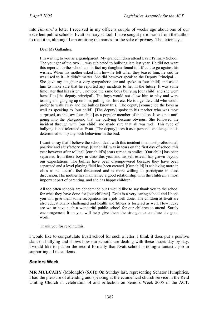into *Hansard* a letter I received in my office a couple of weeks ago about one of our excellent public schools, Evatt primary school. I have sought permission from the author to read it in, although I am omitting the names for the sake of privacy. The letter says:

Dear Ms Gallagher,

I'm writing to you as a grandparent. My grandchildren attend Evatt Primary School. The younger of the two … was subjected to bullying late last year. He did not want this reported to the school and in fact my daughter found it difficult to go against his wishes. When his mother asked him how he felt when they teased him, he said he was used to it—it didn't matter. She did however speak to the Deputy Principal ... She gave my daughter a very sympathetic ear and spoke to [our child] and asked him to make sure that he reported any incidents to her in the future. It was some time later that his sister … noticed the same boys bullying [our child] and she went herself to [the deputy principal]. The boys would not allow him to play and were teasing and ganging up on him, pulling his shirt etc. He is a gentle child who would prefer to walk away and the bullies knew this. [The deputy] counselled the boys as well as speaking to [our child]. [The deputy] spoke to his teacher who was most surprised, as she saw [our child] as a popular member of the class. It was not until going into the playground that the bullying became obvious. She followed the incident through with [our child] and made sure that all was well. This type of bullying is not tolerated at Evatt. [The deputy] sees it as a personal challenge and is determined to nip any such behaviour in the bud.

I want to say that I believe the school dealt with this incident in a most professional, positive and satisfactory way. [Our child] was in tears on the first day of school this year however after roll call [our child's] tears turned to smiles. [Our child] has been separated from these boys in class this year and his self-esteem has grown beyond our expectations. The bullies have been disempowered because they have been separated and a level playing field has been created. [Our child] is achieving more in class as he doesn't feel threatened and is more willing to participate in class discussion. His mother has maintained a good relationship with the children, a most important part of parenting, and she has happy children.

All too often schools are condemned but I would like to say thank you to the school for what they have done for [our children]. Evatt is a very caring school and I hope you will give them some recognition for a job well done. The children at Evatt are also educationally challenged and health and fitness is fostered as well. How lucky are we to have such a wonderful public school for our children to attend. Surely encouragement from you will help give them the strength to continue the good work.

Thank you for reading this.

I would like to congratulate Evatt school for such a letter. I think it does put a positive slant on bullying and shows how our schools are dealing with these issues day by day. I would like to put on the record formally that Evatt school is doing a fantastic job in supporting all its students.

## **Seniors Week**

**MR MULCAHY** (Molonglo) (6.01): On Sunday last, representing Senator Humphries, I had the pleasure of attending and speaking at the ecumenical church service in the Reid Uniting Church in celebration of and reflection on Seniors Week 2005 in the ACT.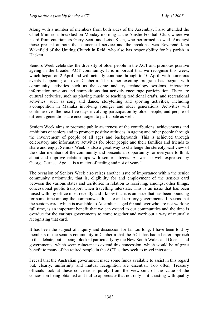Along with a number of members from both sides of the Assembly, I also attended the Chief Minister's breakfast on Monday morning at the Ainslie Football Club, where we heard from entertainers Gerry Scott and Leisa Kean, who performed so well. Amongst those present at both the ecumenical service and the breakfast was Reverend John Wakefield of the Uniting Church in Reid, who also has responsibility for his parish in Hackett.

Seniors Week celebrates the diversity of older people in the ACT and promotes positive ageing in the broader ACT community. It is important that we recognise this week, which began on 2 April and will actually continue through to 10 April, with numerous events happening all over Canberra. The rather exciting program has begun, with community activities such as the come and try technology sessions, interactive information sessions and competitions that actively encourage participation. There are cultural activities, such as playing music or teaching traditional crafts, and recreational activities, such as song and dance, storytelling and sporting activities, including a competition in Manuka involving younger and older generations. Activities will continue over the next five days involving participation by older people, and people of different generations are encouraged to participate as well.

Seniors Week aims to promote public awareness of the contributions, achievements and ambitions of seniors and to promote positive attitudes in ageing and other people through the involvement of people of all ages and backgrounds. This is achieved through celebratory and informative activities for older people and their families and friends to share and enjoy. Seniors Week is also a great way to challenge the stereotypical view of the older members of the community and presents an opportunity for everyone to think about and improve relationships with senior citizens. As was so well expressed by George Curtis, "Age … is a matter of feeling and not of years."

The occasion of Seniors Week also raises another issue of importance within the senior community nationwide, that is, eligibility for and employment of the seniors card between the various states and territories in relation to receiving, amongst other things, concessional public transport when travelling interstate. This is an issue that has been raised with my office most recently and I know that it is an issue that has been bouncing for some time among the commonwealth, state and territory governments. It seems that the seniors card, which is available to Australians aged 60 and over who are not working full time, is an important benefit that we can extend to our communities and the time is overdue for the various governments to come together and work out a way of mutually recognising that card.

It has been the subject of inquiry and discussion for far too long. I have been told by members of the seniors community in Canberra that the ACT has had a better approach to this debate, but is being blocked particularly by the New South Wales and Queensland governments, which seem reluctant to extend this concession, which would be of great benefit to many of the retired people in the ACT as they seek to travel interstate.

I recall that the Australian government made some funds available to assist in this regard but, clearly, uniformity and mutual recognition are essential. Too often, Treasury officials look at these concessions purely from the viewpoint of the value of the concession being obtained and fail to appreciate that not only is it assisting with quality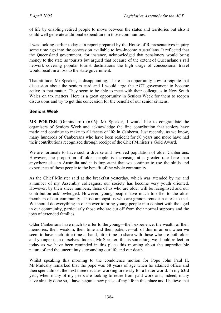of life by enabling retired people to move between the states and territories but also it could well generate additional expenditure in those communities.

I was looking earlier today at a report prepared by the House of Representatives inquiry some time ago into the concession available to low-income Australians. It reflected that the Queensland government, for instance, acknowledged that pensioners would bring money to the state as tourists but argued that because of the extent of Queensland's rail network covering popular tourist destinations the high usage of concessional travel would result in a loss to the state government.

That attitude, Mr Speaker, is disappointing. There is an opportunity now to reignite that discussion about the seniors card and I would urge the ACT government to become active in that matter. They seem to be able to meet with their colleagues in New South Wales on tax matters. Here is a great opportunity in Seniors Week for them to reopen discussions and try to get this concession for the benefit of our senior citizens.

#### **Seniors Week**

**MS PORTER** (Ginninderra) (6.06): Mr Speaker, I would like to congratulate the organisers of Seniors Week and acknowledge the fine contribution that seniors have made and continue to make to all facets of life in Canberra. Just recently, as we know, many hundreds of Canberrans who have been resident for 50 years and more have had their contributions recognised through receipt of the Chief Minister's Gold Award.

We are fortunate to have such a diverse and involved population of older Canberrans. However, the proportion of older people is increasing at a greater rate here than anywhere else in Australia and it is important that we continue to use the skills and experience of these people to the benefit of the whole community.

As the Chief Minister said at the breakfast yesterday, which was attended by me and a number of my Assembly colleagues, our society has become very youth oriented. However, by their sheer numbers, those of us who are older will be recognised and our contribution acknowledged. However, young people have much to offer to the older members of our community. Those amongst us who are grandparents can attest to that. We should do everything in our power to bring young people into contact with the aged in our community, particularly those who are cut off from their normal supports and the joys of extended families.

Older Canberrans have much to offer to the young—their experience, the wealth of their memories, their wisdom, their time and their patience—all of this in an era when we seem to have such little time at hand, little time to share with those who are both older and younger than ourselves. Indeed, Mr Speaker, this is something we should reflect on today as we have been reminded in this place this morning about the unpredictable nature of and the uncertainty surrounding our life and our death.

Whilst speaking this morning to the condolence motion for Pope John Paul II, Mr Mulcahy remarked that the pope was 58 years of age when he attained office and then spent almost the next three decades working tirelessly for a better world. In my 63rd year, when many of my peers are looking to retire from paid work and, indeed, many have already done so, I have begun a new phase of my life in this place and I believe that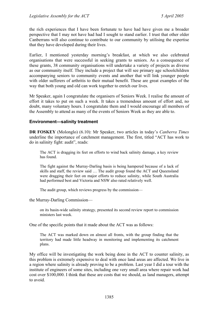the rich experiences that I have been fortunate to have had have given me a broader perspective that I may not have had had I sought to stand earlier. I trust that other older Canberrans will also continue to contribute to our community by utilising the expertise that they have developed during their lives.

Earlier, I mentioned yesterday morning's breakfast, at which we also celebrated organisations that were successful in seeking grants to seniors. As a consequence of these grants, 38 community organisations will undertake a variety of projects as diverse as our community itself. They include a project that will see primary age schoolchildren accompanying seniors to community events and another that will link younger people with older sufferers of arthritis to their mutual benefit. These are great examples of the way that both young and old can work together to enrich our lives.

Mr Speaker, again I congratulate the organisers of Seniors Week. I realise the amount of effort it takes to put on such a week. It takes a tremendous amount of effort and, no doubt, many voluntary hours. I congratulate them and I would encourage all members of the Assembly to attend as many of the events of Seniors Week as they are able to.

### **Environment—salinity treatment**

**DR FOSKEY** (Molonglo) (6.10): Mr Speaker, two articles in today's *Canberra Times* underline the importance of catchment management. The first, titled "ACT has work to do in salinity fight: audit", reads:

The ACT is dragging its feet on efforts to wind back salinity damage, a key review has found.

The fight against the Murray-Darling basin is being hampered because of a lack of skills and staff, the review said … The audit group found the ACT and Queensland were dragging their feet on major efforts to reduce salinity, while South Australia had performed best and Victoria and NSW also rated relatively well.

The audit group, which reviews progress by the commission—

the Murray-Darling Commission—

on its basin-wide salinity strategy, presented its second review report to commission ministers last week.

One of the specific points that it made about the ACT was as follows:

The ACT was marked down on almost all fronts, with the group finding that the territory had made little headway in monitoring and implementing its catchment plans.

My office will be investigating the work being done in the ACT to counter salinity, as this problem is extremely expensive to deal with once land areas are affected. We live in a region where salinity is already proving to be a problem. Last year I did a tour with the institute of engineers of some sites, including one very small area where repair work had cost over \$100,000. I think that these are costs that we should, as land managers, attempt to avoid.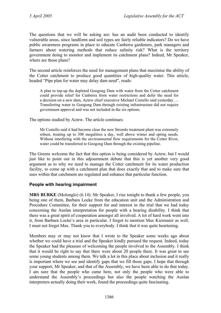The questions that we will be asking are: has an audit been conducted to identify vulnerable areas, since landform and soil types are fairly reliable indicators? Do we have public awareness programs in place to educate Canberra gardeners, park managers and farmers about watering methods that reduce salinity risk? What is the territory government doing to monitor and implement its catchment plans? Indeed, Mr Speaker, where are those plans?

The second article reinforces the need for management plans that maximise the ability of the Cotter catchment to produce good quantities of high-quality water. This article, headed "Pipe plan for water may delay dam need", reads:

A plan to top-up the depleted Googong Dam with water from the Cotter catchment could provide relief for Canberra from water restrictions and defer the need for a decision on a new dam, Actew chief executive Michael Costello said yesterday … Transferring water to Googong Dam through existing infrastructure did not require government approval and was not included in the six options.

The options studied by Actew. The article continues:

Mr Costello said it had become clear the new Stromlo treatment plant was extremely robust, treating up to 300 megalitres a day, well above winter and spring needs. Without interfering with the environmental flow requirements for the Cotter River, water could be transferred to Googong Dam through the existing pipeline.

The Greens welcome the fact that this option is being considered by Actew, but I would just like to point out in this adjournment debate that this is yet another very good argument as to why we need to manage the Cotter catchment for its water production facility, to come up with a catchment plan that does exactly that and to make sure that uses within that catchment are regulated and enhance that particular function.

#### **People with hearing impairment**

**MRS BURKE** (Molonglo) (6.14): Mr Speaker, I rise tonight to thank a few people, you being one of them, Barbara Locke from the education unit and the Administration and Procedure Committee, for their support for and interest in the trial that we had today concerning the Auslan interpretation for people with a hearing disability. I think that there was a great spirit of cooperation amongst all involved. A lot of hard work went into it, from Barbara Locke's area in particular. I forgot to mention Max Kiermaier as well. I must not forget Max. Thank you to everybody. I think that it was quite heartening.

Members may or may not know that I wrote to the Speaker some weeks ago about whether we could have a trial and the Speaker kindly pursued the request. Indeed, today the Speaker had the pleasure of welcoming the people involved to the Assembly. I think that it would be right to say that there were about 20 people there. It was great to see some young students among them. We talk a lot in this place about inclusion and it really is important where we see and identify gaps that we fill those gaps. I hope that through your support, Mr Speaker, and that of the Assembly, we have been able to do that today. I am sure that the people who came here, not only the people who were able to understand the Assembly's proceedings but also the people watching the Auslan interpreters actually doing their work, found the proceedings quite fascinating.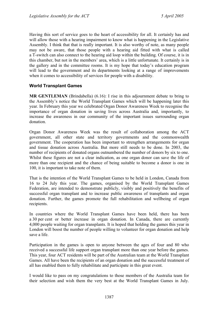Having this sort of service goes to the heart of accessibility for all. It certainly has and will allow those with a hearing impairment to know what is happening in the Legislative Assembly. I think that that is really important. It is also worthy of note, as many people may not be aware, that those people with a hearing aid fitted with what is called a T-switch can also connect to the hearing aid loop within the building. Of course, it is in this chamber, but not in the members' area, which is a little unfortunate. It certainly is in the gallery and in the committee rooms. It is my hope that today's education program will lead to the government and its departments looking at a range of improvements when it comes to accessibility of services for people with a disability.

## **World Transplant Games**

**MR GENTLEMAN** (Brindabella) (6.16): I rise in this adjournment debate to bring to the Assembly's notice the World Transplant Games which will be happening later this year. In February this year we celebrated Organ Donor Awareness Week to recognise the importance of organ donation in saving lives across Australia and, importantly, to increase the awareness in our community of the important issues surrounding organ donation.

Organ Donor Awareness Week was the result of collaboration among the ACT government, all other state and territory governments and the commonwealth government. The cooperation has been important to strengthen arrangements for organ and tissue donation across Australia. But more still needs to be done. In 2003, the number of recipients of donated organs outnumbered the number of donors by six to one. Whilst these figures are not a clear indication, as one organ donor can save the life of more than one recipient and the chance of being suitable to become a donor is one in 100, it is important to take note of them.

That is the intention of the World Transplant Games to be held in London, Canada from 16 to 24 July this year. The games, organised by the World Transplant Games Federation, are intended to demonstrate publicly, visibly and positively the benefits of successful organ transplant and to increase public awareness of transplants and organ donation. Further, the games promote the full rehabilitation and wellbeing of organ recipients.

In countries where the World Transplant Games have been held, there has been a 30 per cent or better increase in organ donation. In Canada, there are currently 4,000 people waiting for organ transplants. It is hoped that holding the games this year in London will boost the number of people willing to volunteer for organ donation and help save a life.

Participation in the games is open to anyone between the ages of four and 80 who received a successful life support organ transplant more than one year before the games. This year, four ACT residents will be part of the Australian team at the World Transplant Games. All have been the recipients of an organ donation and the successful treatment of all has enabled them to fully rehabilitate and participate in this great event.

I would like to pass on my congratulations to those members of the Australia team for their selection and wish them the very best at the World Transplant Games in July.